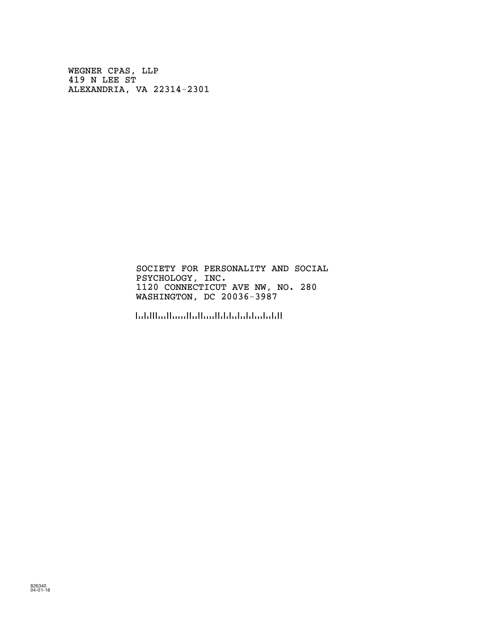WEGNER CPAS, LLP 419 N LEE ST ALEXANDRIA, VA 22314-2301

> SOCIETY FOR PERSONALITY AND SOCIAL PSYCHOLOGY, INC. 1120 CONNECTICUT AVE NW, NO. 280 WASHINGTON, DC 20036-3987

!2003639872!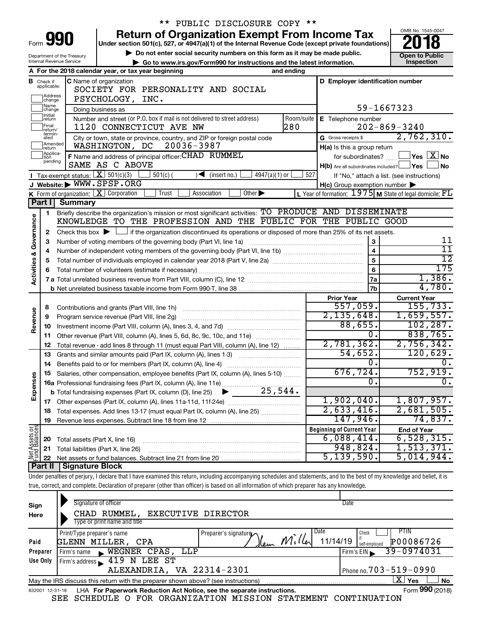|                                |                               |                                                                                                                                                                                                                            | ** PUBLIC DISCLOSURE COPY **                                                                                                                                               |     |                                                                                                                    |                                            |  |  |  |  |  |
|--------------------------------|-------------------------------|----------------------------------------------------------------------------------------------------------------------------------------------------------------------------------------------------------------------------|----------------------------------------------------------------------------------------------------------------------------------------------------------------------------|-----|--------------------------------------------------------------------------------------------------------------------|--------------------------------------------|--|--|--|--|--|
|                                |                               | Form 990                                                                                                                                                                                                                   | <b>Return of Organization Exempt From Income Tax</b>                                                                                                                       |     |                                                                                                                    | OMB No. 1545-0047                          |  |  |  |  |  |
|                                |                               |                                                                                                                                                                                                                            | Under section 501(c), 527, or 4947(a)(1) of the Internal Revenue Code (except private foundations)                                                                         |     |                                                                                                                    |                                            |  |  |  |  |  |
|                                |                               | Department of the Treasury<br>Internal Revenue Service                                                                                                                                                                     | Do not enter social security numbers on this form as it may be made public.                                                                                                |     | <b>Open to Public</b><br>Inspection                                                                                |                                            |  |  |  |  |  |
|                                |                               |                                                                                                                                                                                                                            | Go to www.irs.gov/Form990 for instructions and the latest information.<br>A For the 2018 calendar year, or tax year beginning<br>and ending                                |     |                                                                                                                    |                                            |  |  |  |  |  |
|                                |                               |                                                                                                                                                                                                                            | C Name of organization                                                                                                                                                     |     | D Employer identification number                                                                                   |                                            |  |  |  |  |  |
|                                | <b>B</b> Check if applicable: |                                                                                                                                                                                                                            | SOCIETY FOR PERSONALITY AND SOCIAL                                                                                                                                         |     |                                                                                                                    |                                            |  |  |  |  |  |
|                                | Address<br>change             |                                                                                                                                                                                                                            | PSYCHOLOGY, INC.                                                                                                                                                           |     |                                                                                                                    |                                            |  |  |  |  |  |
|                                | Name<br> change               |                                                                                                                                                                                                                            | Doing business as                                                                                                                                                          |     | 59-1667323                                                                                                         |                                            |  |  |  |  |  |
|                                | Initial<br>return             |                                                                                                                                                                                                                            | Room/suite<br>Number and street (or P.O. box if mail is not delivered to street address)                                                                                   |     | E Telephone number                                                                                                 |                                            |  |  |  |  |  |
|                                | Final<br>return/              |                                                                                                                                                                                                                            | 280<br>1120 CONNECTICUT AVE NW                                                                                                                                             |     |                                                                                                                    | $202 - 869 - 3240$                         |  |  |  |  |  |
|                                | termin-<br>ated               |                                                                                                                                                                                                                            | City or town, state or province, country, and ZIP or foreign postal code                                                                                                   |     | G Gross receipts \$                                                                                                | 2,762,310.                                 |  |  |  |  |  |
|                                | Amended<br>Ireturn            |                                                                                                                                                                                                                            | 20036-3987<br>WASHINGTON, DC                                                                                                                                               |     | H(a) Is this a group return                                                                                        |                                            |  |  |  |  |  |
|                                | Applica-<br>Ition<br>pending  |                                                                                                                                                                                                                            | F Name and address of principal officer: CHAD RUMMEL                                                                                                                       |     | for subordinates?                                                                                                  | $\Box$ Yes $\Box X$ No                     |  |  |  |  |  |
|                                |                               | <b>I</b> Tax-exempt status: $X \ 501(c)(3)$                                                                                                                                                                                | SAME AS C ABOVE                                                                                                                                                            |     | $H(b)$ Are all subordinates included? $\Box$ Yes                                                                   | No                                         |  |  |  |  |  |
|                                |                               |                                                                                                                                                                                                                            | $501(c)$ (<br>(insert no.)<br>$4947(a)(1)$ or<br>J Website: WWW.SPSP.ORG                                                                                                   | 527 |                                                                                                                    | If "No," attach a list. (see instructions) |  |  |  |  |  |
|                                |                               |                                                                                                                                                                                                                            | K Form of organization: $X$ Corporation<br>Trust<br>Other $\blacktriangleright$<br>Association                                                                             |     | $H(c)$ Group exemption number $\blacktriangleright$<br>L Year of formation: $1975$ M State of legal domicile: $FL$ |                                            |  |  |  |  |  |
|                                | Part I                        | <b>Summary</b>                                                                                                                                                                                                             |                                                                                                                                                                            |     |                                                                                                                    |                                            |  |  |  |  |  |
|                                | 1                             |                                                                                                                                                                                                                            | Briefly describe the organization's mission or most significant activities: TO PRODUCE AND DISSEMINATE                                                                     |     |                                                                                                                    |                                            |  |  |  |  |  |
| Governance                     |                               |                                                                                                                                                                                                                            | KNOWLEDGE TO THE PROFESSION AND THE PUBLIC FOR THE PUBLIC GOOD                                                                                                             |     |                                                                                                                    |                                            |  |  |  |  |  |
|                                |                               |                                                                                                                                                                                                                            |                                                                                                                                                                            |     |                                                                                                                    |                                            |  |  |  |  |  |
|                                | 3                             | Check this box $\blacktriangleright$ $\Box$ if the organization discontinued its operations or disposed of more than 25% of its net assets.<br>2<br>3<br>Number of voting members of the governing body (Part VI, line 1a) |                                                                                                                                                                            |     |                                                                                                                    |                                            |  |  |  |  |  |
|                                | 4                             | $\overline{\mathbf{4}}$                                                                                                                                                                                                    |                                                                                                                                                                            |     |                                                                                                                    |                                            |  |  |  |  |  |
|                                | 5                             |                                                                                                                                                                                                                            | $\overline{12}$                                                                                                                                                            |     |                                                                                                                    |                                            |  |  |  |  |  |
| <b>Activities &amp;</b>        | 6                             |                                                                                                                                                                                                                            |                                                                                                                                                                            |     | 6                                                                                                                  | 175                                        |  |  |  |  |  |
|                                |                               |                                                                                                                                                                                                                            |                                                                                                                                                                            |     | 7a                                                                                                                 | 1,386.                                     |  |  |  |  |  |
|                                |                               |                                                                                                                                                                                                                            |                                                                                                                                                                            |     | 7b                                                                                                                 | 4,780.                                     |  |  |  |  |  |
|                                |                               |                                                                                                                                                                                                                            |                                                                                                                                                                            |     | <b>Prior Year</b>                                                                                                  | <b>Current Year</b>                        |  |  |  |  |  |
|                                | 8                             |                                                                                                                                                                                                                            |                                                                                                                                                                            |     | 557,059.                                                                                                           | 155,733.                                   |  |  |  |  |  |
|                                | 9                             |                                                                                                                                                                                                                            | Program service revenue (Part VIII, line 2g)                                                                                                                               |     | 2, 135, 648.                                                                                                       | 1,659,557.                                 |  |  |  |  |  |
| Revenue                        | 10                            |                                                                                                                                                                                                                            |                                                                                                                                                                            |     | 88,655.                                                                                                            | 102,287.                                   |  |  |  |  |  |
|                                | 11                            |                                                                                                                                                                                                                            | Other revenue (Part VIII, column (A), lines 5, 6d, 8c, 9c, 10c, and 11e)                                                                                                   |     | $\overline{0}$ .                                                                                                   | 838,765.                                   |  |  |  |  |  |
|                                | 12                            |                                                                                                                                                                                                                            | Total revenue - add lines 8 through 11 (must equal Part VIII, column (A), line 12)                                                                                         |     | 2,781,362.                                                                                                         | 2,756,342.                                 |  |  |  |  |  |
|                                | 13                            |                                                                                                                                                                                                                            | Grants and similar amounts paid (Part IX, column (A), lines 1-3)                                                                                                           |     | 54,652.                                                                                                            | 120,629.                                   |  |  |  |  |  |
|                                | 14                            |                                                                                                                                                                                                                            |                                                                                                                                                                            |     | $\overline{0}$ .                                                                                                   | 0.                                         |  |  |  |  |  |
| Expenses                       | 15                            |                                                                                                                                                                                                                            | Salaries, other compensation, employee benefits (Part IX, column (A), lines 5-10)                                                                                          |     | 676,724.                                                                                                           | 752,919.                                   |  |  |  |  |  |
|                                |                               |                                                                                                                                                                                                                            |                                                                                                                                                                            |     | $\overline{0}$ .                                                                                                   | $\overline{\mathbf{0}}$ .                  |  |  |  |  |  |
|                                |                               |                                                                                                                                                                                                                            |                                                                                                                                                                            |     |                                                                                                                    |                                            |  |  |  |  |  |
|                                | 17                            |                                                                                                                                                                                                                            |                                                                                                                                                                            |     | 1,902,040.<br>2,633,416.                                                                                           | 1,807,957.<br>2,681,505.                   |  |  |  |  |  |
|                                | 18                            |                                                                                                                                                                                                                            | Total expenses. Add lines 13-17 (must equal Part IX, column (A), line 25)                                                                                                  |     | 147,946.                                                                                                           | 74,837.                                    |  |  |  |  |  |
|                                | 19                            |                                                                                                                                                                                                                            |                                                                                                                                                                            |     | <b>Beginning of Current Year</b>                                                                                   |                                            |  |  |  |  |  |
|                                |                               |                                                                                                                                                                                                                            |                                                                                                                                                                            |     | 6,088,414.                                                                                                         | <b>End of Year</b><br>6,528,315.           |  |  |  |  |  |
|                                | 20<br>21                      | Total assets (Part X, line 16)                                                                                                                                                                                             | Total liabilities (Part X, line 26)                                                                                                                                        |     | 948,824.                                                                                                           | 1,513,371.                                 |  |  |  |  |  |
| Net Assets or<br>Fund Balances | 22                            |                                                                                                                                                                                                                            |                                                                                                                                                                            |     | 5,139,590.                                                                                                         | 5,014,944.                                 |  |  |  |  |  |
|                                | <b>Part II</b>                | <b>Signature Block</b>                                                                                                                                                                                                     |                                                                                                                                                                            |     |                                                                                                                    |                                            |  |  |  |  |  |
|                                |                               |                                                                                                                                                                                                                            | Under penalties of perjury, I declare that I have examined this return, including accompanying schedules and statements, and to the best of my knowledge and belief, it is |     |                                                                                                                    |                                            |  |  |  |  |  |
|                                |                               |                                                                                                                                                                                                                            | true, correct, and complete. Declaration of preparer (other than officer) is based on all information of which preparer has any knowledge.                                 |     |                                                                                                                    |                                            |  |  |  |  |  |

| Sign<br>Here | Signature of officer<br>CHAD RUMMEL,<br>Type or print name and title                                         | EXECUTIVE DIRECTOR           | Date                                                                |  |  |  |  |  |  |  |  |
|--------------|--------------------------------------------------------------------------------------------------------------|------------------------------|---------------------------------------------------------------------|--|--|--|--|--|--|--|--|
| Paid         | Print/Type preparer's name<br><b>GLENN MILLER, CPA</b>                                                       | Date<br>Preparer's signature | <b>PTIN</b><br>Check<br>11/14/19<br>P00086726<br>"<br>self-employed |  |  |  |  |  |  |  |  |
| Preparer     | WEGNER CPAS, LLP<br>Firm's name<br>$\mathbf{r}$                                                              |                              | 39-0974031<br>Firm's $EIN$                                          |  |  |  |  |  |  |  |  |
| Use Only     | Firm's address 119 N LEE ST                                                                                  |                              |                                                                     |  |  |  |  |  |  |  |  |
|              | ALEXANDRIA, VA 22314-2301                                                                                    | Phone no. $703 - 519 - 0990$ |                                                                     |  |  |  |  |  |  |  |  |
|              | May the IRS discuss this return with the preparer shown above? (see instructions)                            |                              | ΧI<br>Yes<br><b>No</b>                                              |  |  |  |  |  |  |  |  |
|              | Form 990 (2018)<br>LHA For Paperwork Reduction Act Notice, see the separate instructions.<br>832001 12-31-18 |                              |                                                                     |  |  |  |  |  |  |  |  |

SEE SCHEDULE O FOR ORGANIZATION MISSION STATEMENT CONTINUATION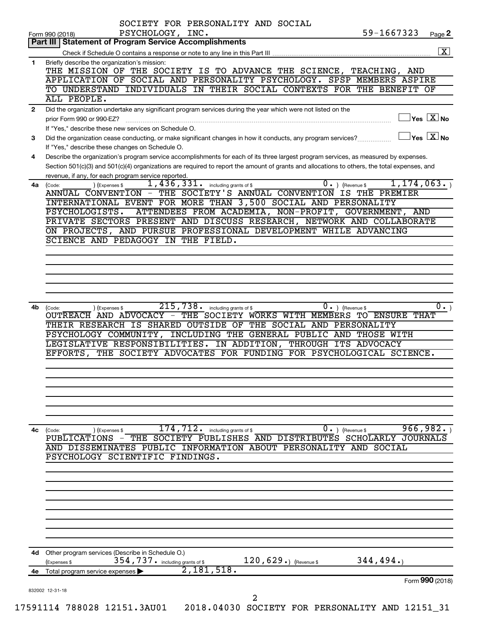|                                                                     | SOCIETY FOR PERSONALITY AND SOCIAL                                                                                                                                                                                                                                                                                                                          |
|---------------------------------------------------------------------|-------------------------------------------------------------------------------------------------------------------------------------------------------------------------------------------------------------------------------------------------------------------------------------------------------------------------------------------------------------|
|                                                                     | 59-1667323<br>PSYCHOLOGY, INC.<br>Page 2<br>Form 990 (2018)                                                                                                                                                                                                                                                                                                 |
|                                                                     | Part III   Statement of Program Service Accomplishments                                                                                                                                                                                                                                                                                                     |
|                                                                     | $\boxed{\text{X}}$                                                                                                                                                                                                                                                                                                                                          |
|                                                                     | Briefly describe the organization's mission:<br>THE MISSION OF THE SOCIETY IS TO ADVANCE THE SCIENCE, TEACHING, AND                                                                                                                                                                                                                                         |
|                                                                     | APPLICATION OF SOCIAL AND PERSONALITY PSYCHOLOGY. SPSP MEMBERS ASPIRE                                                                                                                                                                                                                                                                                       |
|                                                                     | TO UNDERSTAND INDIVIDUALS IN THEIR SOCIAL CONTEXTS FOR THE BENEFIT OF                                                                                                                                                                                                                                                                                       |
|                                                                     | ALL PEOPLE.                                                                                                                                                                                                                                                                                                                                                 |
| 1<br>$\mathbf{2}$<br>3<br>4<br>4a<br>4b<br>(Code:<br>4c<br>4d<br>4е | Did the organization undertake any significant program services during the year which were not listed on the                                                                                                                                                                                                                                                |
|                                                                     | $\Box$ Yes $[\overline{\mathrm{X}}]$ No<br>prior Form 990 or 990-EZ?                                                                                                                                                                                                                                                                                        |
|                                                                     | If "Yes," describe these new services on Schedule O.<br>$\exists$ Yes $\boxed{\text{X}}$ No                                                                                                                                                                                                                                                                 |
|                                                                     | Did the organization cease conducting, or make significant changes in how it conducts, any program services?                                                                                                                                                                                                                                                |
|                                                                     | If "Yes," describe these changes on Schedule O.<br>Describe the organization's program service accomplishments for each of its three largest program services, as measured by expenses.                                                                                                                                                                     |
|                                                                     | Section 501(c)(3) and 501(c)(4) organizations are required to report the amount of grants and allocations to others, the total expenses, and                                                                                                                                                                                                                |
|                                                                     | revenue, if any, for each program service reported.                                                                                                                                                                                                                                                                                                         |
|                                                                     | $\overline{0.}$ ) (Revenue \$<br>1, 174, 063.<br>$\overline{1,436}$ , $331$ . including grants of \$<br>) (Expenses \$<br>(Code:                                                                                                                                                                                                                            |
|                                                                     | ANNUAL CONVENTION - THE SOCIETY'S ANNUAL CONVENTION IS THE PREMIER                                                                                                                                                                                                                                                                                          |
|                                                                     | INTERNATIONAL EVENT FOR MORE THAN 3,500 SOCIAL AND PERSONALITY                                                                                                                                                                                                                                                                                              |
|                                                                     | ATTENDEES FROM ACADEMIA, NON-PROFIT, GOVERNMENT, AND<br>PSYCHOLOGISTS.                                                                                                                                                                                                                                                                                      |
|                                                                     | PRIVATE SECTORS PRESENT AND DISCUSS RESEARCH, NETWORK AND COLLABORATE                                                                                                                                                                                                                                                                                       |
|                                                                     | ON PROJECTS, AND PURSUE PROFESSIONAL DEVELOPMENT WHILE ADVANCING                                                                                                                                                                                                                                                                                            |
|                                                                     | SCIENCE AND PEDAGOGY IN THE FIELD.                                                                                                                                                                                                                                                                                                                          |
|                                                                     |                                                                                                                                                                                                                                                                                                                                                             |
|                                                                     |                                                                                                                                                                                                                                                                                                                                                             |
|                                                                     |                                                                                                                                                                                                                                                                                                                                                             |
|                                                                     |                                                                                                                                                                                                                                                                                                                                                             |
|                                                                     |                                                                                                                                                                                                                                                                                                                                                             |
|                                                                     | OUTREACH AND ADVOCACY - THE SOCIETY WORKS WITH MEMBERS TO ENSURE<br>THAT<br>THEIR RESEARCH IS SHARED OUTSIDE OF THE SOCIAL AND PERSONALITY<br>PSYCHOLOGY COMMUNITY, INCLUDING THE GENERAL PUBLIC AND THOSE WITH<br>LEGISLATIVE RESPONSIBILITIES. IN ADDITION, THROUGH ITS ADVOCACY<br>EFFORTS, THE SOCIETY ADVOCATES FOR FUNDING FOR PSYCHOLOGICAL SCIENCE. |
|                                                                     |                                                                                                                                                                                                                                                                                                                                                             |
|                                                                     | 966,982.<br>174,712.<br>0.<br>) (Revenue \$<br>(Code:<br>including grants of \$<br>) (Expenses \$                                                                                                                                                                                                                                                           |
|                                                                     | THE SOCIETY PUBLISHES AND DISTRIBUTES SCHOLARLY JOURNALS<br><b>PUBLICATIONS</b>                                                                                                                                                                                                                                                                             |
|                                                                     | DISSEMINATES PUBLIC<br>INFORMATION ABOUT PERSONALITY AND<br>SOCIAL<br>AND                                                                                                                                                                                                                                                                                   |
|                                                                     | PSYCHOLOGY SCIENTIFIC FINDINGS.                                                                                                                                                                                                                                                                                                                             |
|                                                                     |                                                                                                                                                                                                                                                                                                                                                             |
|                                                                     |                                                                                                                                                                                                                                                                                                                                                             |
|                                                                     |                                                                                                                                                                                                                                                                                                                                                             |
|                                                                     |                                                                                                                                                                                                                                                                                                                                                             |
|                                                                     |                                                                                                                                                                                                                                                                                                                                                             |
|                                                                     |                                                                                                                                                                                                                                                                                                                                                             |
|                                                                     |                                                                                                                                                                                                                                                                                                                                                             |
|                                                                     | Other program services (Describe in Schedule O.)<br>344,494.<br>354, 737. including grants of \$<br>$120, 629$ .) (Revenue \$<br>(Expenses \$                                                                                                                                                                                                               |
|                                                                     | 2,181,518.<br>Total program service expenses                                                                                                                                                                                                                                                                                                                |
|                                                                     | Form 990 (2018)<br>832002 12-31-18                                                                                                                                                                                                                                                                                                                          |
|                                                                     | 2                                                                                                                                                                                                                                                                                                                                                           |
|                                                                     | 17591114 788028 12151.3AU01<br>2018.04030 SOCIETY FOR PERSONALITY AND 12151_31                                                                                                                                                                                                                                                                              |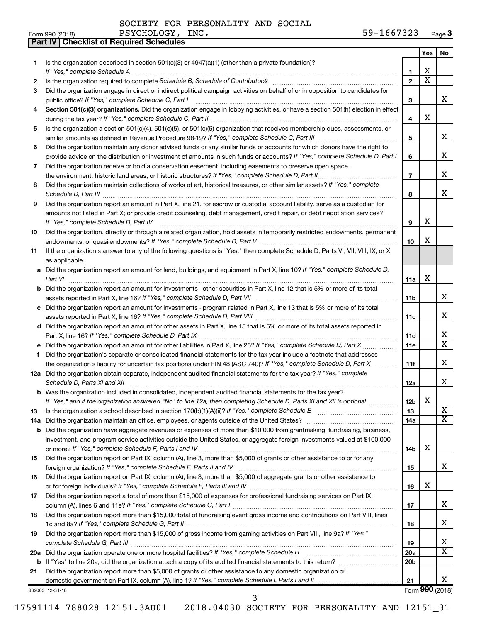**Part IV Checklist of Required Schedules**

|    |                                                                                                                                                                                                                                                   |                         | Yes                     | No                      |  |  |  |
|----|---------------------------------------------------------------------------------------------------------------------------------------------------------------------------------------------------------------------------------------------------|-------------------------|-------------------------|-------------------------|--|--|--|
| 1. | Is the organization described in section 501(c)(3) or 4947(a)(1) (other than a private foundation)?                                                                                                                                               | 1                       | X                       |                         |  |  |  |
| 2  |                                                                                                                                                                                                                                                   | $\mathbf{2}$            | $\overline{\textbf{X}}$ |                         |  |  |  |
| З  | Did the organization engage in direct or indirect political campaign activities on behalf of or in opposition to candidates for                                                                                                                   |                         |                         |                         |  |  |  |
|    |                                                                                                                                                                                                                                                   | 3                       |                         | x                       |  |  |  |
| 4  | Section 501(c)(3) organizations. Did the organization engage in lobbying activities, or have a section 501(h) election in effect                                                                                                                  |                         |                         |                         |  |  |  |
|    |                                                                                                                                                                                                                                                   | $\overline{\mathbf{4}}$ | X                       |                         |  |  |  |
| 5  | Is the organization a section 501(c)(4), 501(c)(5), or 501(c)(6) organization that receives membership dues, assessments, or                                                                                                                      |                         |                         |                         |  |  |  |
|    |                                                                                                                                                                                                                                                   |                         |                         |                         |  |  |  |
| 6  | Did the organization maintain any donor advised funds or any similar funds or accounts for which donors have the right to                                                                                                                         |                         |                         |                         |  |  |  |
|    | provide advice on the distribution or investment of amounts in such funds or accounts? If "Yes," complete Schedule D, Part I                                                                                                                      |                         |                         |                         |  |  |  |
| 7  | Did the organization receive or hold a conservation easement, including easements to preserve open space,                                                                                                                                         |                         |                         |                         |  |  |  |
|    |                                                                                                                                                                                                                                                   | $\overline{7}$          |                         | х                       |  |  |  |
| 8  | Did the organization maintain collections of works of art, historical treasures, or other similar assets? If "Yes," complete                                                                                                                      |                         |                         |                         |  |  |  |
|    |                                                                                                                                                                                                                                                   | 8                       |                         | x                       |  |  |  |
| 9  | Did the organization report an amount in Part X, line 21, for escrow or custodial account liability, serve as a custodian for                                                                                                                     |                         |                         |                         |  |  |  |
|    | amounts not listed in Part X; or provide credit counseling, debt management, credit repair, or debt negotiation services?                                                                                                                         |                         | X                       |                         |  |  |  |
|    |                                                                                                                                                                                                                                                   | 9                       |                         |                         |  |  |  |
| 10 | Did the organization, directly or through a related organization, hold assets in temporarily restricted endowments, permanent                                                                                                                     | 10                      | X                       |                         |  |  |  |
| 11 | If the organization's answer to any of the following questions is "Yes," then complete Schedule D, Parts VI, VII, VIII, IX, or X                                                                                                                  |                         |                         |                         |  |  |  |
|    | as applicable.                                                                                                                                                                                                                                    |                         |                         |                         |  |  |  |
|    | a Did the organization report an amount for land, buildings, and equipment in Part X, line 10? If "Yes," complete Schedule D,                                                                                                                     |                         |                         |                         |  |  |  |
|    |                                                                                                                                                                                                                                                   | 11a                     | X                       |                         |  |  |  |
|    | <b>b</b> Did the organization report an amount for investments - other securities in Part X, line 12 that is 5% or more of its total                                                                                                              |                         |                         |                         |  |  |  |
|    |                                                                                                                                                                                                                                                   | 11b                     |                         | х                       |  |  |  |
|    | c Did the organization report an amount for investments - program related in Part X, line 13 that is 5% or more of its total                                                                                                                      |                         |                         |                         |  |  |  |
|    |                                                                                                                                                                                                                                                   | 11c                     |                         | x                       |  |  |  |
|    | d Did the organization report an amount for other assets in Part X, line 15 that is 5% or more of its total assets reported in                                                                                                                    |                         |                         |                         |  |  |  |
|    |                                                                                                                                                                                                                                                   | 11d                     |                         | х                       |  |  |  |
|    |                                                                                                                                                                                                                                                   | 11e                     |                         | X                       |  |  |  |
| f. | Did the organization's separate or consolidated financial statements for the tax year include a footnote that addresses                                                                                                                           |                         |                         | х                       |  |  |  |
|    | the organization's liability for uncertain tax positions under FIN 48 (ASC 740)? If "Yes," complete Schedule D, Part X<br>12a Did the organization obtain separate, independent audited financial statements for the tax year? If "Yes," complete | 11f                     |                         |                         |  |  |  |
|    | Schedule D, Parts XI and XII                                                                                                                                                                                                                      | 12a                     |                         | х                       |  |  |  |
|    | <b>b</b> Was the organization included in consolidated, independent audited financial statements for the tax year?                                                                                                                                |                         |                         |                         |  |  |  |
|    | If "Yes," and if the organization answered "No" to line 12a, then completing Schedule D, Parts XI and XII is optional                                                                                                                             | 12 <sub>b</sub>         | х                       |                         |  |  |  |
| 13 |                                                                                                                                                                                                                                                   | 13                      |                         | $\overline{\textbf{x}}$ |  |  |  |
|    |                                                                                                                                                                                                                                                   | 14a                     |                         | x                       |  |  |  |
|    | <b>b</b> Did the organization have aggregate revenues or expenses of more than \$10,000 from grantmaking, fundraising, business,                                                                                                                  |                         |                         |                         |  |  |  |
|    | investment, and program service activities outside the United States, or aggregate foreign investments valued at \$100,000                                                                                                                        |                         |                         |                         |  |  |  |
|    |                                                                                                                                                                                                                                                   | 14b                     | х                       |                         |  |  |  |
| 15 | Did the organization report on Part IX, column (A), line 3, more than \$5,000 of grants or other assistance to or for any                                                                                                                         |                         |                         |                         |  |  |  |
|    |                                                                                                                                                                                                                                                   | 15                      |                         | x                       |  |  |  |
| 16 | Did the organization report on Part IX, column (A), line 3, more than \$5,000 of aggregate grants or other assistance to                                                                                                                          |                         | х                       |                         |  |  |  |
|    | Did the organization report a total of more than \$15,000 of expenses for professional fundraising services on Part IX,                                                                                                                           | 16                      |                         |                         |  |  |  |
| 17 |                                                                                                                                                                                                                                                   | 17                      |                         | х                       |  |  |  |
| 18 | Did the organization report more than \$15,000 total of fundraising event gross income and contributions on Part VIII, lines                                                                                                                      |                         |                         |                         |  |  |  |
|    |                                                                                                                                                                                                                                                   | 18                      |                         | х                       |  |  |  |
| 19 | Did the organization report more than \$15,000 of gross income from gaming activities on Part VIII, line 9a? If "Yes,"                                                                                                                            |                         |                         |                         |  |  |  |
|    |                                                                                                                                                                                                                                                   | 19                      |                         | х                       |  |  |  |
|    | 20a Did the organization operate one or more hospital facilities? If "Yes," complete Schedule H                                                                                                                                                   | 20a                     |                         | $\overline{\textbf{X}}$ |  |  |  |
|    |                                                                                                                                                                                                                                                   | 20 <sub>b</sub>         |                         |                         |  |  |  |
| 21 | Did the organization report more than \$5,000 of grants or other assistance to any domestic organization or                                                                                                                                       |                         |                         |                         |  |  |  |
|    |                                                                                                                                                                                                                                                   | 21                      |                         | x                       |  |  |  |
|    | 832003 12-31-18                                                                                                                                                                                                                                   |                         |                         | Form 990 (2018)         |  |  |  |
|    | 3                                                                                                                                                                                                                                                 |                         |                         |                         |  |  |  |

17591114 788028 12151.3AU01 2018.04030 SOCIETY FOR PERSONALITY AND 12151\_31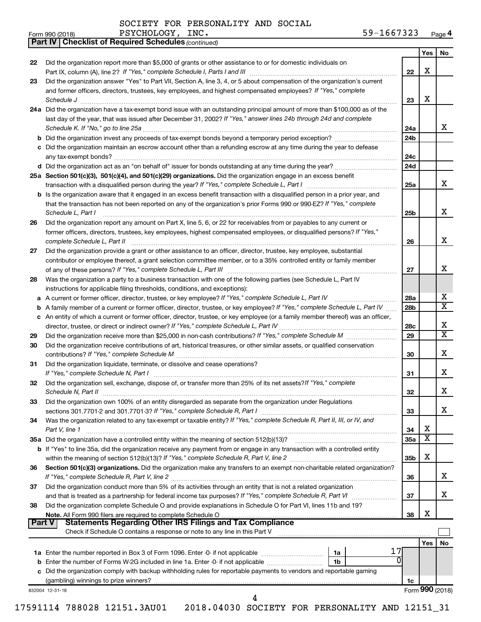*(continued)* **Part IV Checklist of Required Schedules**

| Form 990 (2018) | PSYCHOLOGY,<br>INC. | $59 - 1$<br>$-1667323$<br>Page 4 |
|-----------------|---------------------|----------------------------------|
|-----------------|---------------------|----------------------------------|

|          |                                                                                                                                                                                                                                |                 | Yes | No              |
|----------|--------------------------------------------------------------------------------------------------------------------------------------------------------------------------------------------------------------------------------|-----------------|-----|-----------------|
| 22       | Did the organization report more than \$5,000 of grants or other assistance to or for domestic individuals on                                                                                                                  |                 |     |                 |
|          |                                                                                                                                                                                                                                | 22              | х   |                 |
| 23       | Did the organization answer "Yes" to Part VII, Section A, line 3, 4, or 5 about compensation of the organization's current                                                                                                     |                 |     |                 |
|          | and former officers, directors, trustees, key employees, and highest compensated employees? If "Yes," complete                                                                                                                 |                 |     |                 |
|          | Schedule J                                                                                                                                                                                                                     | 23              | х   |                 |
|          | 24a Did the organization have a tax-exempt bond issue with an outstanding principal amount of more than \$100,000 as of the                                                                                                    |                 |     |                 |
|          | last day of the year, that was issued after December 31, 2002? If "Yes," answer lines 24b through 24d and complete                                                                                                             |                 |     |                 |
|          |                                                                                                                                                                                                                                | 24a             |     | x               |
|          |                                                                                                                                                                                                                                | 24 <sub>b</sub> |     |                 |
|          | c Did the organization maintain an escrow account other than a refunding escrow at any time during the year to defease                                                                                                         |                 |     |                 |
|          |                                                                                                                                                                                                                                | 24c             |     |                 |
|          |                                                                                                                                                                                                                                | 24d             |     |                 |
|          | 25a Section 501(c)(3), 501(c)(4), and 501(c)(29) organizations. Did the organization engage in an excess benefit                                                                                                               |                 |     |                 |
|          |                                                                                                                                                                                                                                | 25a             |     | x               |
|          | <b>b</b> Is the organization aware that it engaged in an excess benefit transaction with a disqualified person in a prior year, and                                                                                            |                 |     |                 |
|          | that the transaction has not been reported on any of the organization's prior Forms 990 or 990-EZ? If "Yes," complete                                                                                                          |                 |     |                 |
|          | Schedule L, Part I                                                                                                                                                                                                             | 25b             |     | x               |
| 26       | Did the organization report any amount on Part X, line 5, 6, or 22 for receivables from or payables to any current or                                                                                                          |                 |     |                 |
|          | former officers, directors, trustees, key employees, highest compensated employees, or disqualified persons? If "Yes,"                                                                                                         |                 |     |                 |
|          | complete Schedule L, Part II                                                                                                                                                                                                   | 26              |     | х               |
| 27       | Did the organization provide a grant or other assistance to an officer, director, trustee, key employee, substantial                                                                                                           |                 |     |                 |
|          | contributor or employee thereof, a grant selection committee member, or to a 35% controlled entity or family member                                                                                                            |                 |     |                 |
|          |                                                                                                                                                                                                                                | 27              |     | x               |
| 28       | Was the organization a party to a business transaction with one of the following parties (see Schedule L, Part IV                                                                                                              |                 |     |                 |
|          | instructions for applicable filing thresholds, conditions, and exceptions):                                                                                                                                                    |                 |     |                 |
|          | a A current or former officer, director, trustee, or key employee? If "Yes," complete Schedule L, Part IV                                                                                                                      | 28a             |     | х               |
| b        | A family member of a current or former officer, director, trustee, or key employee? If "Yes," complete Schedule L, Part IV                                                                                                     | 28 <sub>b</sub> |     | X               |
|          | c An entity of which a current or former officer, director, trustee, or key employee (or a family member thereof) was an officer,                                                                                              |                 |     |                 |
|          |                                                                                                                                                                                                                                | 28c             |     | x<br>X          |
| 29       |                                                                                                                                                                                                                                | 29              |     |                 |
| 30       | Did the organization receive contributions of art, historical treasures, or other similar assets, or qualified conservation                                                                                                    |                 |     | х               |
|          |                                                                                                                                                                                                                                | 30              |     |                 |
| 31       | Did the organization liquidate, terminate, or dissolve and cease operations?                                                                                                                                                   |                 |     | х               |
|          | If "Yes," complete Schedule N, Part I manufactured and a series of the series of the series of the series of the series of the series of the series of the series of the series of the series of the series of the series of t | 31              |     |                 |
| 32       | Did the organization sell, exchange, dispose of, or transfer more than 25% of its net assets? If "Yes," complete                                                                                                               |                 |     | х               |
|          |                                                                                                                                                                                                                                | 32              |     |                 |
| 33       | Did the organization own 100% of an entity disregarded as separate from the organization under Regulations                                                                                                                     | 33              |     | х               |
| 34       | Was the organization related to any tax-exempt or taxable entity? If "Yes," complete Schedule R, Part II, III, or IV, and                                                                                                      |                 |     |                 |
|          | Part V, line 1                                                                                                                                                                                                                 | 34              | х   |                 |
|          |                                                                                                                                                                                                                                | 35a             | х   |                 |
|          | <b>b</b> If "Yes" to line 35a, did the organization receive any payment from or engage in any transaction with a controlled entity                                                                                             |                 |     |                 |
|          |                                                                                                                                                                                                                                | 35b             | X   |                 |
| 36       | Section 501(c)(3) organizations. Did the organization make any transfers to an exempt non-charitable related organization?                                                                                                     |                 |     |                 |
|          |                                                                                                                                                                                                                                | 36              |     | x               |
| 37       | Did the organization conduct more than 5% of its activities through an entity that is not a related organization                                                                                                               |                 |     |                 |
|          |                                                                                                                                                                                                                                | 37              |     | х               |
| 38       | Did the organization complete Schedule O and provide explanations in Schedule O for Part VI, lines 11b and 19?                                                                                                                 |                 |     |                 |
|          | Note. All Form 990 filers are required to complete Schedule O                                                                                                                                                                  | 38              | х   |                 |
| ∣ Part V | <b>Statements Regarding Other IRS Filings and Tax Compliance</b>                                                                                                                                                               |                 |     |                 |
|          | Check if Schedule O contains a response or note to any line in this Part V                                                                                                                                                     |                 |     |                 |
|          |                                                                                                                                                                                                                                |                 | Yes | No              |
|          | 17<br>1a Enter the number reported in Box 3 of Form 1096. Enter -0- if not applicable <i>manumeraness</i><br>1a                                                                                                                |                 |     |                 |
|          | O<br>1b                                                                                                                                                                                                                        |                 |     |                 |
|          | c Did the organization comply with backup withholding rules for reportable payments to vendors and reportable gaming                                                                                                           |                 |     |                 |
|          |                                                                                                                                                                                                                                | 1c              |     |                 |
|          | 832004 12-31-18                                                                                                                                                                                                                |                 |     | Form 990 (2018) |
|          | 4                                                                                                                                                                                                                              |                 |     |                 |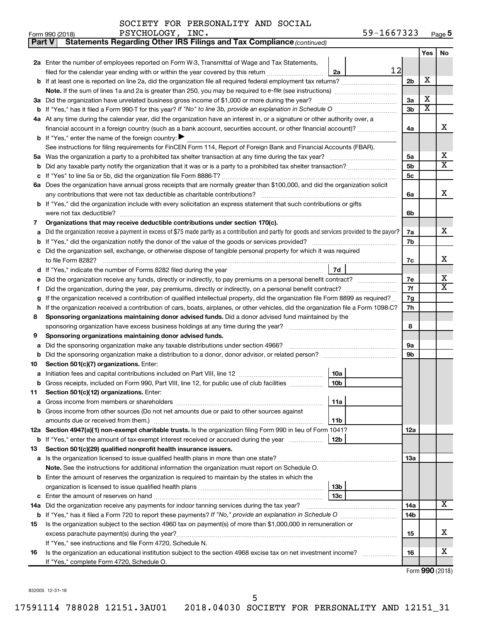| Part V | Statements Regarding Other IRS Filings and Tax Compliance (continued)                                                                           |                |     |                       |  |  |  |  |  |  |  |
|--------|-------------------------------------------------------------------------------------------------------------------------------------------------|----------------|-----|-----------------------|--|--|--|--|--|--|--|
|        |                                                                                                                                                 |                | Yes | <b>No</b>             |  |  |  |  |  |  |  |
|        | 2a Enter the number of employees reported on Form W-3, Transmittal of Wage and Tax Statements,                                                  |                |     |                       |  |  |  |  |  |  |  |
|        | 12<br>filed for the calendar year ending with or within the year covered by this return<br>2a                                                   |                |     |                       |  |  |  |  |  |  |  |
| b      | If at least one is reported on line 2a, did the organization file all required federal employment tax returns?                                  |                |     |                       |  |  |  |  |  |  |  |
|        |                                                                                                                                                 |                |     |                       |  |  |  |  |  |  |  |
|        | 3a Did the organization have unrelated business gross income of \$1,000 or more during the year?                                                |                |     |                       |  |  |  |  |  |  |  |
| b      | If "Yes," has it filed a Form 990 T for this year? If "No" to line 3b, provide an explanation in Schedule O manumumum                           |                |     |                       |  |  |  |  |  |  |  |
|        | 4a At any time during the calendar year, did the organization have an interest in, or a signature or other authority over, a                    |                |     |                       |  |  |  |  |  |  |  |
|        | financial account in a foreign country (such as a bank account, securities account, or other financial account)?                                | 4a             |     | X                     |  |  |  |  |  |  |  |
|        | <b>b</b> If "Yes," enter the name of the foreign country: $\blacktriangleright$                                                                 |                |     |                       |  |  |  |  |  |  |  |
|        | See instructions for filing requirements for FinCEN Form 114, Report of Foreign Bank and Financial Accounts (FBAR).                             |                |     |                       |  |  |  |  |  |  |  |
| 5a     |                                                                                                                                                 | 5a             |     | X                     |  |  |  |  |  |  |  |
| b      |                                                                                                                                                 | 5 <sub>b</sub> |     | $\overline{\text{X}}$ |  |  |  |  |  |  |  |
| с      |                                                                                                                                                 | 5c             |     |                       |  |  |  |  |  |  |  |
|        | 6a Does the organization have annual gross receipts that are normally greater than \$100,000, and did the organization solicit                  |                |     |                       |  |  |  |  |  |  |  |
|        |                                                                                                                                                 | 6a             |     | x                     |  |  |  |  |  |  |  |
|        | <b>b</b> If "Yes," did the organization include with every solicitation an express statement that such contributions or gifts                   |                |     |                       |  |  |  |  |  |  |  |
|        |                                                                                                                                                 | 6b             |     |                       |  |  |  |  |  |  |  |
| 7      | Organizations that may receive deductible contributions under section 170(c).                                                                   |                |     |                       |  |  |  |  |  |  |  |
| a      | Did the organization receive a payment in excess of \$75 made partly as a contribution and partly for goods and services provided to the payor? | 7a             |     | X                     |  |  |  |  |  |  |  |
| b      |                                                                                                                                                 | 7b             |     |                       |  |  |  |  |  |  |  |
| с      | Did the organization sell, exchange, or otherwise dispose of tangible personal property for which it was required                               |                |     |                       |  |  |  |  |  |  |  |
|        |                                                                                                                                                 | 7с             |     | X                     |  |  |  |  |  |  |  |
| d      | 7d                                                                                                                                              |                |     |                       |  |  |  |  |  |  |  |
| е      | Did the organization receive any funds, directly or indirectly, to pay premiums on a personal benefit contract?                                 | 7е             |     | х                     |  |  |  |  |  |  |  |
| f      |                                                                                                                                                 | 7f             |     | $\overline{\text{X}}$ |  |  |  |  |  |  |  |
|        | If the organization received a contribution of qualified intellectual property, did the organization file Form 8899 as required?                |                |     |                       |  |  |  |  |  |  |  |
| h      | If the organization received a contribution of cars, boats, airplanes, or other vehicles, did the organization file a Form 1098-C?              |                |     |                       |  |  |  |  |  |  |  |
| 8      | Sponsoring organizations maintaining donor advised funds. Did a donor advised fund maintained by the                                            |                |     |                       |  |  |  |  |  |  |  |
|        |                                                                                                                                                 | 8              |     |                       |  |  |  |  |  |  |  |
| 9      | Sponsoring organizations maintaining donor advised funds.                                                                                       |                |     |                       |  |  |  |  |  |  |  |
| а      | Did the sponsoring organization make any taxable distributions under section 4966?                                                              | 9а             |     |                       |  |  |  |  |  |  |  |
| b      |                                                                                                                                                 | 9b             |     |                       |  |  |  |  |  |  |  |
| 10     | Section 501(c)(7) organizations. Enter:                                                                                                         |                |     |                       |  |  |  |  |  |  |  |
| а      | 10a                                                                                                                                             |                |     |                       |  |  |  |  |  |  |  |
|        | 10 <sub>b</sub><br>Gross receipts, included on Form 990, Part VIII, line 12, for public use of club facilities                                  |                |     |                       |  |  |  |  |  |  |  |
| 11     | Section 501(c)(12) organizations. Enter:                                                                                                        |                |     |                       |  |  |  |  |  |  |  |
| а      | 11a                                                                                                                                             |                |     |                       |  |  |  |  |  |  |  |
|        | Gross income from other sources (Do not net amounts due or paid to other sources against                                                        |                |     |                       |  |  |  |  |  |  |  |
|        | 11b                                                                                                                                             |                |     |                       |  |  |  |  |  |  |  |
|        | 12a Section 4947(a)(1) non-exempt charitable trusts. Is the organization filing Form 990 in lieu of Form 1041?                                  | 12a            |     |                       |  |  |  |  |  |  |  |
|        | 12b<br><b>b</b> If "Yes," enter the amount of tax-exempt interest received or accrued during the year                                           |                |     |                       |  |  |  |  |  |  |  |
| 13     | Section 501(c)(29) qualified nonprofit health insurance issuers.                                                                                |                |     |                       |  |  |  |  |  |  |  |
|        | a Is the organization licensed to issue qualified health plans in more than one state?                                                          | 13a            |     |                       |  |  |  |  |  |  |  |
|        | Note. See the instructions for additional information the organization must report on Schedule O.                                               |                |     |                       |  |  |  |  |  |  |  |
| b      | Enter the amount of reserves the organization is required to maintain by the states in which the                                                |                |     |                       |  |  |  |  |  |  |  |
| с      | 13 <sub>b</sub><br>13c                                                                                                                          |                |     |                       |  |  |  |  |  |  |  |
| 14a    | Did the organization receive any payments for indoor tanning services during the tax year?                                                      | 14a            |     | X.                    |  |  |  |  |  |  |  |
|        |                                                                                                                                                 | 14b            |     |                       |  |  |  |  |  |  |  |
| 15     | Is the organization subject to the section 4960 tax on payment(s) of more than \$1,000,000 in remuneration or                                   |                |     |                       |  |  |  |  |  |  |  |
|        | excess parachute payment(s) during the year?                                                                                                    | 15             |     | x                     |  |  |  |  |  |  |  |
|        | If "Yes," see instructions and file Form 4720, Schedule N.                                                                                      |                |     |                       |  |  |  |  |  |  |  |
| 16     | Is the organization an educational institution subject to the section 4968 excise tax on net investment income?                                 | 16             |     | x                     |  |  |  |  |  |  |  |
|        | If "Yes," complete Form 4720, Schedule O.                                                                                                       |                |     |                       |  |  |  |  |  |  |  |
|        |                                                                                                                                                 |                |     |                       |  |  |  |  |  |  |  |

Form (2018) **990**

832005 12-31-18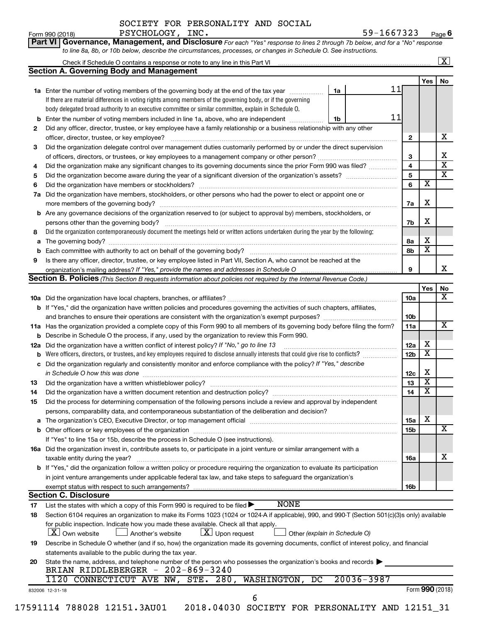Form 990 (2018) PSYCHOLOGY, INC**.** 59-1667323 <sub>Page</sub> 6 PSYCHOLOGY, INC. 59-1667323

|     |                                                                                                                                                                          |    |                |    |                 |                         | $\boxed{\textbf{X}}$    |
|-----|--------------------------------------------------------------------------------------------------------------------------------------------------------------------------|----|----------------|----|-----------------|-------------------------|-------------------------|
|     | <b>Section A. Governing Body and Management</b>                                                                                                                          |    |                |    |                 |                         |                         |
|     |                                                                                                                                                                          |    |                | 11 |                 | Yes                     | No                      |
|     | 1a Enter the number of voting members of the governing body at the end of the tax year                                                                                   | 1a |                |    |                 |                         |                         |
|     | If there are material differences in voting rights among members of the governing body, or if the governing                                                              |    |                |    |                 |                         |                         |
|     | body delegated broad authority to an executive committee or similar committee, explain in Schedule O.                                                                    |    |                |    |                 |                         |                         |
| b   | Enter the number of voting members included in line 1a, above, who are independent                                                                                       | 1b |                | 11 |                 |                         |                         |
| 2   | Did any officer, director, trustee, or key employee have a family relationship or a business relationship with any other<br>officer, director, trustee, or key employee? |    |                |    | $\mathbf{2}$    |                         | х                       |
| 3   | Did the organization delegate control over management duties customarily performed by or under the direct supervision                                                    |    |                |    |                 |                         |                         |
|     |                                                                                                                                                                          |    |                |    | 3               |                         | х                       |
| 4   | Did the organization make any significant changes to its governing documents since the prior Form 990 was filed?                                                         |    |                |    | $\overline{4}$  |                         | $\overline{\mathbf{x}}$ |
| 5   |                                                                                                                                                                          |    |                |    | 5               |                         | $\overline{\mathbf{x}}$ |
| 6   |                                                                                                                                                                          |    |                |    | 6               | $\overline{\mathbf{x}}$ |                         |
| 7a  | Did the organization have members, stockholders, or other persons who had the power to elect or appoint one or                                                           |    |                |    |                 |                         |                         |
|     |                                                                                                                                                                          |    |                |    | 7a              | х                       |                         |
| b   | Are any governance decisions of the organization reserved to (or subject to approval by) members, stockholders, or                                                       |    |                |    |                 |                         |                         |
|     |                                                                                                                                                                          |    |                |    | 7b              | х                       |                         |
| 8   | Did the organization contemporaneously document the meetings held or written actions undertaken during the year by the following:                                        |    |                |    |                 |                         |                         |
| а   |                                                                                                                                                                          |    |                |    | 8а              | х                       |                         |
|     | Each committee with authority to act on behalf of the governing body? [11] [12] [22] [23] [23] [23] [23] [24] [                                                          |    |                |    | 8b              | $\overline{\mathbf{x}}$ |                         |
| 9   | Is there any officer, director, trustee, or key employee listed in Part VII, Section A, who cannot be reached at the                                                     |    |                |    |                 |                         |                         |
|     |                                                                                                                                                                          |    |                |    | 9               |                         | х                       |
|     | Section B. Policies (This Section B requests information about policies not required by the Internal Revenue Code.)                                                      |    |                |    |                 |                         |                         |
|     |                                                                                                                                                                          |    |                |    |                 | Yes                     | No                      |
|     |                                                                                                                                                                          |    |                |    | 10a             |                         | x                       |
|     | <b>b</b> If "Yes," did the organization have written policies and procedures governing the activities of such chapters, affiliates,                                      |    |                |    |                 |                         |                         |
|     |                                                                                                                                                                          |    |                |    | 10 <sub>b</sub> |                         |                         |
|     | 11a Has the organization provided a complete copy of this Form 990 to all members of its governing body before filing the form?                                          |    |                |    | 11a             |                         | x                       |
|     | <b>b</b> Describe in Schedule O the process, if any, used by the organization to review this Form 990.                                                                   |    |                |    |                 |                         |                         |
|     | 12a Did the organization have a written conflict of interest policy? If "No," go to line 13                                                                              |    |                |    | 12a             | х                       |                         |
|     | Were officers, directors, or trustees, and key employees required to disclose annually interests that could give rise to conflicts?                                      |    |                |    | 12 <sub>b</sub> | $\overline{\mathbf{X}}$ |                         |
|     | c Did the organization regularly and consistently monitor and enforce compliance with the policy? If "Yes," describe                                                     |    |                |    |                 |                         |                         |
|     | in Schedule O how this was done manufactured and continuum and contact the was done manufactured and contact t                                                           |    |                |    | 12c             | х                       |                         |
| 13. |                                                                                                                                                                          |    |                |    | 13              | $\overline{\mathbf{X}}$ |                         |
| 14  | Did the organization have a written document retention and destruction policy? [111] manufaction policy?                                                                 |    |                |    | 14              | $\overline{\mathtt{x}}$ |                         |
| 15  | Did the process for determining compensation of the following persons include a review and approval by independent                                                       |    |                |    |                 |                         |                         |
|     | persons, comparability data, and contemporaneous substantiation of the deliberation and decision?                                                                        |    |                |    |                 | X                       |                         |
| а   |                                                                                                                                                                          |    |                |    | 15a             |                         | X                       |
|     |                                                                                                                                                                          |    |                |    | 15b             |                         |                         |
|     | If "Yes" to line 15a or 15b, describe the process in Schedule O (see instructions).                                                                                      |    |                |    |                 |                         |                         |
|     | 16a Did the organization invest in, contribute assets to, or participate in a joint venture or similar arrangement with a                                                |    |                |    |                 |                         |                         |
|     | taxable entity during the year?                                                                                                                                          |    |                |    | 16a             |                         | х                       |
|     | b If "Yes," did the organization follow a written policy or procedure requiring the organization to evaluate its participation                                           |    |                |    |                 |                         |                         |
|     | in joint venture arrangements under applicable federal tax law, and take steps to safeguard the organization's                                                           |    |                |    |                 |                         |                         |
|     | exempt status with respect to such arrangements?                                                                                                                         |    |                |    | 16b             |                         |                         |
|     | <b>Section C. Disclosure</b>                                                                                                                                             |    |                |    |                 |                         |                         |
| 17  | <b>NONE</b><br>List the states with which a copy of this Form 990 is required to be filed $\blacktriangleright$                                                          |    |                |    |                 |                         |                         |
| 18  | Section 6104 requires an organization to make its Forms 1023 (1024 or 1024 A if applicable), 990, and 990-T (Section 501(c)(3)s only) available                          |    |                |    |                 |                         |                         |
|     | for public inspection. Indicate how you made these available. Check all that apply.                                                                                      |    |                |    |                 |                         |                         |
|     | $\lfloor x \rfloor$ Upon request<br><b>X</b> Own website<br>Another's website<br>Other (explain in Schedule O)                                                           |    |                |    |                 |                         |                         |
| 19  | Describe in Schedule O whether (and if so, how) the organization made its governing documents, conflict of interest policy, and financial                                |    |                |    |                 |                         |                         |
|     | statements available to the public during the tax year.                                                                                                                  |    |                |    |                 |                         |                         |
| 20  | State the name, address, and telephone number of the person who possesses the organization's books and records $\blacktriangleright$                                     |    |                |    |                 |                         |                         |
|     | BRIAN RIDDLEBERGER - 202-869-3240                                                                                                                                        |    |                |    |                 |                         |                         |
|     |                                                                                                                                                                          |    |                |    |                 |                         |                         |
|     | STE. 280, WASHINGTON, DC<br>1120 CONNECTICUT AVE NW,                                                                                                                     |    | $20036 - 3987$ |    |                 |                         |                         |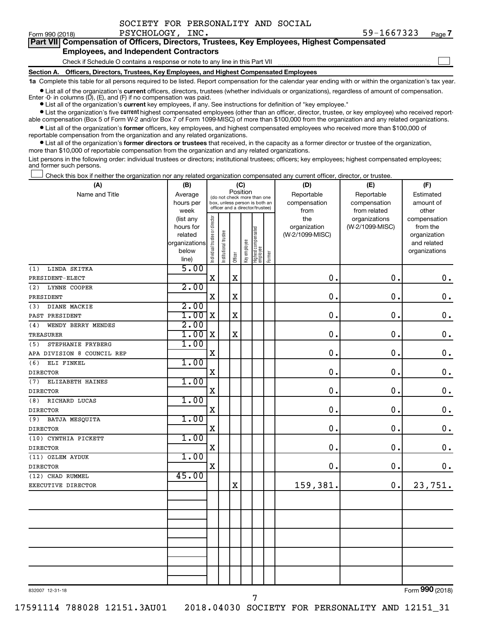| SOCIETY FOR PERSONALITY AND SOCIAL |  |
|------------------------------------|--|
|------------------------------------|--|

|                                               | Part VII Compensation of Officers, Directors, Trustees, Key Employees, Highest Compensated |  |  |  |  |  |  |
|-----------------------------------------------|--------------------------------------------------------------------------------------------|--|--|--|--|--|--|
| <b>Employees, and Independent Contractors</b> |                                                                                            |  |  |  |  |  |  |
|                                               | Check if Schedule O contains a response or note to any line in this Part VII               |  |  |  |  |  |  |

**Section A. Officers, Directors, Trustees, Key Employees, and Highest Compensated Employees**

**1a**  Complete this table for all persons required to be listed. Report compensation for the calendar year ending with or within the organization's tax year.

**•** List all of the organization's current officers, directors, trustees (whether individuals or organizations), regardless of amount of compensation.

Enter -0- in columns  $(D)$ ,  $(E)$ , and  $(F)$  if no compensation was paid.

**•** List all of the organization's **current** key employees, if any. See instructions for definition of "key employee."

**•** List the organization's five current highest compensated employees (other than an officer, director, trustee, or key employee) who received reportable compensation (Box 5 of Form W-2 and/or Box 7 of Form 1099-MISC) of more than \$100,000 from the organization and any related organizations.

**•** List all of the organization's former officers, key employees, and highest compensated employees who received more than \$100,000 of reportable compensation from the organization and any related organizations.

**•** List all of the organization's former directors or trustees that received, in the capacity as a former director or trustee of the organization, more than \$10,000 of reportable compensation from the organization and any related organizations.

List persons in the following order: individual trustees or directors; institutional trustees; officers; key employees; highest compensated employees; and former such persons.

Check this box if neither the organization nor any related organization compensated any current officer, director, or trustee.  $\Box$ 

| (A)                        | (B)                  |                                |                                                                  | (C)         |              |                                 |        | (D)                             | (E)             | (F)                      |
|----------------------------|----------------------|--------------------------------|------------------------------------------------------------------|-------------|--------------|---------------------------------|--------|---------------------------------|-----------------|--------------------------|
| Name and Title             | Average              |                                | (do not check more than one                                      | Position    |              |                                 |        | Reportable                      | Reportable      | Estimated                |
|                            | hours per            |                                | box, unless person is both an<br>officer and a director/trustee) |             |              |                                 |        | compensation                    | compensation    | amount of                |
|                            | week                 |                                |                                                                  |             |              |                                 |        | from                            | from related    | other                    |
|                            | (list any            |                                |                                                                  |             |              |                                 |        | the                             | organizations   | compensation             |
|                            | hours for<br>related |                                |                                                                  |             |              |                                 |        | organization<br>(W-2/1099-MISC) | (W-2/1099-MISC) | from the<br>organization |
|                            | organizations        |                                |                                                                  |             |              |                                 |        |                                 |                 | and related              |
|                            | below                |                                |                                                                  |             |              |                                 |        |                                 |                 | organizations            |
|                            | line)                | Individual trustee or director | Institutional trustee                                            | Officer     | Key employee | Highest compensated<br>employee | Former |                                 |                 |                          |
| LINDA SKITKA<br>(1)        | 5.00                 |                                |                                                                  |             |              |                                 |        |                                 |                 |                          |
| PRESIDENT-ELECT            |                      | $\mathbf X$                    |                                                                  | $\mathbf X$ |              |                                 |        | $\mathbf 0$ .                   | 0.              | $\boldsymbol{0}$ .       |
| LYNNE COOPER<br>(2)        | 2.00                 |                                |                                                                  |             |              |                                 |        |                                 |                 |                          |
| PRESIDENT                  |                      | $\mathbf X$                    |                                                                  | $\mathbf X$ |              |                                 |        | $\mathbf 0$ .                   | $\mathbf 0$ .   | $\mathbf 0$ .            |
| DIANE MACKIE<br>(3)        | 2.00                 |                                |                                                                  |             |              |                                 |        |                                 |                 |                          |
| PAST PRESIDENT             | 1.00x                |                                |                                                                  | $\mathbf X$ |              |                                 |        | $\mathbf 0$ .                   | $\mathbf 0$ .   | $\mathbf 0$ .            |
| WENDY BERRY MENDES<br>(4)  | 2.00                 |                                |                                                                  |             |              |                                 |        |                                 |                 |                          |
| <b>TREASURER</b>           | 1.00                 | $\mathbf X$                    |                                                                  | $\mathbf X$ |              |                                 |        | 0.                              | $\mathbf 0$ .   | $\mathbf 0$ .            |
| STEPHANIE FRYBERG<br>(5)   | 1.00                 |                                |                                                                  |             |              |                                 |        |                                 |                 |                          |
| APA DIVISION 8 COUNCIL REP |                      | $\mathbf X$                    |                                                                  |             |              |                                 |        | $\mathbf 0$ .                   | $\mathbf 0$ .   | $\mathbf 0$ .            |
| ELI FINKEL<br>(6)          | 1.00                 |                                |                                                                  |             |              |                                 |        |                                 |                 |                          |
| <b>DIRECTOR</b>            |                      | X                              |                                                                  |             |              |                                 |        | 0.                              | $\mathbf 0$ .   | $\mathbf 0$ .            |
| ELIZABETH HAINES<br>(7)    | 1.00                 |                                |                                                                  |             |              |                                 |        |                                 |                 |                          |
| <b>DIRECTOR</b>            |                      | X                              |                                                                  |             |              |                                 |        | $\mathbf 0$ .                   | $\mathbf 0$     | $\mathbf 0$ .            |
| (8)<br>RICHARD LUCAS       | 1.00                 |                                |                                                                  |             |              |                                 |        |                                 |                 |                          |
| <b>DIRECTOR</b>            |                      | $\mathbf X$                    |                                                                  |             |              |                                 |        | $\mathbf 0$ .                   | $\mathbf 0$ .   | $\mathbf 0$ .            |
| BATJA MESQUITA<br>(9)      | 1.00                 |                                |                                                                  |             |              |                                 |        |                                 |                 |                          |
| <b>DIRECTOR</b>            |                      | X                              |                                                                  |             |              |                                 |        | $\mathbf 0$ .                   | 0.              | $\mathbf 0$ .            |
| (10) CYNTHIA PICKETT       | 1.00                 |                                |                                                                  |             |              |                                 |        |                                 |                 |                          |
| <b>DIRECTOR</b>            |                      | $\mathbf X$                    |                                                                  |             |              |                                 |        | 0.                              | $\mathbf 0$ .   | $\mathbf 0$ .            |
| (11) OZLEM AYDUK           | 1.00                 |                                |                                                                  |             |              |                                 |        |                                 |                 |                          |
| <b>DIRECTOR</b>            |                      | X                              |                                                                  |             |              |                                 |        | 0.                              | 0.              | 0.                       |
| (12) CHAD RUMMEL           | 45.00                |                                |                                                                  |             |              |                                 |        |                                 |                 |                          |
| EXECUTIVE DIRECTOR         |                      |                                |                                                                  | $\mathbf X$ |              |                                 |        | 159,381.                        | 0.              | 23,751.                  |
|                            |                      |                                |                                                                  |             |              |                                 |        |                                 |                 |                          |
|                            |                      |                                |                                                                  |             |              |                                 |        |                                 |                 |                          |
|                            |                      |                                |                                                                  |             |              |                                 |        |                                 |                 |                          |
|                            |                      |                                |                                                                  |             |              |                                 |        |                                 |                 |                          |
|                            |                      |                                |                                                                  |             |              |                                 |        |                                 |                 |                          |
|                            |                      |                                |                                                                  |             |              |                                 |        |                                 |                 |                          |
|                            |                      |                                |                                                                  |             |              |                                 |        |                                 |                 |                          |
|                            |                      |                                |                                                                  |             |              |                                 |        |                                 |                 |                          |
|                            |                      |                                |                                                                  |             |              |                                 |        |                                 |                 |                          |
|                            |                      |                                |                                                                  |             |              |                                 |        |                                 |                 | $\overline{000}$         |

832007 12-31-18

17591114 788028 12151.3AU01 2018.04030 SOCIETY FOR PERSONALITY AND 12151\_31

7

Form (2018) **990**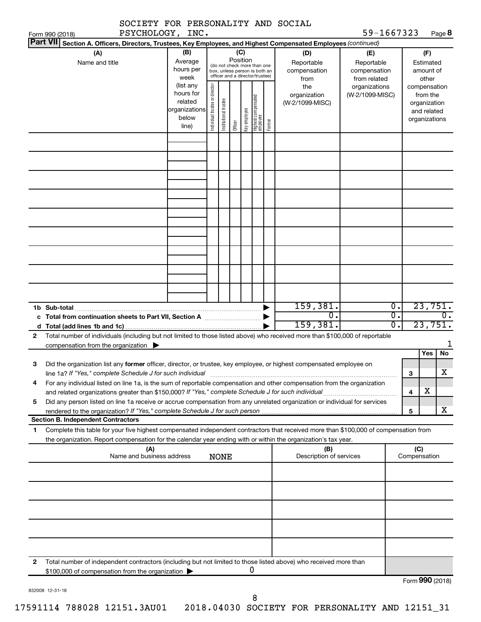| SOCIETY FOR PERSONALITY AND SOCIAL                                                                                                                                                                                                                          |                                                                      |                                                                                                                    |                       |         |              |                                 |        |                                           |                                                   |                                      |                                        |                                                                          |                             |
|-------------------------------------------------------------------------------------------------------------------------------------------------------------------------------------------------------------------------------------------------------------|----------------------------------------------------------------------|--------------------------------------------------------------------------------------------------------------------|-----------------------|---------|--------------|---------------------------------|--------|-------------------------------------------|---------------------------------------------------|--------------------------------------|----------------------------------------|--------------------------------------------------------------------------|-----------------------------|
| PSYCHOLOGY, INC.<br>Form 990 (2018)                                                                                                                                                                                                                         |                                                                      |                                                                                                                    |                       |         |              |                                 |        |                                           | 59-1667323                                        |                                      |                                        |                                                                          | Page 8                      |
| Part VII Section A. Officers, Directors, Trustees, Key Employees, and Highest Compensated Employees (continued)                                                                                                                                             |                                                                      |                                                                                                                    |                       |         |              |                                 |        |                                           |                                                   |                                      |                                        |                                                                          |                             |
| (A)<br>Name and title                                                                                                                                                                                                                                       | (B)<br>Average<br>hours per<br>week                                  | (C)<br>Position<br>(do not check more than one<br>box, unless person is both an<br>officer and a director/trustee) |                       |         |              |                                 |        | (D)<br>Reportable<br>compensation<br>from | (E)<br>Reportable<br>compensation<br>from related |                                      | (F)<br>Estimated<br>amount of<br>other |                                                                          |                             |
|                                                                                                                                                                                                                                                             | (list any<br>hours for<br>related<br>organizations<br>below<br>line) | Individual trustee or director                                                                                     | Institutional trustee | Officer | Key employee | Highest compensated<br>employee | Former | the<br>organization<br>(W-2/1099-MISC)    | organizations<br>(W-2/1099-MISC)                  |                                      |                                        | compensation<br>from the<br>organization<br>and related<br>organizations |                             |
|                                                                                                                                                                                                                                                             |                                                                      |                                                                                                                    |                       |         |              |                                 |        |                                           |                                                   |                                      |                                        |                                                                          |                             |
|                                                                                                                                                                                                                                                             |                                                                      |                                                                                                                    |                       |         |              |                                 |        |                                           |                                                   |                                      |                                        |                                                                          |                             |
|                                                                                                                                                                                                                                                             |                                                                      |                                                                                                                    |                       |         |              |                                 |        |                                           |                                                   |                                      |                                        |                                                                          |                             |
|                                                                                                                                                                                                                                                             |                                                                      |                                                                                                                    |                       |         |              |                                 |        |                                           |                                                   |                                      |                                        |                                                                          |                             |
|                                                                                                                                                                                                                                                             |                                                                      |                                                                                                                    |                       |         |              |                                 |        |                                           |                                                   |                                      |                                        |                                                                          |                             |
|                                                                                                                                                                                                                                                             |                                                                      |                                                                                                                    |                       |         |              |                                 |        |                                           |                                                   |                                      |                                        |                                                                          |                             |
|                                                                                                                                                                                                                                                             |                                                                      |                                                                                                                    |                       |         |              |                                 |        |                                           |                                                   |                                      |                                        |                                                                          |                             |
|                                                                                                                                                                                                                                                             |                                                                      |                                                                                                                    |                       |         |              |                                 |        |                                           |                                                   |                                      |                                        |                                                                          |                             |
|                                                                                                                                                                                                                                                             |                                                                      |                                                                                                                    |                       |         |              |                                 |        |                                           |                                                   |                                      |                                        |                                                                          |                             |
| 1b Sub-total                                                                                                                                                                                                                                                |                                                                      |                                                                                                                    |                       |         |              |                                 |        | 159,381.<br>σ.                            |                                                   | $\overline{0}$ .<br>$\overline{0}$ . |                                        |                                                                          | 23,751.<br>$\overline{0}$ . |
|                                                                                                                                                                                                                                                             |                                                                      |                                                                                                                    |                       |         |              |                                 |        | 159, 381.                                 |                                                   | σ.                                   |                                        |                                                                          | 23,751.                     |
| Total number of individuals (including but not limited to those listed above) who received more than \$100,000 of reportable<br>$\mathbf{2}$                                                                                                                |                                                                      |                                                                                                                    |                       |         |              |                                 |        |                                           |                                                   |                                      |                                        |                                                                          |                             |
| compensation from the organization $\blacktriangleright$                                                                                                                                                                                                    |                                                                      |                                                                                                                    |                       |         |              |                                 |        |                                           |                                                   |                                      |                                        |                                                                          | 1                           |
|                                                                                                                                                                                                                                                             |                                                                      |                                                                                                                    |                       |         |              |                                 |        |                                           |                                                   |                                      |                                        | Yes                                                                      | No                          |
| Did the organization list any former officer, director, or trustee, key employee, or highest compensated employee on<br>З<br>line 1a? If "Yes," complete Schedule J for such individual                                                                     |                                                                      |                                                                                                                    |                       |         |              |                                 |        |                                           |                                                   |                                      | З                                      |                                                                          | х                           |
| For any individual listed on line 1a, is the sum of reportable compensation and other compensation from the organization<br>4                                                                                                                               |                                                                      |                                                                                                                    |                       |         |              |                                 |        |                                           |                                                   |                                      | 4                                      | х                                                                        |                             |
| Did any person listed on line 1a receive or accrue compensation from any unrelated organization or individual for services<br>5<br>rendered to the organization? If "Yes," complete Schedule J for such person manufaction contains and contained           |                                                                      |                                                                                                                    |                       |         |              |                                 |        |                                           |                                                   |                                      | 5                                      |                                                                          | x                           |
| <b>Section B. Independent Contractors</b>                                                                                                                                                                                                                   |                                                                      |                                                                                                                    |                       |         |              |                                 |        |                                           |                                                   |                                      |                                        |                                                                          |                             |
| Complete this table for your five highest compensated independent contractors that received more than \$100,000 of compensation from<br>1<br>the organization. Report compensation for the calendar year ending with or within the organization's tax year. |                                                                      |                                                                                                                    |                       |         |              |                                 |        |                                           |                                                   |                                      |                                        |                                                                          |                             |
| (A)<br>Name and business address                                                                                                                                                                                                                            |                                                                      |                                                                                                                    | <b>NONE</b>           |         |              |                                 |        | (B)<br>Description of services            |                                                   |                                      |                                        | (C)<br>Compensation                                                      |                             |
|                                                                                                                                                                                                                                                             |                                                                      |                                                                                                                    |                       |         |              |                                 |        |                                           |                                                   |                                      |                                        |                                                                          |                             |
|                                                                                                                                                                                                                                                             |                                                                      |                                                                                                                    |                       |         |              |                                 |        |                                           |                                                   |                                      |                                        |                                                                          |                             |
|                                                                                                                                                                                                                                                             |                                                                      |                                                                                                                    |                       |         |              |                                 |        |                                           |                                                   |                                      |                                        |                                                                          |                             |
|                                                                                                                                                                                                                                                             |                                                                      |                                                                                                                    |                       |         |              |                                 |        |                                           |                                                   |                                      |                                        |                                                                          |                             |
|                                                                                                                                                                                                                                                             |                                                                      |                                                                                                                    |                       |         |              |                                 |        |                                           |                                                   |                                      |                                        |                                                                          |                             |
| Total number of independent contractors (including but not limited to those listed above) who received more than<br>2<br>\$100,000 of compensation from the organization                                                                                    |                                                                      |                                                                                                                    |                       |         |              | 0                               |        |                                           |                                                   |                                      |                                        |                                                                          |                             |
|                                                                                                                                                                                                                                                             |                                                                      |                                                                                                                    |                       |         |              |                                 |        |                                           |                                                   |                                      |                                        |                                                                          | Form 990 (2018)             |

832008 12-31-18

8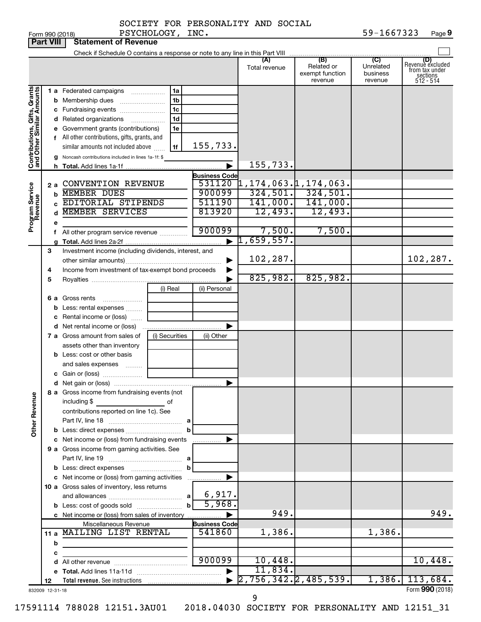|                              | <b>Part VIII</b> | <b>Statement of Revenue</b>                                             |                |                                |                                                                                                    |                                                 |                                         |                                                                    |
|------------------------------|------------------|-------------------------------------------------------------------------|----------------|--------------------------------|----------------------------------------------------------------------------------------------------|-------------------------------------------------|-----------------------------------------|--------------------------------------------------------------------|
|                              |                  |                                                                         |                |                                |                                                                                                    |                                                 |                                         |                                                                    |
|                              |                  |                                                                         |                |                                | (A)<br>Total revenue                                                                               | (B)<br>Related or<br>exempt function<br>revenue | (C)<br>Unrelated<br>business<br>revenue | (D)<br>Revenue excluded<br>from tax under<br>sections<br>512 - 514 |
|                              |                  | 1 a Federated campaigns                                                 | 1a             |                                |                                                                                                    |                                                 |                                         |                                                                    |
| Contributions, Gifts, Grants |                  | <b>b</b> Membership dues                                                | 1 <sub>b</sub> |                                |                                                                                                    |                                                 |                                         |                                                                    |
|                              |                  | c Fundraising events                                                    | 1 <sub>c</sub> |                                |                                                                                                    |                                                 |                                         |                                                                    |
|                              |                  | d Related organizations<br>.                                            | 1 <sub>d</sub> |                                |                                                                                                    |                                                 |                                         |                                                                    |
|                              |                  | e Government grants (contributions)                                     | 1e             |                                |                                                                                                    |                                                 |                                         |                                                                    |
|                              |                  | f All other contributions, gifts, grants, and                           |                |                                |                                                                                                    |                                                 |                                         |                                                                    |
|                              |                  | similar amounts not included above                                      | 1f             | 155,733.                       |                                                                                                    |                                                 |                                         |                                                                    |
|                              |                  | g Noncash contributions included in lines 1a-1f: \$                     |                |                                |                                                                                                    |                                                 |                                         |                                                                    |
|                              |                  |                                                                         |                |                                | 155,733.                                                                                           |                                                 |                                         |                                                                    |
|                              | 2 a              | <b>CONVENTION REVENUE</b>                                               |                | <b>Business Code</b><br>531120 |                                                                                                    |                                                 |                                         |                                                                    |
| Program Service<br>Revenue   | b                | <b>MEMBER DUES</b>                                                      |                | 900099                         | $\begin{array}{ l } \hline 1,174,063.1,174,063. \ \hline 324,501. & 324,501. \ \hline \end{array}$ |                                                 |                                         |                                                                    |
|                              | C.               | EDITORIAL STIPENDS                                                      |                | 511190                         |                                                                                                    | $141,000.$ $141,000.$                           |                                         |                                                                    |
|                              | d                | <b>MEMBER SERVICES</b>                                                  |                | 813920                         | 12,493.                                                                                            | 12,493.                                         |                                         |                                                                    |
|                              | е                |                                                                         |                |                                |                                                                                                    |                                                 |                                         |                                                                    |
|                              |                  | f All other program service revenue                                     |                | 900099                         | 7,500.                                                                                             | 7,500.                                          |                                         |                                                                    |
|                              |                  |                                                                         |                | $\blacktriangleright$          | 1,659,557.                                                                                         |                                                 |                                         |                                                                    |
|                              | 3                | Investment income (including dividends, interest, and                   |                |                                |                                                                                                    |                                                 |                                         |                                                                    |
|                              |                  |                                                                         |                | 102,287.                       |                                                                                                    |                                                 | 102, 287.                               |                                                                    |
|                              | 4                | Income from investment of tax-exempt bond proceeds                      |                |                                | 825,982.                                                                                           | 825,982.                                        |                                         |                                                                    |
|                              | 5                |                                                                         |                |                                |                                                                                                    |                                                 |                                         |                                                                    |
|                              |                  | 6 a Gross rents                                                         | (i) Real       | (ii) Personal                  |                                                                                                    |                                                 |                                         |                                                                    |
|                              | b                | Less: rental expenses                                                   |                |                                |                                                                                                    |                                                 |                                         |                                                                    |
|                              | с                | Rental income or (loss)                                                 |                |                                |                                                                                                    |                                                 |                                         |                                                                    |
|                              |                  | <b>d</b> Net rental income or (loss)                                    |                |                                |                                                                                                    |                                                 |                                         |                                                                    |
|                              |                  | 7 a Gross amount from sales of                                          | (i) Securities | (ii) Other                     |                                                                                                    |                                                 |                                         |                                                                    |
|                              |                  | assets other than inventory                                             |                |                                |                                                                                                    |                                                 |                                         |                                                                    |
|                              |                  | <b>b</b> Less: cost or other basis                                      |                |                                |                                                                                                    |                                                 |                                         |                                                                    |
|                              |                  | and sales expenses                                                      |                |                                |                                                                                                    |                                                 |                                         |                                                                    |
|                              |                  |                                                                         |                |                                |                                                                                                    |                                                 |                                         |                                                                    |
|                              |                  |                                                                         |                | ▶                              |                                                                                                    |                                                 |                                         |                                                                    |
|                              |                  | 8 a Gross income from fundraising events (not                           |                |                                |                                                                                                    |                                                 |                                         |                                                                    |
| <b>Other Revenue</b>         |                  | including \$                                                            | оf             |                                |                                                                                                    |                                                 |                                         |                                                                    |
|                              |                  | contributions reported on line 1c). See                                 |                |                                |                                                                                                    |                                                 |                                         |                                                                    |
|                              |                  |                                                                         | b              |                                |                                                                                                    |                                                 |                                         |                                                                    |
|                              |                  | c Net income or (loss) from fundraising events                          |                | .                              |                                                                                                    |                                                 |                                         |                                                                    |
|                              |                  | 9 a Gross income from gaming activities. See                            |                |                                |                                                                                                    |                                                 |                                         |                                                                    |
|                              |                  |                                                                         |                |                                |                                                                                                    |                                                 |                                         |                                                                    |
|                              |                  |                                                                         | b              |                                |                                                                                                    |                                                 |                                         |                                                                    |
|                              |                  | c Net income or (loss) from gaming activities                           |                |                                |                                                                                                    |                                                 |                                         |                                                                    |
|                              |                  | 10 a Gross sales of inventory, less returns                             |                |                                |                                                                                                    |                                                 |                                         |                                                                    |
|                              |                  |                                                                         |                | 6,917.<br>5,968.               |                                                                                                    |                                                 |                                         |                                                                    |
|                              |                  |                                                                         | $\mathbf{b}$   |                                | 949.                                                                                               |                                                 |                                         | 949.                                                               |
|                              |                  | c Net income or (loss) from sales of inventory<br>Miscellaneous Revenue |                | <b>Business Code</b>           |                                                                                                    |                                                 |                                         |                                                                    |
|                              |                  | 11 a MAILING LIST RENTAL                                                |                | 541860                         | 1,386.                                                                                             |                                                 | 1,386.                                  |                                                                    |
|                              | b                |                                                                         |                |                                |                                                                                                    |                                                 |                                         |                                                                    |
|                              | с                |                                                                         |                |                                |                                                                                                    |                                                 |                                         |                                                                    |
|                              |                  |                                                                         |                | 900099                         | 10,448.                                                                                            |                                                 |                                         | 10,448.                                                            |
|                              |                  |                                                                         |                |                                | 11,834.                                                                                            |                                                 |                                         |                                                                    |
|                              | 12               |                                                                         |                |                                | 2,756,342.2,485,539.                                                                               |                                                 |                                         | $1,386.$ $113,684.$                                                |
|                              | 832009 12-31-18  |                                                                         |                |                                | 9                                                                                                  |                                                 |                                         | Form 990 (2018)                                                    |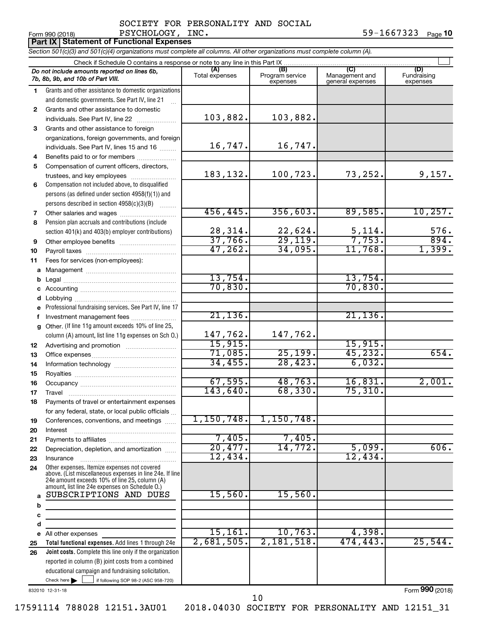|                 | DOCTBII FOR IBROGNABIII AND DOCIAB |      |  |            |         |
|-----------------|------------------------------------|------|--|------------|---------|
| Form 990 (2018) | PSYCHOLOGY,                        | INC. |  | 59-1667323 | Page 10 |

|              | Part IX   Statement of Functional Expenses                                                                                 |                       |                                    |                                           |                                |  |  |  |  |  |
|--------------|----------------------------------------------------------------------------------------------------------------------------|-----------------------|------------------------------------|-------------------------------------------|--------------------------------|--|--|--|--|--|
|              | Section 501(c)(3) and 501(c)(4) organizations must complete all columns. All other organizations must complete column (A). |                       |                                    |                                           |                                |  |  |  |  |  |
|              | Check if Schedule O contains a response or note to any line in this Part IX                                                |                       |                                    |                                           |                                |  |  |  |  |  |
|              | Do not include amounts reported on lines 6b,<br>7b, 8b, 9b, and 10b of Part VIII.                                          | (A)<br>Total expenses | (B)<br>Program service<br>expenses | (C)<br>Management and<br>general expenses | (D)<br>Fundraising<br>expenses |  |  |  |  |  |
| 1            | Grants and other assistance to domestic organizations                                                                      |                       |                                    |                                           |                                |  |  |  |  |  |
|              | and domestic governments. See Part IV, line 21                                                                             |                       |                                    |                                           |                                |  |  |  |  |  |
| $\mathbf{2}$ | Grants and other assistance to domestic                                                                                    |                       |                                    |                                           |                                |  |  |  |  |  |
|              | individuals. See Part IV, line 22                                                                                          | 103,882.              | 103,882.                           |                                           |                                |  |  |  |  |  |
| 3            | Grants and other assistance to foreign                                                                                     |                       |                                    |                                           |                                |  |  |  |  |  |
|              | organizations, foreign governments, and foreign                                                                            |                       |                                    |                                           |                                |  |  |  |  |  |
|              | individuals. See Part IV, lines 15 and 16                                                                                  | 16,747.               | 16,747.                            |                                           |                                |  |  |  |  |  |
| 4            | Benefits paid to or for members                                                                                            |                       |                                    |                                           |                                |  |  |  |  |  |
| 5            | Compensation of current officers, directors,                                                                               |                       |                                    |                                           |                                |  |  |  |  |  |
|              | trustees, and key employees                                                                                                | 183, 132.             | 100,723.                           | 73,252.                                   | 9,157.                         |  |  |  |  |  |
| 6            | Compensation not included above, to disqualified                                                                           |                       |                                    |                                           |                                |  |  |  |  |  |
|              | persons (as defined under section 4958(f)(1)) and                                                                          |                       |                                    |                                           |                                |  |  |  |  |  |
|              | persons described in section 4958(c)(3)(B)                                                                                 | 456, 445.             | 356,603.                           | 89,585.                                   | 10, 257.                       |  |  |  |  |  |
| 7            | Other salaries and wages                                                                                                   |                       |                                    |                                           |                                |  |  |  |  |  |
| 8            | Pension plan accruals and contributions (include<br>section 401(k) and 403(b) employer contributions)                      | 28,314.               | 22,624.                            | 5,114.                                    | 576.                           |  |  |  |  |  |
| 9            |                                                                                                                            | 37,766.               | 29, 119.                           | 7,753.                                    | 894.                           |  |  |  |  |  |
| 10           |                                                                                                                            | 47, 262.              | 34,095.                            | 11,768.                                   | 1,399.                         |  |  |  |  |  |
| 11           | Fees for services (non-employees):                                                                                         |                       |                                    |                                           |                                |  |  |  |  |  |
| а            |                                                                                                                            |                       |                                    |                                           |                                |  |  |  |  |  |
| b            |                                                                                                                            | 13,754.               |                                    | 13,754.                                   |                                |  |  |  |  |  |
|              |                                                                                                                            | 70,830.               |                                    | 70,830.                                   |                                |  |  |  |  |  |
| d            |                                                                                                                            |                       |                                    |                                           |                                |  |  |  |  |  |
|              | Professional fundraising services. See Part IV, line 17                                                                    |                       |                                    |                                           |                                |  |  |  |  |  |
|              | f Investment management fees                                                                                               | 21, 136.              |                                    | 21, 136.                                  |                                |  |  |  |  |  |
| g            | Other. (If line 11g amount exceeds 10% of line 25,                                                                         |                       |                                    |                                           |                                |  |  |  |  |  |
|              | column (A) amount, list line 11g expenses on Sch O.)                                                                       | 147,762.              | 147,762.                           |                                           |                                |  |  |  |  |  |
| 12           |                                                                                                                            | 15,915.               |                                    | 15,915.                                   |                                |  |  |  |  |  |
| 13           |                                                                                                                            | 71,085.               | 25, 199.                           | 45, 232.                                  | 654.                           |  |  |  |  |  |
| 14           |                                                                                                                            | 34,455.               | 28,423.                            | 6,032.                                    |                                |  |  |  |  |  |
| 15           |                                                                                                                            |                       |                                    |                                           |                                |  |  |  |  |  |
| 16           |                                                                                                                            | 67,595.               | 48,763.                            | 16,831.                                   | 2,001.                         |  |  |  |  |  |
| 17           | Travel                                                                                                                     | 143,640.              | 68,330.                            | 75,310.                                   |                                |  |  |  |  |  |
| 18           | Payments of travel or entertainment expenses                                                                               |                       |                                    |                                           |                                |  |  |  |  |  |
|              | for any federal, state, or local public officials                                                                          | 1,150,748.            | 1,150,748.                         |                                           |                                |  |  |  |  |  |
| 19           | Conferences, conventions, and meetings                                                                                     |                       |                                    |                                           |                                |  |  |  |  |  |
| 20           | Interest                                                                                                                   | 7,405.                | 7,405.                             |                                           |                                |  |  |  |  |  |
| 21<br>22     | Depreciation, depletion, and amortization                                                                                  | 20,477.               | 14,772.                            | 5,099.                                    | 606.                           |  |  |  |  |  |
| 23           | Insurance                                                                                                                  | 12,434.               |                                    | 12,434.                                   |                                |  |  |  |  |  |
| 24           | Other expenses. Itemize expenses not covered                                                                               |                       |                                    |                                           |                                |  |  |  |  |  |
|              | above. (List miscellaneous expenses in line 24e. If line                                                                   |                       |                                    |                                           |                                |  |  |  |  |  |
|              | 24e amount exceeds 10% of line 25, column (A)<br>amount, list line 24e expenses on Schedule O.)                            |                       |                                    |                                           |                                |  |  |  |  |  |
| a            | SUBSCRIPTIONS AND DUES                                                                                                     | 15,560.               | 15,560.                            |                                           |                                |  |  |  |  |  |
| b            | the control of the control of the control of the control of                                                                |                       |                                    |                                           |                                |  |  |  |  |  |
| с            |                                                                                                                            |                       |                                    |                                           |                                |  |  |  |  |  |
| d            | <u> 1980 - Johann Barbara, martxa a</u>                                                                                    |                       |                                    |                                           |                                |  |  |  |  |  |
| е            | All other expenses                                                                                                         | 15, 161.              | 10,763.                            | 4,398.                                    |                                |  |  |  |  |  |
| 25           | Total functional expenses. Add lines 1 through 24e                                                                         | 2,681,505.            | 2,181,518.                         | 474, 443.                                 | 25,544.                        |  |  |  |  |  |
| 26           | <b>Joint costs.</b> Complete this line only if the organization                                                            |                       |                                    |                                           |                                |  |  |  |  |  |
|              | reported in column (B) joint costs from a combined                                                                         |                       |                                    |                                           |                                |  |  |  |  |  |

832010 12-31-18

Check here  $\blacktriangleright$ 

Form (2018) **990**

Check here  $\begin{array}{c} \begin{array}{|c} \hline \end{array} \end{array}$  if following SOP 98-2 (ASC 958-720)

educational campaign and fundraising solicitation.

10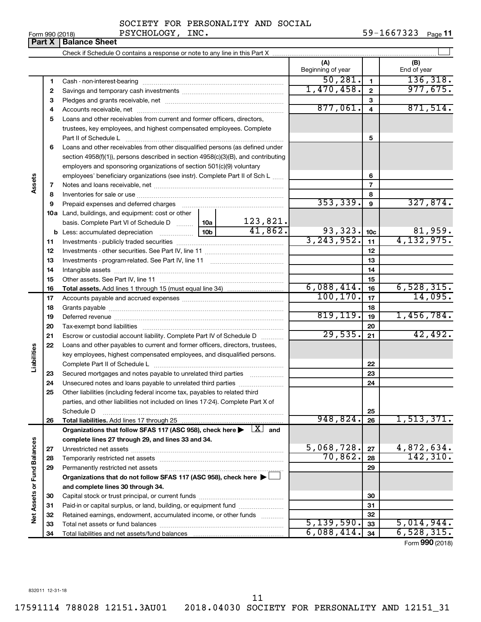**Part X** | Balance Sheet

| SOCIETY FOR PERSONALITY AND SOCIAL |  |  |  |
|------------------------------------|--|--|--|
|------------------------------------|--|--|--|

|                 |             | SOCIETY FOR PERSONALITY AND SOCIAL |  |            |         |
|-----------------|-------------|------------------------------------|--|------------|---------|
| Form 990 (2018) | PSYCHOLOGY, | INC.                               |  | 59-1667323 | Page 11 |

|                             |    |                                                                                                                |                 |          | (A)<br>Beginning of year |                         | (B)<br>End of year |
|-----------------------------|----|----------------------------------------------------------------------------------------------------------------|-----------------|----------|--------------------------|-------------------------|--------------------|
|                             | 1  |                                                                                                                |                 |          | 50, 281.                 | $\mathbf{1}$            | 136, 318.          |
|                             | 2  |                                                                                                                |                 |          | 1,470,458.               | $\overline{\mathbf{2}}$ | 977,675.           |
|                             | з  |                                                                                                                |                 |          |                          | 3                       |                    |
|                             | 4  |                                                                                                                |                 | 877,061. | $\overline{\mathbf{4}}$  | 871,514.                |                    |
|                             | 5  | Loans and other receivables from current and former officers, directors,                                       |                 |          |                          |                         |                    |
|                             |    | trustees, key employees, and highest compensated employees. Complete                                           |                 |          |                          |                         |                    |
|                             |    | Part II of Schedule Latin and Communication of Schedule Latin and Communication of Schedule Latin and Schedule |                 | 5        |                          |                         |                    |
|                             | 6  | Loans and other receivables from other disqualified persons (as defined under                                  |                 |          |                          |                         |                    |
|                             |    | section 4958(f)(1)), persons described in section 4958(c)(3)(B), and contributing                              |                 |          |                          |                         |                    |
|                             |    | employers and sponsoring organizations of section 501(c)(9) voluntary                                          |                 |          |                          |                         |                    |
|                             |    | employees' beneficiary organizations (see instr). Complete Part II of Sch L                                    |                 |          |                          | 6                       |                    |
| Assets                      | 7  |                                                                                                                |                 |          |                          | $\overline{7}$          |                    |
|                             | 8  |                                                                                                                |                 |          |                          | 8                       |                    |
|                             | 9  |                                                                                                                |                 |          | 353,339.                 | $\boldsymbol{9}$        | 327,874.           |
|                             |    | <b>10a</b> Land, buildings, and equipment: cost or other                                                       |                 |          |                          |                         |                    |
|                             |    | basis. Complete Part VI of Schedule D $\ldots$   10a                                                           |                 | 123,821. |                          |                         |                    |
|                             |    | <b>b</b> Less: accumulated depreciation <i></i>                                                                | 10 <sub>b</sub> | 41,862.  | 93,323.                  | 10 <sub>c</sub>         | 81,959.            |
|                             | 11 |                                                                                                                | 3, 243, 952.    | 11       | 4,132,975.               |                         |                    |
|                             | 12 |                                                                                                                |                 | 12       |                          |                         |                    |
|                             | 13 |                                                                                                                |                 | 13       |                          |                         |                    |
|                             | 14 |                                                                                                                |                 | 14       |                          |                         |                    |
|                             | 15 |                                                                                                                |                 |          |                          | 15                      |                    |
|                             | 16 |                                                                                                                |                 |          | 6,088,414.               | 16                      | 6,528,315.         |
|                             | 17 |                                                                                                                | 100, 170.       | 17       | 14,095.                  |                         |                    |
|                             | 18 |                                                                                                                |                 | 18       |                          |                         |                    |
|                             | 19 |                                                                                                                |                 |          | 819, 119.                | 19                      | 1,456,784.         |
|                             | 20 |                                                                                                                |                 |          |                          | 20                      |                    |
|                             | 21 | Escrow or custodial account liability. Complete Part IV of Schedule D                                          |                 |          | 29,535.                  | 21                      | 42,492.            |
|                             | 22 | Loans and other payables to current and former officers, directors, trustees,                                  |                 |          |                          |                         |                    |
| Liabilities                 |    | key employees, highest compensated employees, and disqualified persons.                                        |                 |          |                          |                         |                    |
|                             |    |                                                                                                                |                 |          |                          | 22                      |                    |
|                             | 23 | Secured mortgages and notes payable to unrelated third parties <i>mummum</i>                                   |                 |          |                          | 23                      |                    |
|                             | 24 | Unsecured notes and loans payable to unrelated third parties                                                   |                 |          |                          | 24                      |                    |
|                             | 25 | Other liabilities (including federal income tax, payables to related third                                     |                 |          |                          |                         |                    |
|                             |    | parties, and other liabilities not included on lines 17-24). Complete Part X of                                |                 |          |                          |                         |                    |
|                             |    | Schedule D                                                                                                     |                 |          |                          | 25                      |                    |
|                             | 26 |                                                                                                                |                 |          | 948,824.                 | 26                      | 1, 513, 371.       |
|                             |    | Organizations that follow SFAS 117 (ASC 958), check here $\blacktriangleright$ $\boxed{X}$ and                 |                 |          |                          |                         |                    |
|                             |    | complete lines 27 through 29, and lines 33 and 34.                                                             |                 |          |                          |                         |                    |
|                             | 27 |                                                                                                                |                 |          | 5,068,728.               | 27                      | 4,872,634.         |
|                             | 28 |                                                                                                                |                 |          | 70,862.                  | 28                      | 142, 310.          |
|                             | 29 | Permanently restricted net assets                                                                              |                 |          |                          | 29                      |                    |
|                             |    | Organizations that do not follow SFAS 117 (ASC 958), check here ▶ $\Box$                                       |                 |          |                          |                         |                    |
|                             |    | and complete lines 30 through 34.                                                                              |                 |          |                          |                         |                    |
|                             | 30 |                                                                                                                |                 |          |                          | 30                      |                    |
| Net Assets or Fund Balances | 31 | Paid-in or capital surplus, or land, building, or equipment fund                                               |                 |          |                          | 31                      |                    |
|                             | 32 | Retained earnings, endowment, accumulated income, or other funds                                               |                 |          | 5,139,590.               | 32                      |                    |
|                             | 33 |                                                                                                                |                 |          |                          | 33                      | 5,014,944.         |
|                             | 34 |                                                                                                                |                 |          | 6,088,414.               | 34                      | 6,528,315.         |

Form (2018) **990**

11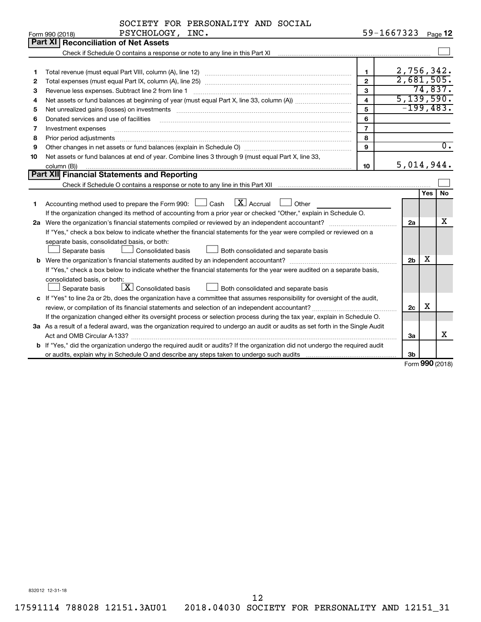| SOCIETY FOR PERSONALITY AND SOCIAL |  |  |  |
|------------------------------------|--|--|--|
|------------------------------------|--|--|--|

|    | PSYCHOLOGY, INC.<br>Form 990 (2018)                                                                                                  | 59-1667323              |                |            | Page 12          |
|----|--------------------------------------------------------------------------------------------------------------------------------------|-------------------------|----------------|------------|------------------|
|    | Part XI Reconciliation of Net Assets                                                                                                 |                         |                |            |                  |
|    |                                                                                                                                      |                         |                |            |                  |
|    |                                                                                                                                      |                         |                |            |                  |
| 1  |                                                                                                                                      | $\mathbf{1}$            | 2,756,342.     |            |                  |
| 2  |                                                                                                                                      | $\overline{2}$          | 2,681,505.     |            |                  |
| З  | Revenue less expenses. Subtract line 2 from line 1                                                                                   | 3                       |                |            | 74,837.          |
| 4  |                                                                                                                                      | $\overline{\mathbf{4}}$ | 5, 139, 590.   |            |                  |
| 5  |                                                                                                                                      | 5                       | $-199,483.$    |            |                  |
| 6  | Donated services and use of facilities                                                                                               | 6                       |                |            |                  |
| 7  | Investment expenses                                                                                                                  | $\overline{7}$          |                |            |                  |
| 8  | Prior period adjustments                                                                                                             | 8                       |                |            |                  |
| 9  |                                                                                                                                      | 9                       |                |            | $\overline{0}$ . |
| 10 | Net assets or fund balances at end of year. Combine lines 3 through 9 (must equal Part X, line 33,                                   |                         |                |            |                  |
|    | column (B))                                                                                                                          | 10                      | 5,014,944.     |            |                  |
|    | Part XII Financial Statements and Reporting                                                                                          |                         |                |            |                  |
|    |                                                                                                                                      |                         |                |            |                  |
|    |                                                                                                                                      |                         |                | <b>Yes</b> | No               |
| 1  | Accounting method used to prepare the Form 990: $\Box$ Cash $\Box$ Accrual<br>$\Box$ Other                                           |                         |                |            |                  |
|    | If the organization changed its method of accounting from a prior year or checked "Other," explain in Schedule O.                    |                         |                |            |                  |
|    | 2a Were the organization's financial statements compiled or reviewed by an independent accountant?                                   |                         | 2a             |            | x                |
|    | If "Yes," check a box below to indicate whether the financial statements for the year were compiled or reviewed on a                 |                         |                |            |                  |
|    | separate basis, consolidated basis, or both:                                                                                         |                         |                |            |                  |
|    | <b>Consolidated basis</b><br>Separate basis<br>Both consolidated and separate basis                                                  |                         |                |            |                  |
|    |                                                                                                                                      |                         | 2 <sub>b</sub> | х          |                  |
|    | If "Yes," check a box below to indicate whether the financial statements for the year were audited on a separate basis,              |                         |                |            |                  |
|    | consolidated basis, or both:                                                                                                         |                         |                |            |                  |
|    | $\boxed{\textbf{X}}$ Consolidated basis<br>Both consolidated and separate basis<br>Separate basis                                    |                         |                |            |                  |
|    | c If "Yes" to line 2a or 2b, does the organization have a committee that assumes responsibility for oversight of the audit,          |                         |                |            |                  |
|    | review, or compilation of its financial statements and selection of an independent accountant?                                       |                         | 2c             | X          |                  |
|    | If the organization changed either its oversight process or selection process during the tax year, explain in Schedule O.            |                         |                |            |                  |
|    | 3a As a result of a federal award, was the organization required to undergo an audit or audits as set forth in the Single Audit      |                         |                |            |                  |
|    |                                                                                                                                      |                         | За             |            | X                |
|    | <b>b</b> If "Yes," did the organization undergo the required audit or audits? If the organization did not undergo the required audit |                         |                |            |                  |
|    |                                                                                                                                      |                         | 3b             |            |                  |

Form (2018) **990**

832012 12-31-18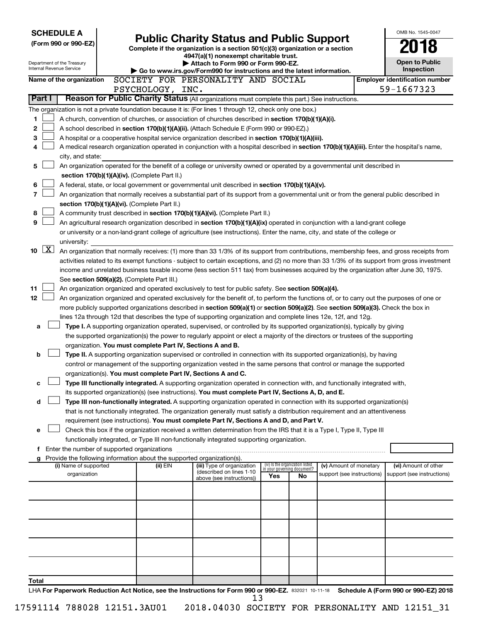| <b>SCHEDULE A</b>                                      |                                               |                                                                                                                                                                                                                                                                                  |     |                                                                      |                            | OMB No. 1545-0047                     |
|--------------------------------------------------------|-----------------------------------------------|----------------------------------------------------------------------------------------------------------------------------------------------------------------------------------------------------------------------------------------------------------------------------------|-----|----------------------------------------------------------------------|----------------------------|---------------------------------------|
| (Form 990 or 990-EZ)                                   |                                               | <b>Public Charity Status and Public Support</b><br>Complete if the organization is a section 501(c)(3) organization or a section                                                                                                                                                 |     |                                                                      |                            |                                       |
|                                                        |                                               | 4947(a)(1) nonexempt charitable trust.                                                                                                                                                                                                                                           |     |                                                                      |                            |                                       |
| Department of the Treasury<br>Internal Revenue Service |                                               | Attach to Form 990 or Form 990-EZ.                                                                                                                                                                                                                                               |     |                                                                      |                            | <b>Open to Public</b><br>Inspection   |
|                                                        |                                               | Go to www.irs.gov/Form990 for instructions and the latest information.<br>SOCIETY FOR PERSONALITY AND SOCIAL                                                                                                                                                                     |     |                                                                      |                            | <b>Employer identification number</b> |
| Name of the organization                               | PSYCHOLOGY, INC.                              |                                                                                                                                                                                                                                                                                  |     |                                                                      |                            | 59-1667323                            |
| Part I                                                 |                                               | Reason for Public Charity Status (All organizations must complete this part.) See instructions.                                                                                                                                                                                  |     |                                                                      |                            |                                       |
|                                                        |                                               | The organization is not a private foundation because it is: (For lines 1 through 12, check only one box.)                                                                                                                                                                        |     |                                                                      |                            |                                       |
| 1                                                      |                                               | A church, convention of churches, or association of churches described in section 170(b)(1)(A)(i).                                                                                                                                                                               |     |                                                                      |                            |                                       |
| 2                                                      |                                               | A school described in section 170(b)(1)(A)(ii). (Attach Schedule E (Form 990 or 990-EZ).)                                                                                                                                                                                        |     |                                                                      |                            |                                       |
| 3                                                      |                                               | A hospital or a cooperative hospital service organization described in section 170(b)(1)(A)(iii).                                                                                                                                                                                |     |                                                                      |                            |                                       |
| 4                                                      |                                               | A medical research organization operated in conjunction with a hospital described in section 170(b)(1)(A)(iii). Enter the hospital's name,                                                                                                                                       |     |                                                                      |                            |                                       |
| city, and state:                                       |                                               |                                                                                                                                                                                                                                                                                  |     |                                                                      |                            |                                       |
| 5                                                      |                                               | An organization operated for the benefit of a college or university owned or operated by a governmental unit described in                                                                                                                                                        |     |                                                                      |                            |                                       |
|                                                        | section 170(b)(1)(A)(iv). (Complete Part II.) |                                                                                                                                                                                                                                                                                  |     |                                                                      |                            |                                       |
| 6                                                      |                                               | A federal, state, or local government or governmental unit described in section 170(b)(1)(A)(v).                                                                                                                                                                                 |     |                                                                      |                            |                                       |
| 7                                                      |                                               | An organization that normally receives a substantial part of its support from a governmental unit or from the general public described in                                                                                                                                        |     |                                                                      |                            |                                       |
| 8                                                      | section 170(b)(1)(A)(vi). (Complete Part II.) | A community trust described in section 170(b)(1)(A)(vi). (Complete Part II.)                                                                                                                                                                                                     |     |                                                                      |                            |                                       |
| 9                                                      |                                               | An agricultural research organization described in section 170(b)(1)(A)(ix) operated in conjunction with a land-grant college                                                                                                                                                    |     |                                                                      |                            |                                       |
|                                                        |                                               | or university or a non-land-grant college of agriculture (see instructions). Enter the name, city, and state of the college or                                                                                                                                                   |     |                                                                      |                            |                                       |
| university:                                            |                                               |                                                                                                                                                                                                                                                                                  |     |                                                                      |                            |                                       |
| $\boxed{\text{X}}$<br>10                               |                                               | An organization that normally receives: (1) more than 33 1/3% of its support from contributions, membership fees, and gross receipts from                                                                                                                                        |     |                                                                      |                            |                                       |
|                                                        |                                               | activities related to its exempt functions - subject to certain exceptions, and (2) no more than 33 1/3% of its support from gross investment                                                                                                                                    |     |                                                                      |                            |                                       |
|                                                        |                                               | income and unrelated business taxable income (less section 511 tax) from businesses acquired by the organization after June 30, 1975.                                                                                                                                            |     |                                                                      |                            |                                       |
|                                                        | See section 509(a)(2). (Complete Part III.)   |                                                                                                                                                                                                                                                                                  |     |                                                                      |                            |                                       |
| 11<br>12                                               |                                               | An organization organized and operated exclusively to test for public safety. See section 509(a)(4).                                                                                                                                                                             |     |                                                                      |                            |                                       |
|                                                        |                                               | An organization organized and operated exclusively for the benefit of, to perform the functions of, or to carry out the purposes of one or<br>more publicly supported organizations described in section 509(a)(1) or section 509(a)(2). See section 509(a)(3). Check the box in |     |                                                                      |                            |                                       |
|                                                        |                                               | lines 12a through 12d that describes the type of supporting organization and complete lines 12e, 12f, and 12g.                                                                                                                                                                   |     |                                                                      |                            |                                       |
| а                                                      |                                               | Type I. A supporting organization operated, supervised, or controlled by its supported organization(s), typically by giving                                                                                                                                                      |     |                                                                      |                            |                                       |
|                                                        |                                               | the supported organization(s) the power to regularly appoint or elect a majority of the directors or trustees of the supporting                                                                                                                                                  |     |                                                                      |                            |                                       |
|                                                        |                                               | organization. You must complete Part IV, Sections A and B.                                                                                                                                                                                                                       |     |                                                                      |                            |                                       |
| b                                                      |                                               | Type II. A supporting organization supervised or controlled in connection with its supported organization(s), by having                                                                                                                                                          |     |                                                                      |                            |                                       |
|                                                        |                                               | control or management of the supporting organization vested in the same persons that control or manage the supported                                                                                                                                                             |     |                                                                      |                            |                                       |
|                                                        |                                               | organization(s). You must complete Part IV, Sections A and C.                                                                                                                                                                                                                    |     |                                                                      |                            |                                       |
| с                                                      |                                               | Type III functionally integrated. A supporting organization operated in connection with, and functionally integrated with,<br>its supported organization(s) (see instructions). You must complete Part IV, Sections A, D, and E.                                                 |     |                                                                      |                            |                                       |
| d                                                      |                                               | Type III non-functionally integrated. A supporting organization operated in connection with its supported organization(s)                                                                                                                                                        |     |                                                                      |                            |                                       |
|                                                        |                                               | that is not functionally integrated. The organization generally must satisfy a distribution requirement and an attentiveness                                                                                                                                                     |     |                                                                      |                            |                                       |
|                                                        |                                               | requirement (see instructions). You must complete Part IV, Sections A and D, and Part V.                                                                                                                                                                                         |     |                                                                      |                            |                                       |
| e                                                      |                                               | Check this box if the organization received a written determination from the IRS that it is a Type I, Type II, Type III                                                                                                                                                          |     |                                                                      |                            |                                       |
|                                                        |                                               | functionally integrated, or Type III non-functionally integrated supporting organization.                                                                                                                                                                                        |     |                                                                      |                            |                                       |
|                                                        |                                               |                                                                                                                                                                                                                                                                                  |     |                                                                      |                            |                                       |
| (i) Name of supported                                  | (ii) EIN                                      | g Provide the following information about the supported organization(s).<br>(iii) Type of organization                                                                                                                                                                           |     |                                                                      | (v) Amount of monetary     | (vi) Amount of other                  |
| organization                                           |                                               | (described on lines 1-10                                                                                                                                                                                                                                                         | Yes | (iv) Is the organization listed<br>in your governing document?<br>No | support (see instructions) | support (see instructions)            |
|                                                        |                                               | above (see instructions))                                                                                                                                                                                                                                                        |     |                                                                      |                            |                                       |
|                                                        |                                               |                                                                                                                                                                                                                                                                                  |     |                                                                      |                            |                                       |
|                                                        |                                               |                                                                                                                                                                                                                                                                                  |     |                                                                      |                            |                                       |
|                                                        |                                               |                                                                                                                                                                                                                                                                                  |     |                                                                      |                            |                                       |
|                                                        |                                               |                                                                                                                                                                                                                                                                                  |     |                                                                      |                            |                                       |
|                                                        |                                               |                                                                                                                                                                                                                                                                                  |     |                                                                      |                            |                                       |
|                                                        |                                               |                                                                                                                                                                                                                                                                                  |     |                                                                      |                            |                                       |
|                                                        |                                               |                                                                                                                                                                                                                                                                                  |     |                                                                      |                            |                                       |
|                                                        |                                               |                                                                                                                                                                                                                                                                                  |     |                                                                      |                            |                                       |
| Total                                                  |                                               |                                                                                                                                                                                                                                                                                  |     |                                                                      |                            |                                       |
|                                                        |                                               | LHA For Paperwork Reduction Act Notice, see the Instructions for Form 990 or 990-EZ. 832021 10-11-18                                                                                                                                                                             |     |                                                                      |                            | Schedule A (Form 990 or 990-EZ) 2018  |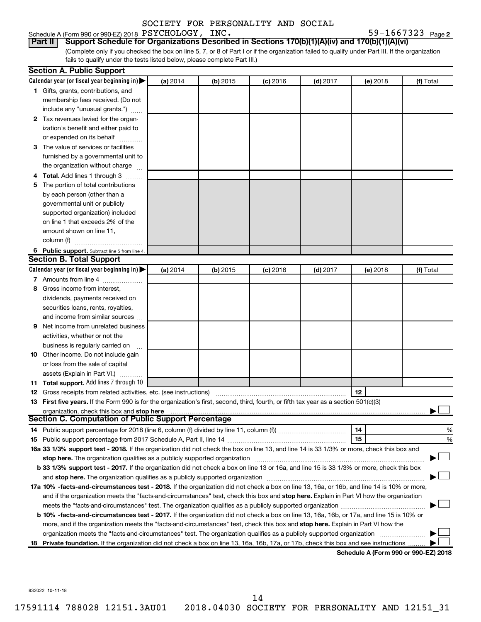### Schedule A (Form 990 or 990-EZ) 2018  $\rm{PSYCHOLOGY}$ ,  $\rm{INC.}$   $\rm{59-1667323}$   $\rm{Page}$

59-1667323 Page 2

(Complete only if you checked the box on line 5, 7, or 8 of Part I or if the organization failed to qualify under Part III. If the organization fails to qualify under the tests listed below, please complete Part III.) **Part II Support Schedule for Organizations Described in Sections 170(b)(1)(A)(iv) and 170(b)(1)(A)(vi)**

|   | <b>Section A. Public Support</b>                                                                                                                                                                                           |          |          |            |            |          |                                      |
|---|----------------------------------------------------------------------------------------------------------------------------------------------------------------------------------------------------------------------------|----------|----------|------------|------------|----------|--------------------------------------|
|   | Calendar year (or fiscal year beginning in)                                                                                                                                                                                | (a) 2014 | (b) 2015 | $(c)$ 2016 | $(d)$ 2017 | (e) 2018 | (f) Total                            |
|   | 1 Gifts, grants, contributions, and                                                                                                                                                                                        |          |          |            |            |          |                                      |
|   | membership fees received. (Do not                                                                                                                                                                                          |          |          |            |            |          |                                      |
|   | include any "unusual grants.")                                                                                                                                                                                             |          |          |            |            |          |                                      |
|   | 2 Tax revenues levied for the organ-                                                                                                                                                                                       |          |          |            |            |          |                                      |
|   | ization's benefit and either paid to                                                                                                                                                                                       |          |          |            |            |          |                                      |
|   | or expended on its behalf                                                                                                                                                                                                  |          |          |            |            |          |                                      |
|   | 3 The value of services or facilities                                                                                                                                                                                      |          |          |            |            |          |                                      |
|   | furnished by a governmental unit to                                                                                                                                                                                        |          |          |            |            |          |                                      |
|   | the organization without charge                                                                                                                                                                                            |          |          |            |            |          |                                      |
|   | 4 Total. Add lines 1 through 3                                                                                                                                                                                             |          |          |            |            |          |                                      |
|   | 5 The portion of total contributions                                                                                                                                                                                       |          |          |            |            |          |                                      |
|   | by each person (other than a                                                                                                                                                                                               |          |          |            |            |          |                                      |
|   | governmental unit or publicly                                                                                                                                                                                              |          |          |            |            |          |                                      |
|   | supported organization) included                                                                                                                                                                                           |          |          |            |            |          |                                      |
|   | on line 1 that exceeds 2% of the                                                                                                                                                                                           |          |          |            |            |          |                                      |
|   | amount shown on line 11,                                                                                                                                                                                                   |          |          |            |            |          |                                      |
|   | column (f)                                                                                                                                                                                                                 |          |          |            |            |          |                                      |
|   | 6 Public support. Subtract line 5 from line 4.                                                                                                                                                                             |          |          |            |            |          |                                      |
|   | <b>Section B. Total Support</b>                                                                                                                                                                                            |          |          |            |            |          |                                      |
|   | Calendar year (or fiscal year beginning in)                                                                                                                                                                                | (a) 2014 | (b) 2015 | $(c)$ 2016 | $(d)$ 2017 | (e) 2018 | (f) Total                            |
|   | 7 Amounts from line 4                                                                                                                                                                                                      |          |          |            |            |          |                                      |
|   | 8 Gross income from interest,                                                                                                                                                                                              |          |          |            |            |          |                                      |
|   | dividends, payments received on                                                                                                                                                                                            |          |          |            |            |          |                                      |
|   | securities loans, rents, royalties,                                                                                                                                                                                        |          |          |            |            |          |                                      |
|   | and income from similar sources                                                                                                                                                                                            |          |          |            |            |          |                                      |
| 9 | Net income from unrelated business                                                                                                                                                                                         |          |          |            |            |          |                                      |
|   | activities, whether or not the                                                                                                                                                                                             |          |          |            |            |          |                                      |
|   | business is regularly carried on                                                                                                                                                                                           |          |          |            |            |          |                                      |
|   | 10 Other income. Do not include gain                                                                                                                                                                                       |          |          |            |            |          |                                      |
|   | or loss from the sale of capital                                                                                                                                                                                           |          |          |            |            |          |                                      |
|   | assets (Explain in Part VI.)                                                                                                                                                                                               |          |          |            |            |          |                                      |
|   | 11 Total support. Add lines 7 through 10                                                                                                                                                                                   |          |          |            |            |          |                                      |
|   | <b>12</b> Gross receipts from related activities, etc. (see instructions)                                                                                                                                                  |          |          |            |            | 12       |                                      |
|   | 13 First five years. If the Form 990 is for the organization's first, second, third, fourth, or fifth tax year as a section 501(c)(3)                                                                                      |          |          |            |            |          |                                      |
|   | organization, check this box and stop here                                                                                                                                                                                 |          |          |            |            |          |                                      |
|   | <b>Section C. Computation of Public Support Percentage</b>                                                                                                                                                                 |          |          |            |            |          |                                      |
|   |                                                                                                                                                                                                                            |          |          |            |            | 14       | %                                    |
|   |                                                                                                                                                                                                                            |          |          |            |            | 15       | %                                    |
|   | 16a 33 1/3% support test - 2018. If the organization did not check the box on line 13, and line 14 is 33 1/3% or more, check this box and                                                                                  |          |          |            |            |          |                                      |
|   | stop here. The organization qualifies as a publicly supported organization                                                                                                                                                 |          |          |            |            |          |                                      |
|   | b 33 1/3% support test - 2017. If the organization did not check a box on line 13 or 16a, and line 15 is 33 1/3% or more, check this box                                                                                   |          |          |            |            |          |                                      |
|   | and stop here. The organization qualifies as a publicly supported organization [11] manuscription manuscription manuscription manuscription and stop here. The organization qualifies as a publicly supported organization |          |          |            |            |          |                                      |
|   | 17a 10% -facts-and-circumstances test - 2018. If the organization did not check a box on line 13, 16a, or 16b, and line 14 is 10% or more,                                                                                 |          |          |            |            |          |                                      |
|   | and if the organization meets the "facts-and-circumstances" test, check this box and stop here. Explain in Part VI how the organization                                                                                    |          |          |            |            |          |                                      |
|   | meets the "facts-and-circumstances" test. The organization qualifies as a publicly supported organization <i>manumumumumum</i>                                                                                             |          |          |            |            |          |                                      |
|   | b 10% -facts-and-circumstances test - 2017. If the organization did not check a box on line 13, 16a, 16b, or 17a, and line 15 is 10% or                                                                                    |          |          |            |            |          |                                      |
|   | more, and if the organization meets the "facts-and-circumstances" test, check this box and stop here. Explain in Part VI how the                                                                                           |          |          |            |            |          |                                      |
|   | organization meets the "facts-and-circumstances" test. The organization qualifies as a publicly supported organization                                                                                                     |          |          |            |            |          |                                      |
|   | 18 Private foundation. If the organization did not check a box on line 13, 16a, 16b, 17a, or 17b, check this box and see instructions                                                                                      |          |          |            |            |          |                                      |
|   |                                                                                                                                                                                                                            |          |          |            |            |          | Schodule A (Form 000 or 000 E7) 2010 |

**Schedule A (Form 990 or 990-EZ) 2018**

832022 10-11-18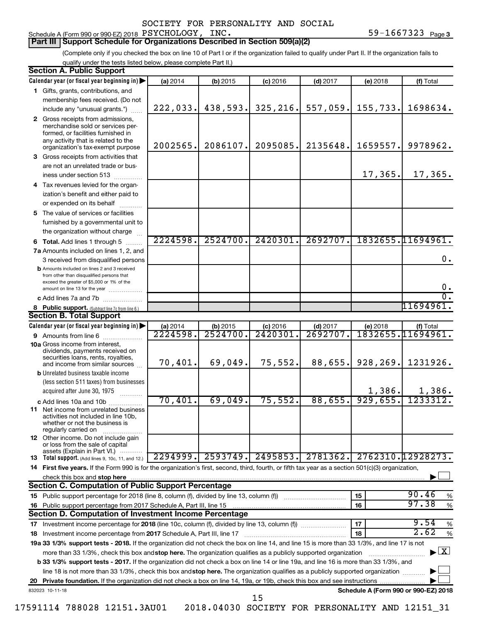### Schedule A (Form 990 or 990-EZ) 2018  $\rm{PSYCHOLOGY}$ ,  $\rm{INC.}$   $\rm{59-1667323}$   $\rm{Page}$

### **Part III Support Schedule for Organizations Described in Section 509(a)(2)**

(Complete only if you checked the box on line 10 of Part I or if the organization failed to qualify under Part II. If the organization fails to qualify under the tests listed below, please complete Part II.)

|    | <b>Section A. Public Support</b>                                                                                                                                                                                                              |          |            |            |            |                                      |                                    |
|----|-----------------------------------------------------------------------------------------------------------------------------------------------------------------------------------------------------------------------------------------------|----------|------------|------------|------------|--------------------------------------|------------------------------------|
|    | Calendar year (or fiscal year beginning in)                                                                                                                                                                                                   | (a) 2014 | $(b)$ 2015 | $(c)$ 2016 | $(d)$ 2017 | (e) 2018                             | (f) Total                          |
|    | 1 Gifts, grants, contributions, and                                                                                                                                                                                                           |          |            |            |            |                                      |                                    |
|    | membership fees received. (Do not                                                                                                                                                                                                             |          |            |            |            |                                      |                                    |
|    | include any "unusual grants.")                                                                                                                                                                                                                | 222,033. | 438,593.   | 325, 216.  | 557,059.   | 155,733.                             | 1698634.                           |
|    | 2 Gross receipts from admissions,<br>merchandise sold or services per-<br>formed, or facilities furnished in<br>any activity that is related to the<br>organization's tax-exempt purpose                                                      | 2002565. | 2086107.   | 2095085.   | 2135648.   | 1659557.                             | 9978962.                           |
|    | <b>3</b> Gross receipts from activities that                                                                                                                                                                                                  |          |            |            |            |                                      |                                    |
|    | are not an unrelated trade or bus-                                                                                                                                                                                                            |          |            |            |            |                                      |                                    |
|    | iness under section 513                                                                                                                                                                                                                       |          |            |            |            | 17,365.                              | 17,365.                            |
|    | 4 Tax revenues levied for the organ-                                                                                                                                                                                                          |          |            |            |            |                                      |                                    |
|    | ization's benefit and either paid to                                                                                                                                                                                                          |          |            |            |            |                                      |                                    |
|    | or expended on its behalf                                                                                                                                                                                                                     |          |            |            |            |                                      |                                    |
|    | 5 The value of services or facilities                                                                                                                                                                                                         |          |            |            |            |                                      |                                    |
|    | furnished by a governmental unit to                                                                                                                                                                                                           |          |            |            |            |                                      |                                    |
|    | the organization without charge                                                                                                                                                                                                               |          |            |            |            |                                      |                                    |
|    | <b>6 Total.</b> Add lines 1 through 5                                                                                                                                                                                                         | 2224598. | 2524700.   | 2420301    | 2692707.   |                                      | 1832655.11694961.                  |
|    | 7a Amounts included on lines 1, 2, and                                                                                                                                                                                                        |          |            |            |            |                                      |                                    |
|    | 3 received from disqualified persons                                                                                                                                                                                                          |          |            |            |            |                                      | 0.                                 |
|    | <b>b</b> Amounts included on lines 2 and 3 received<br>from other than disqualified persons that<br>exceed the greater of \$5,000 or 1% of the                                                                                                |          |            |            |            |                                      | $\mathbf 0$ .                      |
|    | amount on line 13 for the year<br>c Add lines 7a and 7b                                                                                                                                                                                       |          |            |            |            |                                      | $\overline{0}$ .                   |
|    | 8 Public support. (Subtract line 7c from line 6.)                                                                                                                                                                                             |          |            |            |            |                                      | 11694961.                          |
|    | <b>Section B. Total Support</b>                                                                                                                                                                                                               |          |            |            |            |                                      |                                    |
|    | Calendar year (or fiscal year beginning in)                                                                                                                                                                                                   | (a) 2014 | $(b)$ 2015 | $(c)$ 2016 | $(d)$ 2017 | (e) 2018                             | (f) Total                          |
|    | <b>9</b> Amounts from line 6                                                                                                                                                                                                                  | 2224598  | 2524700    | 2420301    | 2692707    |                                      | <u>1832655.11694961.</u>           |
|    | <b>10a</b> Gross income from interest,                                                                                                                                                                                                        |          |            |            |            |                                      |                                    |
|    | dividends, payments received on<br>securities loans, rents, royalties,<br>and income from similar sources                                                                                                                                     | 70,401.  | 69,049.    | 75,552.    | 88,655.    | 928,269.                             | 1231926.                           |
|    | <b>b</b> Unrelated business taxable income                                                                                                                                                                                                    |          |            |            |            |                                      |                                    |
|    | (less section 511 taxes) from businesses                                                                                                                                                                                                      |          |            |            |            |                                      |                                    |
|    | acquired after June 30, 1975                                                                                                                                                                                                                  |          |            |            |            | 1,386.                               | 1,386.                             |
|    | c Add lines 10a and 10b                                                                                                                                                                                                                       | 70,401.  | 69,049.    | 75,552.    | 88,655.    | 929,655.                             | 1233312.                           |
|    | <b>11</b> Net income from unrelated business<br>activities not included in line 10b,<br>whether or not the business is<br>regularly carried on                                                                                                |          |            |            |            |                                      |                                    |
|    | 12 Other income. Do not include gain<br>or loss from the sale of capital<br>assets (Explain in Part VI.)                                                                                                                                      |          |            |            |            |                                      |                                    |
|    | <b>13</b> Total support. (Add lines 9, 10c, 11, and 12.)                                                                                                                                                                                      | 2294999. | 2593749.   | 2495853.   | 2781362.   |                                      | 2762310.12928273.                  |
|    | 14 First five years. If the Form 990 is for the organization's first, second, third, fourth, or fifth tax year as a section 501(c)(3) organization,                                                                                           |          |            |            |            |                                      |                                    |
|    | check this box and stop here                                                                                                                                                                                                                  |          |            |            |            |                                      |                                    |
|    | <b>Section C. Computation of Public Support Percentage</b>                                                                                                                                                                                    |          |            |            |            |                                      |                                    |
|    |                                                                                                                                                                                                                                               |          |            |            |            | 15                                   | 90.46<br>%                         |
|    |                                                                                                                                                                                                                                               |          |            |            |            | 16                                   | 97.38<br>$\%$                      |
|    | Section D. Computation of Investment Income Percentage                                                                                                                                                                                        |          |            |            |            |                                      |                                    |
|    | 9.54<br>17<br>%<br>17 Investment income percentage for 2018 (line 10c, column (f), divided by line 13, column (f))                                                                                                                            |          |            |            |            |                                      |                                    |
|    | 2.62<br>18<br>$\%$<br>18 Investment income percentage from 2017 Schedule A, Part III, line 17<br>19a 33 1/3% support tests - 2018. If the organization did not check the box on line 14, and line 15 is more than 33 1/3%, and line 17 is not |          |            |            |            |                                      |                                    |
|    |                                                                                                                                                                                                                                               |          |            |            |            |                                      | $\blacktriangleright$ $\mathbf{X}$ |
|    | more than 33 1/3%, check this box and stop here. The organization qualifies as a publicly supported organization                                                                                                                              |          |            |            |            |                                      |                                    |
|    | <b>b 33 1/3% support tests - 2017.</b> If the organization did not check a box on line 14 or line 19a, and line 16 is more than 33 1/3%, and                                                                                                  |          |            |            |            |                                      |                                    |
|    | line 18 is not more than 33 1/3%, check this box and stop here. The organization qualifies as a publicly supported organization                                                                                                               |          |            |            |            |                                      |                                    |
| 20 |                                                                                                                                                                                                                                               |          |            |            |            | Schedule A (Form 990 or 990-EZ) 2018 |                                    |
|    | 832023 10-11-18                                                                                                                                                                                                                               |          |            | 15         |            |                                      |                                    |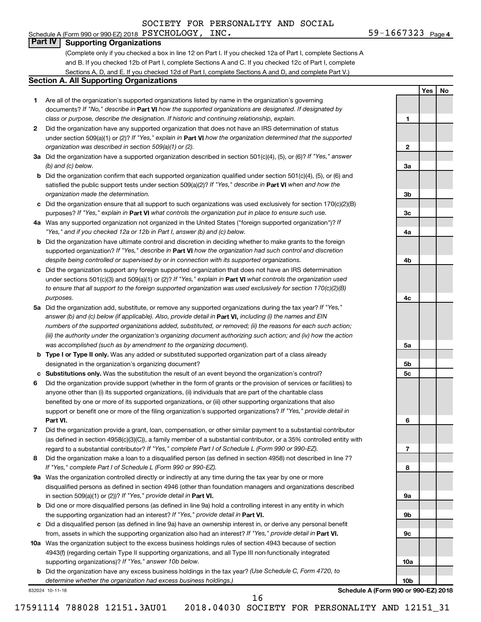### Schedule A (Form 990 or 990-EZ) 2018  $\rm{PSYCHOLOGY}$ ,  $\rm{INC.}$   $\rm{59-1667323}$   $\rm{Page}$ **Part IV Supporting Organizations**

(Complete only if you checked a box in line 12 on Part I. If you checked 12a of Part I, complete Sections A and B. If you checked 12b of Part I, complete Sections A and C. If you checked 12c of Part I, complete Sections A, D, and E. If you checked 12d of Part I, complete Sections A and D, and complete Part V.)

### **Section A. All Supporting Organizations**

- **1** Are all of the organization's supported organizations listed by name in the organization's governing documents? If "No," describe in Part VI how the supported organizations are designated. If designated by *class or purpose, describe the designation. If historic and continuing relationship, explain.*
- **2** Did the organization have any supported organization that does not have an IRS determination of status under section 509(a)(1) or (2)? If "Yes," explain in Part **VI** how the organization determined that the supported *organization was described in section 509(a)(1) or (2).*
- **3a** Did the organization have a supported organization described in section 501(c)(4), (5), or (6)? If "Yes," answer *(b) and (c) below.*
- **b** Did the organization confirm that each supported organization qualified under section 501(c)(4), (5), or (6) and satisfied the public support tests under section 509(a)(2)? If "Yes," describe in Part VI when and how the *organization made the determination.*
- **c** Did the organization ensure that all support to such organizations was used exclusively for section 170(c)(2)(B) purposes? If "Yes," explain in Part VI what controls the organization put in place to ensure such use.
- **4 a** *If* Was any supported organization not organized in the United States ("foreign supported organization")? *"Yes," and if you checked 12a or 12b in Part I, answer (b) and (c) below.*
- **b** Did the organization have ultimate control and discretion in deciding whether to make grants to the foreign supported organization? If "Yes," describe in Part VI how the organization had such control and discretion *despite being controlled or supervised by or in connection with its supported organizations.*
- **c** Did the organization support any foreign supported organization that does not have an IRS determination under sections 501(c)(3) and 509(a)(1) or (2)? If "Yes," explain in Part VI what controls the organization used *to ensure that all support to the foreign supported organization was used exclusively for section 170(c)(2)(B) purposes.*
- **5a** Did the organization add, substitute, or remove any supported organizations during the tax year? If "Yes," answer (b) and (c) below (if applicable). Also, provide detail in **Part VI,** including (i) the names and EIN *numbers of the supported organizations added, substituted, or removed; (ii) the reasons for each such action; (iii) the authority under the organization's organizing document authorizing such action; and (iv) how the action was accomplished (such as by amendment to the organizing document).*
- **b Type I or Type II only.** Was any added or substituted supported organization part of a class already designated in the organization's organizing document?
- **c Substitutions only.**  Was the substitution the result of an event beyond the organization's control?
- **6** Did the organization provide support (whether in the form of grants or the provision of services or facilities) to **Part VI.** support or benefit one or more of the filing organization's supported organizations? If "Yes," provide detail in anyone other than (i) its supported organizations, (ii) individuals that are part of the charitable class benefited by one or more of its supported organizations, or (iii) other supporting organizations that also
- **7** Did the organization provide a grant, loan, compensation, or other similar payment to a substantial contributor regard to a substantial contributor? If "Yes," complete Part I of Schedule L (Form 990 or 990-EZ). (as defined in section 4958(c)(3)(C)), a family member of a substantial contributor, or a 35% controlled entity with
- **8** Did the organization make a loan to a disqualified person (as defined in section 4958) not described in line 7? *If "Yes," complete Part I of Schedule L (Form 990 or 990-EZ).*
- **9 a** Was the organization controlled directly or indirectly at any time during the tax year by one or more in section 509(a)(1) or (2))? If "Yes," provide detail in **Part VI.** disqualified persons as defined in section 4946 (other than foundation managers and organizations described
- **b** Did one or more disqualified persons (as defined in line 9a) hold a controlling interest in any entity in which the supporting organization had an interest? If "Yes," provide detail in Part VI.
- **c** Did a disqualified person (as defined in line 9a) have an ownership interest in, or derive any personal benefit from, assets in which the supporting organization also had an interest? If "Yes," provide detail in Part VI.
- **10 a** Was the organization subject to the excess business holdings rules of section 4943 because of section supporting organizations)? If "Yes," answer 10b below. 4943(f) (regarding certain Type II supporting organizations, and all Type III non-functionally integrated
	- **b** Did the organization have any excess business holdings in the tax year? (Use Schedule C, Form 4720, to *determine whether the organization had excess business holdings.)*

832024 10-11-18

**Schedule A (Form 990 or 990-EZ) 2018**

16

17591114 788028 12151.3AU01 2018.04030 SOCIETY FOR PERSONALITY AND 12151\_31

| $9-1667323$ Page 4 |  |
|--------------------|--|
|--------------------|--|

**1**

**2**

**3a**

**3b**

**3c**

**4a**

**4b**

**4c**

**5a**

**5b 5c**

**6**

**7**

**8**

**9a**

**9b**

**9c**

**10a**

**10b**

**Yes No**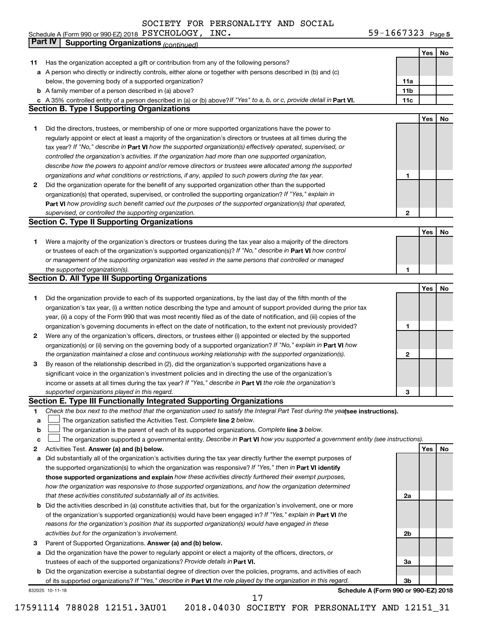59-1667323 Page 5 Schedule A (Form 990 or 990-EZ) 2018 Page PSYCHOLOGY, INC. 59-1667323

|              | Part IV<br><b>Supporting Organizations (continued)</b>                                                                          |                 |     |    |
|--------------|---------------------------------------------------------------------------------------------------------------------------------|-----------------|-----|----|
|              |                                                                                                                                 |                 | Yes | No |
| 11           | Has the organization accepted a gift or contribution from any of the following persons?                                         |                 |     |    |
|              | a A person who directly or indirectly controls, either alone or together with persons described in (b) and (c)                  |                 |     |    |
|              | below, the governing body of a supported organization?                                                                          | 11a             |     |    |
|              | <b>b</b> A family member of a person described in (a) above?                                                                    | 11 <sub>b</sub> |     |    |
|              | c A 35% controlled entity of a person described in (a) or (b) above? If "Yes" to a, b, or c, provide detail in Part VI.         | 11c             |     |    |
|              | <b>Section B. Type I Supporting Organizations</b>                                                                               |                 |     |    |
|              |                                                                                                                                 |                 | Yes | No |
| 1            | Did the directors, trustees, or membership of one or more supported organizations have the power to                             |                 |     |    |
|              | regularly appoint or elect at least a majority of the organization's directors or trustees at all times during the              |                 |     |    |
|              |                                                                                                                                 |                 |     |    |
|              | tax year? If "No," describe in Part VI how the supported organization(s) effectively operated, supervised, or                   |                 |     |    |
|              | controlled the organization's activities. If the organization had more than one supported organization,                         |                 |     |    |
|              | describe how the powers to appoint and/or remove directors or trustees were allocated among the supported                       |                 |     |    |
|              | organizations and what conditions or restrictions, if any, applied to such powers during the tax year.                          | 1               |     |    |
| 2            | Did the organization operate for the benefit of any supported organization other than the supported                             |                 |     |    |
|              | organization(s) that operated, supervised, or controlled the supporting organization? If "Yes," explain in                      |                 |     |    |
|              | Part VI how providing such benefit carried out the purposes of the supported organization(s) that operated,                     |                 |     |    |
|              | supervised, or controlled the supporting organization.                                                                          | 2               |     |    |
|              | <b>Section C. Type II Supporting Organizations</b>                                                                              |                 |     |    |
|              |                                                                                                                                 |                 | Yes | No |
| 1            | Were a majority of the organization's directors or trustees during the tax year also a majority of the directors                |                 |     |    |
|              | or trustees of each of the organization's supported organization(s)? If "No," describe in Part VI how control                   |                 |     |    |
|              | or management of the supporting organization was vested in the same persons that controlled or managed                          |                 |     |    |
|              | the supported organization(s).                                                                                                  | 1               |     |    |
|              | <b>Section D. All Type III Supporting Organizations</b>                                                                         |                 |     |    |
|              |                                                                                                                                 |                 | Yes | No |
| 1            | Did the organization provide to each of its supported organizations, by the last day of the fifth month of the                  |                 |     |    |
|              | organization's tax year, (i) a written notice describing the type and amount of support provided during the prior tax           |                 |     |    |
|              | year, (ii) a copy of the Form 990 that was most recently filed as of the date of notification, and (iii) copies of the          |                 |     |    |
|              | organization's governing documents in effect on the date of notification, to the extent not previously provided?                | 1               |     |    |
| $\mathbf{2}$ | Were any of the organization's officers, directors, or trustees either (i) appointed or elected by the supported                |                 |     |    |
|              | organization(s) or (ii) serving on the governing body of a supported organization? If "No," explain in Part VI how              |                 |     |    |
|              | the organization maintained a close and continuous working relationship with the supported organization(s).                     | 2               |     |    |
| 3            | By reason of the relationship described in (2), did the organization's supported organizations have a                           |                 |     |    |
|              | significant voice in the organization's investment policies and in directing the use of the organization's                      |                 |     |    |
|              | income or assets at all times during the tax year? If "Yes," describe in Part VI the role the organization's                    |                 |     |    |
|              |                                                                                                                                 |                 |     |    |
|              | supported organizations played in this regard.<br>Section E. Type III Functionally Integrated Supporting Organizations          | з               |     |    |
|              |                                                                                                                                 |                 |     |    |
| 1            | Check the box next to the method that the organization used to satisfy the Integral Part Test during the yealsee instructions). |                 |     |    |
| a            | The organization satisfied the Activities Test. Complete line 2 below.                                                          |                 |     |    |
| $\mathbf b$  | The organization is the parent of each of its supported organizations. Complete line 3 below.                                   |                 |     |    |
| c            | The organization supported a governmental entity. Describe in Part VI how you supported a government entity (see instructions). |                 |     |    |
| 2            | Activities Test. Answer (a) and (b) below.                                                                                      |                 | Yes | No |
| а            | Did substantially all of the organization's activities during the tax year directly further the exempt purposes of              |                 |     |    |
|              | the supported organization(s) to which the organization was responsive? If "Yes," then in Part VI identify                      |                 |     |    |
|              | those supported organizations and explain how these activities directly furthered their exempt purposes,                        |                 |     |    |
|              | how the organization was responsive to those supported organizations, and how the organization determined                       |                 |     |    |
|              | that these activities constituted substantially all of its activities.                                                          | 2a              |     |    |
|              | <b>b</b> Did the activities described in (a) constitute activities that, but for the organization's involvement, one or more    |                 |     |    |
|              | of the organization's supported organization(s) would have been engaged in? If "Yes," explain in Part VI the                    |                 |     |    |
|              | reasons for the organization's position that its supported organization(s) would have engaged in these                          |                 |     |    |
|              | activities but for the organization's involvement.                                                                              | 2b              |     |    |
| з            | Parent of Supported Organizations. Answer (a) and (b) below.                                                                    |                 |     |    |
|              | a Did the organization have the power to regularly appoint or elect a majority of the officers, directors, or                   |                 |     |    |
|              | trustees of each of the supported organizations? Provide details in Part VI.                                                    | За              |     |    |
|              | <b>b</b> Did the organization exercise a substantial degree of direction over the policies, programs, and activities of each    |                 |     |    |
|              | of its supported organizations? If "Yes," describe in Part VI the role played by the organization in this regard.               | Зb              |     |    |
|              | Schedule A (Form 990 or 990-EZ) 2018<br>832025 10-11-18                                                                         |                 |     |    |
|              | 17                                                                                                                              |                 |     |    |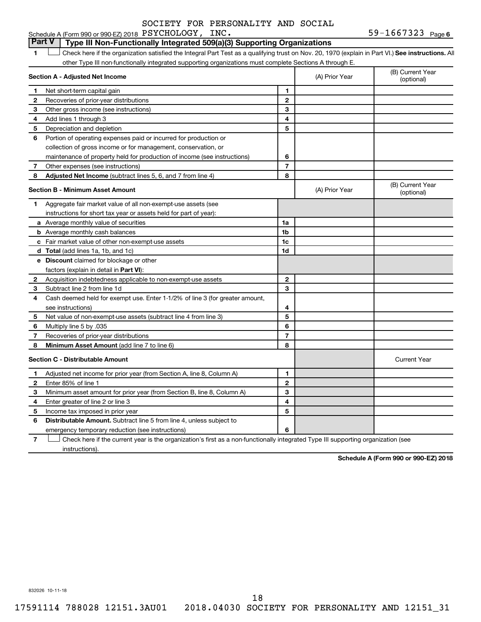### **Part V Type III Non-Functionally Integrated 509(a)(3) Supporting Organizations**

1 **Letter See instructions.** All Check here if the organization satisfied the Integral Part Test as a qualifying trust on Nov. 20, 1970 (explain in Part VI.) See instructions. All other Type III non-functionally integrated supporting organizations must complete Sections A through E.

|    | Section A - Adjusted Net Income                                              | (A) Prior Year | (B) Current Year<br>(optional) |                                |
|----|------------------------------------------------------------------------------|----------------|--------------------------------|--------------------------------|
| 1  | Net short-term capital gain                                                  | 1              |                                |                                |
| 2  | Recoveries of prior-year distributions                                       | $\overline{2}$ |                                |                                |
| З  | Other gross income (see instructions)                                        | 3              |                                |                                |
| 4  | Add lines 1 through 3                                                        | 4              |                                |                                |
| 5  | Depreciation and depletion                                                   | 5              |                                |                                |
| 6  | Portion of operating expenses paid or incurred for production or             |                |                                |                                |
|    | collection of gross income or for management, conservation, or               |                |                                |                                |
|    | maintenance of property held for production of income (see instructions)     | 6              |                                |                                |
| 7  | Other expenses (see instructions)                                            | 7              |                                |                                |
| 8  | Adjusted Net Income (subtract lines 5, 6, and 7 from line 4)                 | 8              |                                |                                |
|    | <b>Section B - Minimum Asset Amount</b>                                      |                | (A) Prior Year                 | (B) Current Year<br>(optional) |
| 1. | Aggregate fair market value of all non-exempt-use assets (see                |                |                                |                                |
|    | instructions for short tax year or assets held for part of year):            |                |                                |                                |
|    | <b>a</b> Average monthly value of securities                                 | 1a             |                                |                                |
|    | <b>b</b> Average monthly cash balances                                       | 1b             |                                |                                |
|    | c Fair market value of other non-exempt-use assets                           | 1c             |                                |                                |
|    | d Total (add lines 1a, 1b, and 1c)                                           | 1d             |                                |                                |
|    | <b>e</b> Discount claimed for blockage or other                              |                |                                |                                |
|    | factors (explain in detail in <b>Part VI</b> ):                              |                |                                |                                |
| 2  | Acquisition indebtedness applicable to non-exempt-use assets                 | $\mathbf{2}$   |                                |                                |
| З  | Subtract line 2 from line 1d                                                 | 3              |                                |                                |
| 4  | Cash deemed held for exempt use. Enter 1-1/2% of line 3 (for greater amount, |                |                                |                                |
|    | see instructions)                                                            | 4              |                                |                                |
| 5  | Net value of non-exempt-use assets (subtract line 4 from line 3)             | 5              |                                |                                |
| 6  | Multiply line 5 by .035                                                      | 6              |                                |                                |
| 7  | Recoveries of prior-year distributions                                       | 7              |                                |                                |
| 8  | Minimum Asset Amount (add line 7 to line 6)                                  | 8              |                                |                                |
|    | <b>Section C - Distributable Amount</b>                                      |                |                                | <b>Current Year</b>            |
| 1  | Adjusted net income for prior year (from Section A, line 8, Column A)        | 1              |                                |                                |
| 2  | Enter 85% of line 1                                                          | $\mathbf{2}$   |                                |                                |
| З  | Minimum asset amount for prior year (from Section B, line 8, Column A)       | 3              |                                |                                |
| 4  | Enter greater of line 2 or line 3                                            | 4              |                                |                                |
| 5  | Income tax imposed in prior year                                             | 5              |                                |                                |
| 6  | <b>Distributable Amount.</b> Subtract line 5 from line 4, unless subject to  |                |                                |                                |
|    | emergency temporary reduction (see instructions)                             | 6              |                                |                                |
|    |                                                                              |                |                                |                                |

**7** Let Check here if the current year is the organization's first as a non-functionally integrated Type III supporting organization (see instructions).

**Schedule A (Form 990 or 990-EZ) 2018**

832026 10-11-18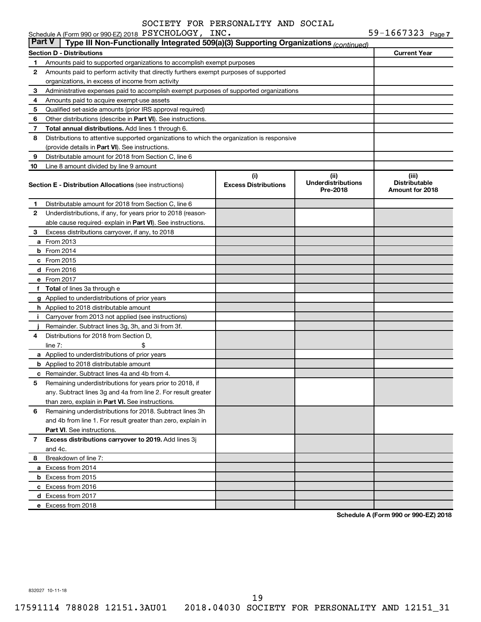|               | Schedule A (Form 990 or 990-EZ) 2018 PSYCHOLOGY, INC.                                      |                                    |                                                | 59-1667323 $_{Page 7}$                           |
|---------------|--------------------------------------------------------------------------------------------|------------------------------------|------------------------------------------------|--------------------------------------------------|
| <b>Part V</b> | Type III Non-Functionally Integrated 509(a)(3) Supporting Organizations (continued)        |                                    |                                                |                                                  |
|               | Section D - Distributions                                                                  |                                    |                                                | <b>Current Year</b>                              |
| 1             | Amounts paid to supported organizations to accomplish exempt purposes                      |                                    |                                                |                                                  |
| 2             | Amounts paid to perform activity that directly furthers exempt purposes of supported       |                                    |                                                |                                                  |
|               | organizations, in excess of income from activity                                           |                                    |                                                |                                                  |
| 3             | Administrative expenses paid to accomplish exempt purposes of supported organizations      |                                    |                                                |                                                  |
| 4             | Amounts paid to acquire exempt-use assets                                                  |                                    |                                                |                                                  |
| 5             | Qualified set-aside amounts (prior IRS approval required)                                  |                                    |                                                |                                                  |
| 6             | Other distributions (describe in <b>Part VI</b> ). See instructions.                       |                                    |                                                |                                                  |
| 7             | Total annual distributions. Add lines 1 through 6.                                         |                                    |                                                |                                                  |
| 8             | Distributions to attentive supported organizations to which the organization is responsive |                                    |                                                |                                                  |
|               | (provide details in Part VI). See instructions.                                            |                                    |                                                |                                                  |
| 9             | Distributable amount for 2018 from Section C, line 6                                       |                                    |                                                |                                                  |
| 10            | Line 8 amount divided by line 9 amount                                                     |                                    |                                                |                                                  |
|               | <b>Section E - Distribution Allocations (see instructions)</b>                             | (i)<br><b>Excess Distributions</b> | (iii)<br><b>Underdistributions</b><br>Pre-2018 | (iii)<br><b>Distributable</b><br>Amount for 2018 |
| 1             | Distributable amount for 2018 from Section C, line 6                                       |                                    |                                                |                                                  |
| 2             | Underdistributions, if any, for years prior to 2018 (reason-                               |                                    |                                                |                                                  |
|               | able cause required-explain in Part VI). See instructions.                                 |                                    |                                                |                                                  |
| 3             | Excess distributions carryover, if any, to 2018                                            |                                    |                                                |                                                  |
|               | a From 2013                                                                                |                                    |                                                |                                                  |
| b             | From 2014                                                                                  |                                    |                                                |                                                  |
|               | c From 2015                                                                                |                                    |                                                |                                                  |
|               | d From 2016                                                                                |                                    |                                                |                                                  |
|               | e From 2017                                                                                |                                    |                                                |                                                  |
| f.            | <b>Total</b> of lines 3a through e                                                         |                                    |                                                |                                                  |
|               | g Applied to underdistributions of prior years                                             |                                    |                                                |                                                  |
|               | h Applied to 2018 distributable amount                                                     |                                    |                                                |                                                  |
| Ť.            | Carryover from 2013 not applied (see instructions)                                         |                                    |                                                |                                                  |
|               | Remainder. Subtract lines 3g, 3h, and 3i from 3f.                                          |                                    |                                                |                                                  |
| 4             | Distributions for 2018 from Section D,                                                     |                                    |                                                |                                                  |
|               | line $7:$                                                                                  |                                    |                                                |                                                  |
|               | a Applied to underdistributions of prior years                                             |                                    |                                                |                                                  |
|               | <b>b</b> Applied to 2018 distributable amount                                              |                                    |                                                |                                                  |
|               | c Remainder. Subtract lines 4a and 4b from 4.                                              |                                    |                                                |                                                  |
|               | 5 Remaining underdistributions for years prior to 2018, if                                 |                                    |                                                |                                                  |
|               | any. Subtract lines 3q and 4a from line 2. For result greater                              |                                    |                                                |                                                  |
|               | than zero, explain in Part VI. See instructions.                                           |                                    |                                                |                                                  |
| 6             | Remaining underdistributions for 2018. Subtract lines 3h                                   |                                    |                                                |                                                  |
|               | and 4b from line 1. For result greater than zero, explain in                               |                                    |                                                |                                                  |
|               | <b>Part VI.</b> See instructions.                                                          |                                    |                                                |                                                  |
| 7             | Excess distributions carryover to 2019. Add lines 3j                                       |                                    |                                                |                                                  |
|               | and 4c.                                                                                    |                                    |                                                |                                                  |
| 8             | Breakdown of line 7:                                                                       |                                    |                                                |                                                  |
|               |                                                                                            |                                    |                                                |                                                  |
|               | a Excess from 2014<br><b>b</b> Excess from 2015                                            |                                    |                                                |                                                  |
|               |                                                                                            |                                    |                                                |                                                  |
|               | c Excess from 2016                                                                         |                                    |                                                |                                                  |
|               | d Excess from 2017                                                                         |                                    |                                                |                                                  |
|               | e Excess from 2018                                                                         |                                    |                                                |                                                  |

**Schedule A (Form 990 or 990-EZ) 2018**

832027 10-11-18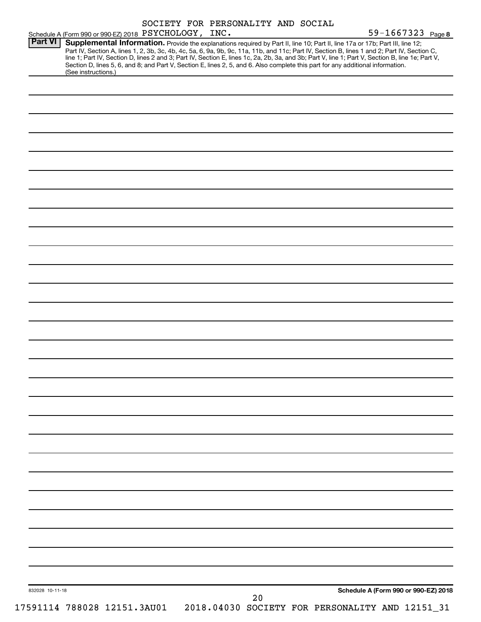|                 | Schedule A (Form 990 or 990-EZ) 2018 PSYCHOLOGY, INC.                                                                                                  |  | SOCIETY FOR PERSONALITY AND SOCIAL |  | 59-1667323 Page 8                                                                                                                                                                                                                                                                                                                                              |
|-----------------|--------------------------------------------------------------------------------------------------------------------------------------------------------|--|------------------------------------|--|----------------------------------------------------------------------------------------------------------------------------------------------------------------------------------------------------------------------------------------------------------------------------------------------------------------------------------------------------------------|
| <b>Part VI</b>  | Section D, lines 5, 6, and 8; and Part V, Section E, lines 2, 5, and 6. Also complete this part for any additional information.<br>(See instructions.) |  |                                    |  | Supplemental Information. Provide the explanations required by Part II, line 10; Part II, line 17a or 17b; Part III, line 12;<br>Part IV, Section A, lines 1, 2, 3b, 3c, 4b, 4c, 5a, 6, 9a, 9b, 9c, 11a, 11b, and 11c; Part IV, Section B, lines 1 and 2; Part IV, Section C, line 1; Part IV, Section D, lines 2 and 3; Part IV, Section E, lines 1c, 2a, 2b, |
|                 |                                                                                                                                                        |  |                                    |  |                                                                                                                                                                                                                                                                                                                                                                |
|                 |                                                                                                                                                        |  |                                    |  |                                                                                                                                                                                                                                                                                                                                                                |
|                 |                                                                                                                                                        |  |                                    |  |                                                                                                                                                                                                                                                                                                                                                                |
|                 |                                                                                                                                                        |  |                                    |  |                                                                                                                                                                                                                                                                                                                                                                |
|                 |                                                                                                                                                        |  |                                    |  |                                                                                                                                                                                                                                                                                                                                                                |
|                 |                                                                                                                                                        |  |                                    |  |                                                                                                                                                                                                                                                                                                                                                                |
|                 |                                                                                                                                                        |  |                                    |  |                                                                                                                                                                                                                                                                                                                                                                |
|                 |                                                                                                                                                        |  |                                    |  |                                                                                                                                                                                                                                                                                                                                                                |
|                 |                                                                                                                                                        |  |                                    |  |                                                                                                                                                                                                                                                                                                                                                                |
|                 |                                                                                                                                                        |  |                                    |  |                                                                                                                                                                                                                                                                                                                                                                |
|                 |                                                                                                                                                        |  |                                    |  |                                                                                                                                                                                                                                                                                                                                                                |
|                 |                                                                                                                                                        |  |                                    |  |                                                                                                                                                                                                                                                                                                                                                                |
|                 |                                                                                                                                                        |  |                                    |  |                                                                                                                                                                                                                                                                                                                                                                |
|                 |                                                                                                                                                        |  |                                    |  |                                                                                                                                                                                                                                                                                                                                                                |
|                 |                                                                                                                                                        |  |                                    |  |                                                                                                                                                                                                                                                                                                                                                                |
|                 |                                                                                                                                                        |  |                                    |  |                                                                                                                                                                                                                                                                                                                                                                |
|                 |                                                                                                                                                        |  |                                    |  |                                                                                                                                                                                                                                                                                                                                                                |
|                 |                                                                                                                                                        |  |                                    |  |                                                                                                                                                                                                                                                                                                                                                                |
|                 |                                                                                                                                                        |  |                                    |  |                                                                                                                                                                                                                                                                                                                                                                |
|                 |                                                                                                                                                        |  |                                    |  |                                                                                                                                                                                                                                                                                                                                                                |
|                 |                                                                                                                                                        |  |                                    |  |                                                                                                                                                                                                                                                                                                                                                                |
|                 |                                                                                                                                                        |  |                                    |  |                                                                                                                                                                                                                                                                                                                                                                |
|                 |                                                                                                                                                        |  |                                    |  |                                                                                                                                                                                                                                                                                                                                                                |
|                 |                                                                                                                                                        |  |                                    |  |                                                                                                                                                                                                                                                                                                                                                                |
|                 |                                                                                                                                                        |  |                                    |  |                                                                                                                                                                                                                                                                                                                                                                |
|                 |                                                                                                                                                        |  |                                    |  |                                                                                                                                                                                                                                                                                                                                                                |
|                 |                                                                                                                                                        |  |                                    |  |                                                                                                                                                                                                                                                                                                                                                                |
|                 |                                                                                                                                                        |  |                                    |  |                                                                                                                                                                                                                                                                                                                                                                |
| 832028 10-11-18 |                                                                                                                                                        |  |                                    |  | Schedule A (Form 990 or 990-EZ) 2018                                                                                                                                                                                                                                                                                                                           |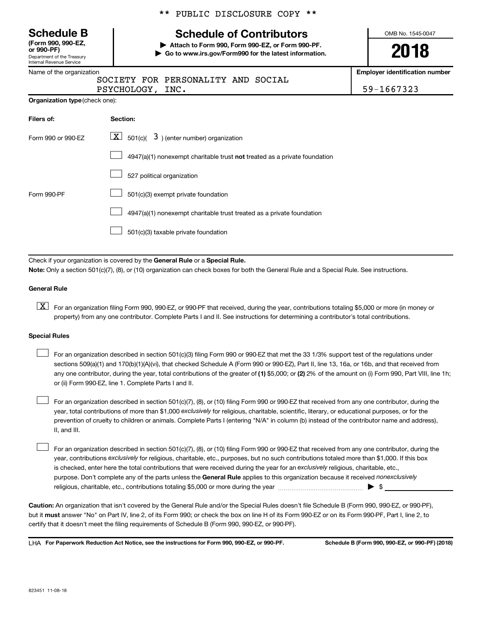Department of the Treasury Internal Revenue Service **(Form 990, 990-EZ,**

Name of the organization

### \*\* PUBLIC DISCLOSURE COPY \*\*

# **Schedule B Schedule of Contributors**

**or 990-PF) | Attach to Form 990, Form 990-EZ, or Form 990-PF. | Go to www.irs.gov/Form990 for the latest information.** OMB No. 1545-0047

**2018**

**Employer identification number**

 $\texttt{CHOLOGY}$ , INC.  $\vert$  59-1667323

|                | SOCIETY FOR PERSONALITY AND SOCIAL |  |
|----------------|------------------------------------|--|
| PSVCHOLOGY TNC |                                    |  |

|  | <b>Organization type (check one):</b> |
|--|---------------------------------------|
|--|---------------------------------------|

| Filers of:         | Section:                                                                  |
|--------------------|---------------------------------------------------------------------------|
| Form 990 or 990-FZ | $\lfloor x \rfloor$ 501(c)( 3) (enter number) organization                |
|                    | 4947(a)(1) nonexempt charitable trust not treated as a private foundation |
|                    | 527 political organization                                                |
| Form 990-PF        | 501(c)(3) exempt private foundation                                       |
|                    | 4947(a)(1) nonexempt charitable trust treated as a private foundation     |
|                    | 501(c)(3) taxable private foundation                                      |

Check if your organization is covered by the General Rule or a Special Rule. **Note:**  Only a section 501(c)(7), (8), or (10) organization can check boxes for both the General Rule and a Special Rule. See instructions.

### **General Rule**

**K** For an organization filing Form 990, 990-EZ, or 990-PF that received, during the year, contributions totaling \$5,000 or more (in money or property) from any one contributor. Complete Parts I and II. See instructions for determining a contributor's total contributions.

### **Special Rules**

any one contributor, during the year, total contributions of the greater of (1) \$5,000; or (2) 2% of the amount on (i) Form 990, Part VIII, line 1h; For an organization described in section 501(c)(3) filing Form 990 or 990-EZ that met the 33 1/3% support test of the regulations under sections 509(a)(1) and 170(b)(1)(A)(vi), that checked Schedule A (Form 990 or 990-EZ), Part II, line 13, 16a, or 16b, and that received from or (ii) Form 990-EZ, line 1. Complete Parts I and II.  $\Box$ 

year, total contributions of more than \$1,000 *exclusively* for religious, charitable, scientific, literary, or educational purposes, or for the For an organization described in section 501(c)(7), (8), or (10) filing Form 990 or 990-EZ that received from any one contributor, during the prevention of cruelty to children or animals. Complete Parts I (entering "N/A" in column (b) instead of the contributor name and address), II, and III.  $\Box$ 

purpose. Don't complete any of the parts unless the General Rule applies to this organization because it received nonexclusively year, contributions exclusively for religious, charitable, etc., purposes, but no such contributions totaled more than \$1,000. If this box is checked, enter here the total contributions that were received during the year for an exclusively religious, charitable, etc., For an organization described in section 501(c)(7), (8), or (10) filing Form 990 or 990-EZ that received from any one contributor, during the religious, charitable, etc., contributions totaling \$5,000 or more during the year  $\ldots$  $\ldots$  $\ldots$  $\ldots$  $\ldots$  $\ldots$  $\Box$ 

**Caution:**  An organization that isn't covered by the General Rule and/or the Special Rules doesn't file Schedule B (Form 990, 990-EZ, or 990-PF),  **must** but it answer "No" on Part IV, line 2, of its Form 990; or check the box on line H of its Form 990-EZ or on its Form 990-PF, Part I, line 2, to certify that it doesn't meet the filing requirements of Schedule B (Form 990, 990-EZ, or 990-PF).

**For Paperwork Reduction Act Notice, see the instructions for Form 990, 990-EZ, or 990-PF. Schedule B (Form 990, 990-EZ, or 990-PF) (2018)** LHA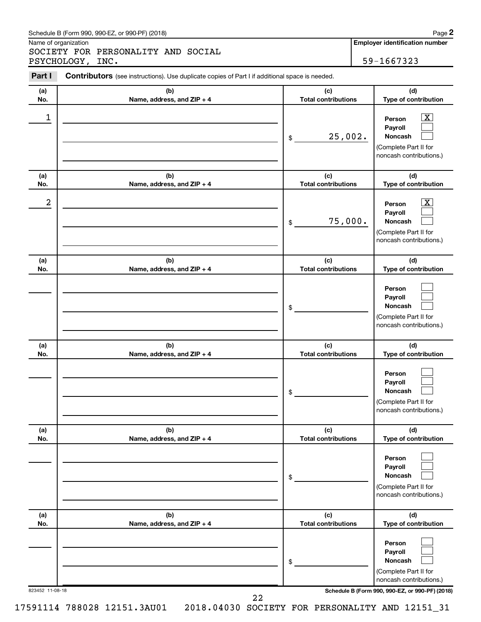### Schedule B (Form 990, 990-EZ, or 990-PF) (2018)

Name of organization

SOCIETY FOR PERSONALITY AND SOCIAL PSYCHOLOGY, INC. 59-1667323

**Employer identification number**

| Part I          | <b>Contributors</b> (see instructions). Use duplicate copies of Part I if additional space is needed. |                                   |                                                                                                                                     |  |  |  |  |
|-----------------|-------------------------------------------------------------------------------------------------------|-----------------------------------|-------------------------------------------------------------------------------------------------------------------------------------|--|--|--|--|
| (a)<br>No.      | (b)<br>Name, address, and ZIP + 4                                                                     | (c)<br><b>Total contributions</b> | (d)<br>Type of contribution                                                                                                         |  |  |  |  |
| 1               |                                                                                                       | 25,002.<br>\$                     | $\mathbf{X}$<br>Person<br>Payroll<br>Noncash<br>(Complete Part II for<br>noncash contributions.)                                    |  |  |  |  |
| (a)<br>No.      | (b)<br>Name, address, and ZIP + 4                                                                     | (c)<br><b>Total contributions</b> | (d)<br>Type of contribution                                                                                                         |  |  |  |  |
| 2               |                                                                                                       | 75,000.<br>\$                     | $\mathbf{X}$<br>Person<br>Payroll<br>Noncash<br>(Complete Part II for<br>noncash contributions.)                                    |  |  |  |  |
| (a)<br>No.      | (b)<br>Name, address, and ZIP + 4                                                                     | (c)<br><b>Total contributions</b> | (d)<br>Type of contribution                                                                                                         |  |  |  |  |
|                 |                                                                                                       | \$                                | Person<br>Payroll<br>Noncash<br>(Complete Part II for<br>noncash contributions.)                                                    |  |  |  |  |
| (a)<br>No.      | (b)<br>Name, address, and ZIP + 4                                                                     | (c)<br><b>Total contributions</b> | (d)<br>Type of contribution                                                                                                         |  |  |  |  |
|                 |                                                                                                       | \$                                | Person<br>Payroll<br>Noncash<br>(Complete Part II for<br>noncash contributions.)                                                    |  |  |  |  |
| (a)<br>No.      | (b)<br>Name, address, and ZIP + 4                                                                     | (c)<br><b>Total contributions</b> | (d)<br>Type of contribution                                                                                                         |  |  |  |  |
|                 |                                                                                                       | \$                                | Person<br>Payroll<br>Noncash<br>(Complete Part II for<br>noncash contributions.)                                                    |  |  |  |  |
| (a)<br>No.      | (b)<br>Name, address, and ZIP + 4                                                                     | (c)<br><b>Total contributions</b> | (d)<br>Type of contribution                                                                                                         |  |  |  |  |
| 823452 11-08-18 |                                                                                                       | \$                                | Person<br>Payroll<br>Noncash<br>(Complete Part II for<br>noncash contributions.)<br>Schedule B (Form 990, 990-EZ, or 990-PF) (2018) |  |  |  |  |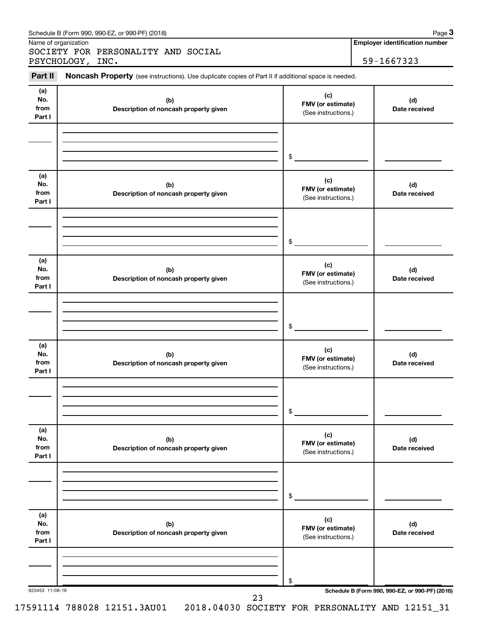| Part II        | Noncash Property (see instructions). Use duplicate copies of Part II if additional space is needed. |                                          |                      |
|----------------|-----------------------------------------------------------------------------------------------------|------------------------------------------|----------------------|
| (a)            |                                                                                                     | (c)                                      |                      |
| No.<br>from    | (b)                                                                                                 | FMV (or estimate)                        | (d)<br>Date received |
| Part I         | Description of noncash property given                                                               | (See instructions.)                      |                      |
|                |                                                                                                     |                                          |                      |
|                |                                                                                                     | $\frac{1}{2}$                            |                      |
| (a)<br>No.     | (b)                                                                                                 | (c)<br>FMV (or estimate)                 | (d)                  |
| from<br>Part I | Description of noncash property given                                                               | (See instructions.)                      | Date received        |
|                |                                                                                                     |                                          |                      |
|                |                                                                                                     | $\frac{1}{2}$                            |                      |
| (a)<br>No.     | (b)                                                                                                 | (c)                                      | (d)                  |
| from<br>Part I | Description of noncash property given                                                               | FMV (or estimate)<br>(See instructions.) | Date received        |
|                |                                                                                                     |                                          |                      |
|                |                                                                                                     | \$                                       |                      |
| (a)<br>No.     | (b)                                                                                                 | (c)                                      | (d)                  |
| from<br>Part I | Description of noncash property given                                                               | FMV (or estimate)<br>(See instructions.) | Date received        |
|                |                                                                                                     |                                          |                      |
|                |                                                                                                     | \$                                       |                      |
| (a)<br>No.     | (b)                                                                                                 | (c)                                      | (d)                  |
| from<br>Part I | Description of noncash property given                                                               | FMV (or estimate)<br>(See instructions.) | Date received        |
|                |                                                                                                     |                                          |                      |
|                |                                                                                                     | \$                                       |                      |
| (a)<br>No.     | (b)                                                                                                 | (c)                                      | (d)                  |
| from<br>Part I | Description of noncash property given                                                               | FMV (or estimate)<br>(See instructions.) | Date received        |
|                |                                                                                                     |                                          |                      |
|                |                                                                                                     |                                          |                      |

Schedule B (Form 990, 990-EZ, or 990-PF) (2018) Schedule B (Form 1990, 990-PF) (2018)

Name of organization

**Employer identification number 3**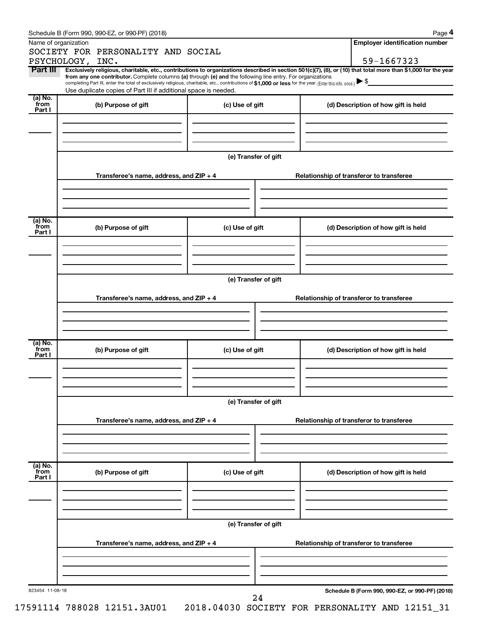| Name of organization      | SOCIETY FOR PERSONALITY AND SOCIAL                                                                                                                                                                                                                                                              |                      | <b>Employer identification number</b>                                                                                                                          |  |  |  |  |  |
|---------------------------|-------------------------------------------------------------------------------------------------------------------------------------------------------------------------------------------------------------------------------------------------------------------------------------------------|----------------------|----------------------------------------------------------------------------------------------------------------------------------------------------------------|--|--|--|--|--|
|                           | PSYCHOLOGY, INC.                                                                                                                                                                                                                                                                                |                      | 59-1667323                                                                                                                                                     |  |  |  |  |  |
| Part III                  |                                                                                                                                                                                                                                                                                                 |                      | Exclusively religious, charitable, etc., contributions to organizations described in section 501(c)(7), (8), or (10) that total more than \$1,000 for the year |  |  |  |  |  |
|                           | from any one contributor. Complete columns (a) through (e) and the following line entry. For organizations<br>completing Part III, enter the total of exclusively religious, charitable, etc., contributions of \$1,000 or less for the year. (Enter this info. once.) $\blacktriangleright$ \$ |                      |                                                                                                                                                                |  |  |  |  |  |
|                           | Use duplicate copies of Part III if additional space is needed.                                                                                                                                                                                                                                 |                      |                                                                                                                                                                |  |  |  |  |  |
| (a) No.<br>from           | (b) Purpose of gift                                                                                                                                                                                                                                                                             | (c) Use of gift      | (d) Description of how gift is held                                                                                                                            |  |  |  |  |  |
| Part I                    |                                                                                                                                                                                                                                                                                                 |                      |                                                                                                                                                                |  |  |  |  |  |
|                           |                                                                                                                                                                                                                                                                                                 |                      |                                                                                                                                                                |  |  |  |  |  |
|                           |                                                                                                                                                                                                                                                                                                 |                      |                                                                                                                                                                |  |  |  |  |  |
|                           |                                                                                                                                                                                                                                                                                                 |                      |                                                                                                                                                                |  |  |  |  |  |
|                           |                                                                                                                                                                                                                                                                                                 | (e) Transfer of gift |                                                                                                                                                                |  |  |  |  |  |
|                           | Transferee's name, address, and $ZIP + 4$                                                                                                                                                                                                                                                       |                      | Relationship of transferor to transferee                                                                                                                       |  |  |  |  |  |
|                           |                                                                                                                                                                                                                                                                                                 |                      |                                                                                                                                                                |  |  |  |  |  |
|                           |                                                                                                                                                                                                                                                                                                 |                      |                                                                                                                                                                |  |  |  |  |  |
|                           |                                                                                                                                                                                                                                                                                                 |                      |                                                                                                                                                                |  |  |  |  |  |
| (a) No.                   |                                                                                                                                                                                                                                                                                                 |                      |                                                                                                                                                                |  |  |  |  |  |
| `from<br>Part I           | (b) Purpose of gift                                                                                                                                                                                                                                                                             | (c) Use of gift      | (d) Description of how gift is held                                                                                                                            |  |  |  |  |  |
|                           |                                                                                                                                                                                                                                                                                                 |                      |                                                                                                                                                                |  |  |  |  |  |
|                           |                                                                                                                                                                                                                                                                                                 |                      |                                                                                                                                                                |  |  |  |  |  |
|                           |                                                                                                                                                                                                                                                                                                 |                      |                                                                                                                                                                |  |  |  |  |  |
|                           | (e) Transfer of gift                                                                                                                                                                                                                                                                            |                      |                                                                                                                                                                |  |  |  |  |  |
|                           |                                                                                                                                                                                                                                                                                                 |                      |                                                                                                                                                                |  |  |  |  |  |
|                           | Transferee's name, address, and $ZIP + 4$                                                                                                                                                                                                                                                       |                      | Relationship of transferor to transferee                                                                                                                       |  |  |  |  |  |
|                           |                                                                                                                                                                                                                                                                                                 |                      |                                                                                                                                                                |  |  |  |  |  |
|                           |                                                                                                                                                                                                                                                                                                 |                      |                                                                                                                                                                |  |  |  |  |  |
| (a) No.                   |                                                                                                                                                                                                                                                                                                 |                      |                                                                                                                                                                |  |  |  |  |  |
| `from<br>Part I           | (b) Purpose of gift                                                                                                                                                                                                                                                                             | (c) Use of gift      | (d) Description of how gift is held                                                                                                                            |  |  |  |  |  |
|                           |                                                                                                                                                                                                                                                                                                 |                      |                                                                                                                                                                |  |  |  |  |  |
|                           |                                                                                                                                                                                                                                                                                                 |                      |                                                                                                                                                                |  |  |  |  |  |
|                           |                                                                                                                                                                                                                                                                                                 |                      |                                                                                                                                                                |  |  |  |  |  |
|                           |                                                                                                                                                                                                                                                                                                 | (e) Transfer of gift |                                                                                                                                                                |  |  |  |  |  |
|                           |                                                                                                                                                                                                                                                                                                 |                      |                                                                                                                                                                |  |  |  |  |  |
|                           | Transferee's name, address, and ZIP + 4                                                                                                                                                                                                                                                         |                      | Relationship of transferor to transferee                                                                                                                       |  |  |  |  |  |
|                           |                                                                                                                                                                                                                                                                                                 |                      |                                                                                                                                                                |  |  |  |  |  |
|                           |                                                                                                                                                                                                                                                                                                 |                      |                                                                                                                                                                |  |  |  |  |  |
|                           |                                                                                                                                                                                                                                                                                                 |                      |                                                                                                                                                                |  |  |  |  |  |
| (a) No.<br>from<br>Part I | (b) Purpose of gift                                                                                                                                                                                                                                                                             | (c) Use of gift      | (d) Description of how gift is held                                                                                                                            |  |  |  |  |  |
|                           |                                                                                                                                                                                                                                                                                                 |                      |                                                                                                                                                                |  |  |  |  |  |
|                           |                                                                                                                                                                                                                                                                                                 |                      |                                                                                                                                                                |  |  |  |  |  |
|                           |                                                                                                                                                                                                                                                                                                 |                      |                                                                                                                                                                |  |  |  |  |  |
|                           |                                                                                                                                                                                                                                                                                                 | (e) Transfer of gift |                                                                                                                                                                |  |  |  |  |  |
|                           |                                                                                                                                                                                                                                                                                                 |                      |                                                                                                                                                                |  |  |  |  |  |
|                           | Transferee's name, address, and ZIP + 4                                                                                                                                                                                                                                                         |                      | Relationship of transferor to transferee                                                                                                                       |  |  |  |  |  |
|                           |                                                                                                                                                                                                                                                                                                 |                      |                                                                                                                                                                |  |  |  |  |  |
|                           |                                                                                                                                                                                                                                                                                                 |                      |                                                                                                                                                                |  |  |  |  |  |
|                           |                                                                                                                                                                                                                                                                                                 |                      |                                                                                                                                                                |  |  |  |  |  |
|                           |                                                                                                                                                                                                                                                                                                 |                      |                                                                                                                                                                |  |  |  |  |  |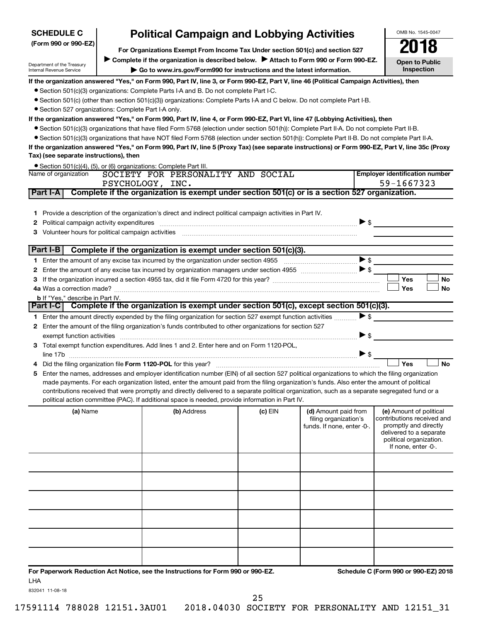| <b>SCHEDULE C</b>                                                                                                                                                              |                                                                                       | <b>Political Campaign and Lobbying Activities</b>                                                                                                                                                                                                                                                                                                                                                                                                                                                                                                                                                                                                                                                                                                                                                                                                                                                                                                                                                                                                                                                                                                                                                                                                                                                     |         |                                                                             |                          | OMB No. 1545-0047                                                                                                                                           |  |  |  |
|--------------------------------------------------------------------------------------------------------------------------------------------------------------------------------|---------------------------------------------------------------------------------------|-------------------------------------------------------------------------------------------------------------------------------------------------------------------------------------------------------------------------------------------------------------------------------------------------------------------------------------------------------------------------------------------------------------------------------------------------------------------------------------------------------------------------------------------------------------------------------------------------------------------------------------------------------------------------------------------------------------------------------------------------------------------------------------------------------------------------------------------------------------------------------------------------------------------------------------------------------------------------------------------------------------------------------------------------------------------------------------------------------------------------------------------------------------------------------------------------------------------------------------------------------------------------------------------------------|---------|-----------------------------------------------------------------------------|--------------------------|-------------------------------------------------------------------------------------------------------------------------------------------------------------|--|--|--|
| (Form 990 or 990-EZ)                                                                                                                                                           |                                                                                       | For Organizations Exempt From Income Tax Under section 501(c) and section 527                                                                                                                                                                                                                                                                                                                                                                                                                                                                                                                                                                                                                                                                                                                                                                                                                                                                                                                                                                                                                                                                                                                                                                                                                         |         |                                                                             |                          |                                                                                                                                                             |  |  |  |
| Department of the Treasury<br>Internal Revenue Service                                                                                                                         | Complete if the organization is described below. > Attach to Form 990 or Form 990-EZ. | <b>Open to Public</b><br><b>Inspection</b>                                                                                                                                                                                                                                                                                                                                                                                                                                                                                                                                                                                                                                                                                                                                                                                                                                                                                                                                                                                                                                                                                                                                                                                                                                                            |         |                                                                             |                          |                                                                                                                                                             |  |  |  |
| • Section 527 organizations: Complete Part I-A only.<br>Tax) (see separate instructions), then<br>Name of organization<br>Part I-A<br>Political campaign activity expenditures |                                                                                       | If the organization answered "Yes," on Form 990, Part IV, line 3, or Form 990-EZ, Part V, line 46 (Political Campaign Activities), then<br>• Section 501(c)(3) organizations: Complete Parts I-A and B. Do not complete Part I-C.<br>• Section 501(c) (other than section 501(c)(3)) organizations: Complete Parts I-A and C below. Do not complete Part I-B.<br>If the organization answered "Yes," on Form 990, Part IV, line 4, or Form 990-EZ, Part VI, line 47 (Lobbying Activities), then<br>● Section 501(c)(3) organizations that have filed Form 5768 (election under section 501(h)): Complete Part II-A. Do not complete Part II-B.<br>• Section 501(c)(3) organizations that have NOT filed Form 5768 (election under section 501(h)): Complete Part II-B. Do not complete Part II-A.<br>If the organization answered "Yes," on Form 990, Part IV, line 5 (Proxy Tax) (see separate instructions) or Form 990-EZ, Part V, line 35c (Proxy<br>• Section 501(c)(4), (5), or (6) organizations: Complete Part III.<br>SOCIETY FOR PERSONALITY AND SOCIAL<br>PSYCHOLOGY, INC.<br>Complete if the organization is exempt under section 501(c) or is a section 527 organization.<br>1 Provide a description of the organization's direct and indirect political campaign activities in Part IV. |         |                                                                             | $\triangleright$ \$      | <b>Employer identification number</b><br>59-1667323                                                                                                         |  |  |  |
|                                                                                                                                                                                |                                                                                       | 3 Volunteer hours for political campaign activities [11] [12] Content and Marian Marian Marian Marian Marian Ma                                                                                                                                                                                                                                                                                                                                                                                                                                                                                                                                                                                                                                                                                                                                                                                                                                                                                                                                                                                                                                                                                                                                                                                       |         |                                                                             |                          |                                                                                                                                                             |  |  |  |
| Part I-B                                                                                                                                                                       |                                                                                       | Complete if the organization is exempt under section 501(c)(3).                                                                                                                                                                                                                                                                                                                                                                                                                                                                                                                                                                                                                                                                                                                                                                                                                                                                                                                                                                                                                                                                                                                                                                                                                                       |         |                                                                             |                          |                                                                                                                                                             |  |  |  |
|                                                                                                                                                                                |                                                                                       |                                                                                                                                                                                                                                                                                                                                                                                                                                                                                                                                                                                                                                                                                                                                                                                                                                                                                                                                                                                                                                                                                                                                                                                                                                                                                                       |         |                                                                             | $\blacktriangleright$ \$ |                                                                                                                                                             |  |  |  |
|                                                                                                                                                                                |                                                                                       |                                                                                                                                                                                                                                                                                                                                                                                                                                                                                                                                                                                                                                                                                                                                                                                                                                                                                                                                                                                                                                                                                                                                                                                                                                                                                                       |         |                                                                             |                          | Yes<br>No                                                                                                                                                   |  |  |  |
|                                                                                                                                                                                |                                                                                       |                                                                                                                                                                                                                                                                                                                                                                                                                                                                                                                                                                                                                                                                                                                                                                                                                                                                                                                                                                                                                                                                                                                                                                                                                                                                                                       |         |                                                                             |                          | Yes<br>No                                                                                                                                                   |  |  |  |
| <b>b</b> If "Yes," describe in Part IV.                                                                                                                                        |                                                                                       |                                                                                                                                                                                                                                                                                                                                                                                                                                                                                                                                                                                                                                                                                                                                                                                                                                                                                                                                                                                                                                                                                                                                                                                                                                                                                                       |         |                                                                             |                          |                                                                                                                                                             |  |  |  |
|                                                                                                                                                                                |                                                                                       | Part I-C Complete if the organization is exempt under section 501(c), except section 501(c)(3).                                                                                                                                                                                                                                                                                                                                                                                                                                                                                                                                                                                                                                                                                                                                                                                                                                                                                                                                                                                                                                                                                                                                                                                                       |         |                                                                             | $\triangleright$ \$      |                                                                                                                                                             |  |  |  |
|                                                                                                                                                                                |                                                                                       | 1 Enter the amount directly expended by the filing organization for section 527 exempt function activities<br>2 Enter the amount of the filing organization's funds contributed to other organizations for section 527                                                                                                                                                                                                                                                                                                                                                                                                                                                                                                                                                                                                                                                                                                                                                                                                                                                                                                                                                                                                                                                                                |         |                                                                             |                          |                                                                                                                                                             |  |  |  |
|                                                                                                                                                                                |                                                                                       | exempt function activities [11,11] with the contract of the contract of the contract of the contract of the contract of the contract of the contract of the contract of the contract of the contract of the contract of the co                                                                                                                                                                                                                                                                                                                                                                                                                                                                                                                                                                                                                                                                                                                                                                                                                                                                                                                                                                                                                                                                        |         |                                                                             | ▶ \$                     |                                                                                                                                                             |  |  |  |
|                                                                                                                                                                                |                                                                                       | 3 Total exempt function expenditures. Add lines 1 and 2. Enter here and on Form 1120-POL,                                                                                                                                                                                                                                                                                                                                                                                                                                                                                                                                                                                                                                                                                                                                                                                                                                                                                                                                                                                                                                                                                                                                                                                                             |         |                                                                             |                          |                                                                                                                                                             |  |  |  |
|                                                                                                                                                                                |                                                                                       |                                                                                                                                                                                                                                                                                                                                                                                                                                                                                                                                                                                                                                                                                                                                                                                                                                                                                                                                                                                                                                                                                                                                                                                                                                                                                                       |         |                                                                             | $\blacktriangleright$ \$ |                                                                                                                                                             |  |  |  |
|                                                                                                                                                                                |                                                                                       | Did the filing organization file Form 1120-POL for this year?                                                                                                                                                                                                                                                                                                                                                                                                                                                                                                                                                                                                                                                                                                                                                                                                                                                                                                                                                                                                                                                                                                                                                                                                                                         |         |                                                                             |                          | <b>No</b><br>Yes                                                                                                                                            |  |  |  |
|                                                                                                                                                                                |                                                                                       | 5 Enter the names, addresses and employer identification number (EIN) of all section 527 political organizations to which the filing organization<br>made payments. For each organization listed, enter the amount paid from the filing organization's funds. Also enter the amount of political<br>contributions received that were promptly and directly delivered to a separate political organization, such as a separate segregated fund or a<br>political action committee (PAC). If additional space is needed, provide information in Part IV.                                                                                                                                                                                                                                                                                                                                                                                                                                                                                                                                                                                                                                                                                                                                                |         |                                                                             |                          |                                                                                                                                                             |  |  |  |
| (a) Name                                                                                                                                                                       |                                                                                       | (b) Address                                                                                                                                                                                                                                                                                                                                                                                                                                                                                                                                                                                                                                                                                                                                                                                                                                                                                                                                                                                                                                                                                                                                                                                                                                                                                           | (c) EIN | (d) Amount paid from<br>filing organization's<br>funds. If none, enter -0-. |                          | (e) Amount of political<br>contributions received and<br>promptly and directly<br>delivered to a separate<br>political organization.<br>If none, enter -0-. |  |  |  |
|                                                                                                                                                                                |                                                                                       |                                                                                                                                                                                                                                                                                                                                                                                                                                                                                                                                                                                                                                                                                                                                                                                                                                                                                                                                                                                                                                                                                                                                                                                                                                                                                                       |         |                                                                             |                          |                                                                                                                                                             |  |  |  |
|                                                                                                                                                                                |                                                                                       |                                                                                                                                                                                                                                                                                                                                                                                                                                                                                                                                                                                                                                                                                                                                                                                                                                                                                                                                                                                                                                                                                                                                                                                                                                                                                                       |         |                                                                             |                          |                                                                                                                                                             |  |  |  |
|                                                                                                                                                                                |                                                                                       |                                                                                                                                                                                                                                                                                                                                                                                                                                                                                                                                                                                                                                                                                                                                                                                                                                                                                                                                                                                                                                                                                                                                                                                                                                                                                                       |         |                                                                             |                          |                                                                                                                                                             |  |  |  |
|                                                                                                                                                                                |                                                                                       |                                                                                                                                                                                                                                                                                                                                                                                                                                                                                                                                                                                                                                                                                                                                                                                                                                                                                                                                                                                                                                                                                                                                                                                                                                                                                                       |         |                                                                             |                          |                                                                                                                                                             |  |  |  |
|                                                                                                                                                                                |                                                                                       |                                                                                                                                                                                                                                                                                                                                                                                                                                                                                                                                                                                                                                                                                                                                                                                                                                                                                                                                                                                                                                                                                                                                                                                                                                                                                                       |         |                                                                             |                          |                                                                                                                                                             |  |  |  |

**For Paperwork Reduction Act Notice, see the Instructions for Form 990 or 990-EZ. Schedule C (Form 990 or 990-EZ) 2018** LHA

832041 11-08-18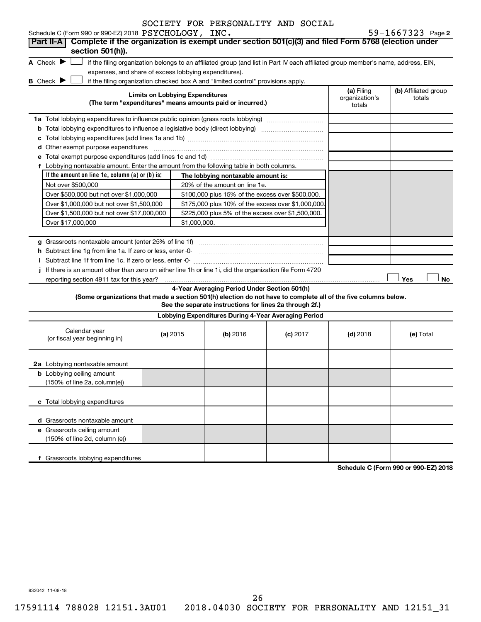| SOCIETY FOR PERSONALITY AND SOCIAL |  |  |  |  |  |
|------------------------------------|--|--|--|--|--|
|------------------------------------|--|--|--|--|--|

|  |  |  | $59 - 1667323$ Page 2 |
|--|--|--|-----------------------|
|  |  |  |                       |

| Schedule C (Form 990 or 990-EZ) 2018 PSYCHOLOGY, INC.                                                                                                                                                                          |  |                                        |                                                                                  |                                                                                                                                   |                              | $59 - 1667323$ Page 2                |
|--------------------------------------------------------------------------------------------------------------------------------------------------------------------------------------------------------------------------------|--|----------------------------------------|----------------------------------------------------------------------------------|-----------------------------------------------------------------------------------------------------------------------------------|------------------------------|--------------------------------------|
| Complete if the organization is exempt under section 501(c)(3) and filed Form 5768 (election under<br>Part II-A                                                                                                                |  |                                        |                                                                                  |                                                                                                                                   |                              |                                      |
| section 501(h)).                                                                                                                                                                                                               |  |                                        |                                                                                  |                                                                                                                                   |                              |                                      |
| A Check $\blacktriangleright$                                                                                                                                                                                                  |  |                                        |                                                                                  | if the filing organization belongs to an affiliated group (and list in Part IV each affiliated group member's name, address, EIN, |                              |                                      |
| expenses, and share of excess lobbying expenditures).<br><b>B</b> Check ▶                                                                                                                                                      |  |                                        |                                                                                  |                                                                                                                                   |                              |                                      |
|                                                                                                                                                                                                                                |  | <b>Limits on Lobbying Expenditures</b> | if the filing organization checked box A and "limited control" provisions apply. |                                                                                                                                   | (a) Filing<br>organization's | (b) Affiliated group<br>totals       |
|                                                                                                                                                                                                                                |  |                                        | (The term "expenditures" means amounts paid or incurred.)                        |                                                                                                                                   | totals                       |                                      |
| 1a Total lobbying expenditures to influence public opinion (grass roots lobbying)                                                                                                                                              |  |                                        |                                                                                  |                                                                                                                                   |                              |                                      |
|                                                                                                                                                                                                                                |  |                                        |                                                                                  |                                                                                                                                   |                              |                                      |
|                                                                                                                                                                                                                                |  |                                        |                                                                                  |                                                                                                                                   |                              |                                      |
| d Other exempt purpose expenditures [111] matter contracts and the contracts of the contracts of the contracts of the contracts of the contracts of the contracts of the contracts of the contracts of the contracts of the co |  |                                        |                                                                                  |                                                                                                                                   |                              |                                      |
|                                                                                                                                                                                                                                |  |                                        |                                                                                  |                                                                                                                                   |                              |                                      |
| f Lobbying nontaxable amount. Enter the amount from the following table in both columns.                                                                                                                                       |  |                                        |                                                                                  |                                                                                                                                   |                              |                                      |
| If the amount on line 1e, column $(a)$ or $(b)$ is:                                                                                                                                                                            |  |                                        | The lobbying nontaxable amount is:                                               |                                                                                                                                   |                              |                                      |
| Not over \$500,000                                                                                                                                                                                                             |  |                                        | 20% of the amount on line 1e.                                                    |                                                                                                                                   |                              |                                      |
| Over \$500,000 but not over \$1,000,000                                                                                                                                                                                        |  |                                        | \$100,000 plus 15% of the excess over \$500,000.                                 |                                                                                                                                   |                              |                                      |
| Over \$1,000,000 but not over \$1,500,000                                                                                                                                                                                      |  |                                        | \$175,000 plus 10% of the excess over \$1,000,000                                |                                                                                                                                   |                              |                                      |
| Over \$1,500,000 but not over \$17,000,000                                                                                                                                                                                     |  |                                        | \$225,000 plus 5% of the excess over \$1,500,000.                                |                                                                                                                                   |                              |                                      |
| Over \$17,000,000<br>\$1,000,000.                                                                                                                                                                                              |  |                                        |                                                                                  |                                                                                                                                   |                              |                                      |
|                                                                                                                                                                                                                                |  |                                        |                                                                                  |                                                                                                                                   |                              |                                      |
|                                                                                                                                                                                                                                |  |                                        |                                                                                  |                                                                                                                                   |                              |                                      |
| h Subtract line 1g from line 1a. If zero or less, enter -0-                                                                                                                                                                    |  |                                        |                                                                                  |                                                                                                                                   |                              |                                      |
|                                                                                                                                                                                                                                |  |                                        |                                                                                  |                                                                                                                                   |                              |                                      |
| If there is an amount other than zero on either line 1h or line 1i, did the organization file Form 4720                                                                                                                        |  |                                        |                                                                                  |                                                                                                                                   |                              |                                      |
| reporting section 4911 tax for this year?                                                                                                                                                                                      |  |                                        |                                                                                  |                                                                                                                                   |                              | Yes<br>No                            |
|                                                                                                                                                                                                                                |  |                                        | 4-Year Averaging Period Under Section 501(h)                                     |                                                                                                                                   |                              |                                      |
| (Some organizations that made a section 501(h) election do not have to complete all of the five columns below.                                                                                                                 |  |                                        | See the separate instructions for lines 2a through 2f.)                          |                                                                                                                                   |                              |                                      |
|                                                                                                                                                                                                                                |  |                                        | Lobbying Expenditures During 4-Year Averaging Period                             |                                                                                                                                   |                              |                                      |
|                                                                                                                                                                                                                                |  |                                        |                                                                                  |                                                                                                                                   |                              |                                      |
| Calendar year<br>(or fiscal year beginning in)                                                                                                                                                                                 |  | (a) 2015                               | (b) 2016                                                                         | $(c)$ 2017                                                                                                                        | $(d)$ 2018                   | (e) Total                            |
|                                                                                                                                                                                                                                |  |                                        |                                                                                  |                                                                                                                                   |                              |                                      |
|                                                                                                                                                                                                                                |  |                                        |                                                                                  |                                                                                                                                   |                              |                                      |
| 2a Lobbying nontaxable amount                                                                                                                                                                                                  |  |                                        |                                                                                  |                                                                                                                                   |                              |                                      |
| <b>b</b> Lobbying ceiling amount                                                                                                                                                                                               |  |                                        |                                                                                  |                                                                                                                                   |                              |                                      |
| (150% of line 2a, column(e))                                                                                                                                                                                                   |  |                                        |                                                                                  |                                                                                                                                   |                              |                                      |
| c Total lobbying expenditures                                                                                                                                                                                                  |  |                                        |                                                                                  |                                                                                                                                   |                              |                                      |
| d Grassroots nontaxable amount                                                                                                                                                                                                 |  |                                        |                                                                                  |                                                                                                                                   |                              |                                      |
| e Grassroots ceiling amount                                                                                                                                                                                                    |  |                                        |                                                                                  |                                                                                                                                   |                              |                                      |
| (150% of line 2d, column (e))                                                                                                                                                                                                  |  |                                        |                                                                                  |                                                                                                                                   |                              |                                      |
|                                                                                                                                                                                                                                |  |                                        |                                                                                  |                                                                                                                                   |                              |                                      |
| f Grassroots lobbying expenditures                                                                                                                                                                                             |  |                                        |                                                                                  |                                                                                                                                   |                              |                                      |
|                                                                                                                                                                                                                                |  |                                        |                                                                                  |                                                                                                                                   |                              | Schodule C (Form 000 or 000 F7) 2018 |

**Schedule C (Form 990 or 990-EZ) 2018**

832042 11-08-18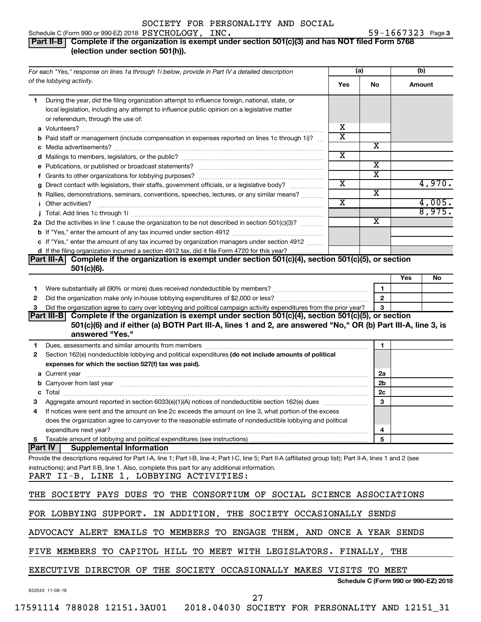### Schedule C (Form 990 or 990-EZ) 2018  $\texttt{PSYCHOLOGY}$ ,  $\texttt{INC.} \hspace{2.5cm} 59-1667323$  Page

### 59-1667323 Page 3

### **Part II-B Complete if the organization is exempt under section 501(c)(3) and has NOT filed Form 5768 (election under section 501(h)).**

| For each "Yes," response on lines 1a through 1i below, provide in Part IV a detailed description                                                                                                                                                                                                          |                         | (a)                                  |     | (b)    |
|-----------------------------------------------------------------------------------------------------------------------------------------------------------------------------------------------------------------------------------------------------------------------------------------------------------|-------------------------|--------------------------------------|-----|--------|
| of the lobbying activity.                                                                                                                                                                                                                                                                                 | Yes                     | No.                                  |     | Amount |
| During the year, did the filing organization attempt to influence foreign, national, state, or<br>1                                                                                                                                                                                                       |                         |                                      |     |        |
| local legislation, including any attempt to influence public opinion on a legislative matter                                                                                                                                                                                                              |                         |                                      |     |        |
| or referendum, through the use of:                                                                                                                                                                                                                                                                        |                         |                                      |     |        |
|                                                                                                                                                                                                                                                                                                           | х                       |                                      |     |        |
| <b>b</b> Paid staff or management (include compensation in expenses reported on lines 1c through 1i)?                                                                                                                                                                                                     | $\overline{\textbf{x}}$ |                                      |     |        |
|                                                                                                                                                                                                                                                                                                           |                         | х                                    |     |        |
|                                                                                                                                                                                                                                                                                                           | $\overline{\text{x}}$   |                                      |     |        |
| e Publications, or published or broadcast statements?                                                                                                                                                                                                                                                     |                         | $\overline{\mathbf{X}}$              |     |        |
|                                                                                                                                                                                                                                                                                                           |                         | $\overline{\text{x}}$                |     |        |
| g Direct contact with legislators, their staffs, government officials, or a legislative body?                                                                                                                                                                                                             | $\overline{\textbf{x}}$ |                                      |     | 4,970. |
| h Rallies, demonstrations, seminars, conventions, speeches, lectures, or any similar means?                                                                                                                                                                                                               |                         | $\overline{\textbf{x}}$              |     |        |
| <i>i</i> Other activities?                                                                                                                                                                                                                                                                                | $\overline{\text{x}}$   |                                      |     | 4,005. |
|                                                                                                                                                                                                                                                                                                           |                         |                                      |     | 8,975. |
| 2a Did the activities in line 1 cause the organization to be not described in section 501(c)(3)?                                                                                                                                                                                                          |                         | $\overline{\textbf{x}}$              |     |        |
|                                                                                                                                                                                                                                                                                                           |                         |                                      |     |        |
| c If "Yes," enter the amount of any tax incurred by organization managers under section 4912                                                                                                                                                                                                              |                         |                                      |     |        |
| d If the filing organization incurred a section 4912 tax, did it file Form 4720 for this year?                                                                                                                                                                                                            |                         |                                      |     |        |
| Part III-A Complete if the organization is exempt under section 501(c)(4), section 501(c)(5), or section                                                                                                                                                                                                  |                         |                                      |     |        |
| $501(c)(6)$ .                                                                                                                                                                                                                                                                                             |                         |                                      |     |        |
|                                                                                                                                                                                                                                                                                                           |                         |                                      | Yes | No     |
| Were substantially all (90% or more) dues received nondeductible by members? <i>manually all (90% or more</i> ) dues received nondeductible by members?<br>1                                                                                                                                              |                         | $\mathbf{1}$                         |     |        |
| 2                                                                                                                                                                                                                                                                                                         |                         | $\overline{2}$                       |     |        |
| Did the organization agree to carry over lobbying and political campaign activity expenditures from the prior year?<br>3<br>Part III-B Complete if the organization is exempt under section 501(c)(4), section 501(c)(5), or section                                                                      |                         | 3                                    |     |        |
| Section 162(e) nondeductible lobbying and political expenditures (do not include amounts of political<br>2<br>expenses for which the section 527(f) tax was paid).                                                                                                                                        |                         |                                      |     |        |
|                                                                                                                                                                                                                                                                                                           |                         | 2a                                   |     |        |
| b Carryover from last year manufactured and content to content the content of the content of the content of the content of the content of the content of the content of the content of the content of the content of the conte                                                                            |                         | 2b                                   |     |        |
|                                                                                                                                                                                                                                                                                                           |                         | 2c                                   |     |        |
| Aggregate amount reported in section 6033(e)(1)(A) notices of nondeductible section 162(e) dues manufacturem                                                                                                                                                                                              |                         | 3                                    |     |        |
| If notices were sent and the amount on line 2c exceeds the amount on line 3, what portion of the excess<br>4<br>does the organization agree to carryover to the reasonable estimate of nondeductible lobbying and political                                                                               |                         |                                      |     |        |
|                                                                                                                                                                                                                                                                                                           |                         | 4                                    |     |        |
| 5 Taxable amount of lobbying and political expenditures (see instructions)                                                                                                                                                                                                                                |                         | 5                                    |     |        |
| <b>Part IV</b><br><b>Supplemental Information</b>                                                                                                                                                                                                                                                         |                         |                                      |     |        |
| Provide the descriptions required for Part I-A, line 1; Part I-B, line 4; Part I-C, line 5; Part II-A (affiliated group list); Part II-A, lines 1 and 2 (see<br>instructions); and Part II-B, line 1. Also, complete this part for any additional information.<br>PART II-B, LINE 1, LOBBYING ACTIVITIES: |                         |                                      |     |        |
| THE SOCIETY PAYS DUES TO THE CONSORTIUM OF SOCIAL SCIENCE ASSOCIATIONS                                                                                                                                                                                                                                    |                         |                                      |     |        |
| FOR LOBBYING SUPPORT. IN ADDITION, THE SOCIETY OCCASIONALLY SENDS                                                                                                                                                                                                                                         |                         |                                      |     |        |
| ADVOCACY ALERT EMAILS TO MEMBERS TO ENGAGE THEM, AND ONCE A YEAR SENDS                                                                                                                                                                                                                                    |                         |                                      |     |        |
|                                                                                                                                                                                                                                                                                                           |                         |                                      |     |        |
| FIVE MEMBERS TO CAPITOL HILL TO MEET WITH LEGISLATORS. FINALLY, THE                                                                                                                                                                                                                                       |                         |                                      |     |        |
| EXECUTIVE DIRECTOR OF THE SOCIETY OCCASIONALLY MAKES VISITS TO MEET                                                                                                                                                                                                                                       |                         | Schedule C (Form 990 or 990-EZ) 2018 |     |        |
| 832043 11-08-18<br>27                                                                                                                                                                                                                                                                                     |                         |                                      |     |        |
| 17591114 788028 12151.3AU01  2018.04030 SOCIETY FOR PERSONALITY AND 12151_31                                                                                                                                                                                                                              |                         |                                      |     |        |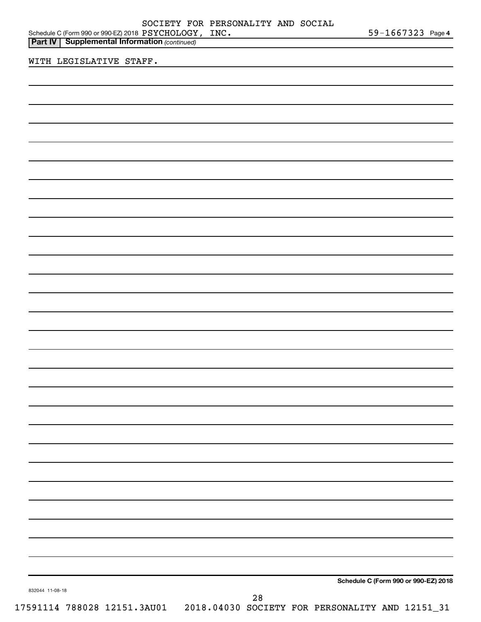|                      | SOCIETY FOR PERSONALITY AND SOCIAL |  |            |  |
|----------------------|------------------------------------|--|------------|--|
| 018 PSYCHOLOGY, INC. |                                    |  | 59-1667323 |  |

| $59 - 1667323$ Page 4 |  |
|-----------------------|--|
|-----------------------|--|

| Schedule C (Form 990 or 990-EZ) 2018 $\rm {PSYCHOLOGY}$ , $\rm {INC}$ . | 59-1667323 Page |
|-------------------------------------------------------------------------|-----------------|
| <b>Part IV   Supplemental Information (continued)</b>                   |                 |

WITH LEGISLATIVE STAFF.

**Schedule C (Form 990 or 990-EZ) 2018**

832044 11-08-18

28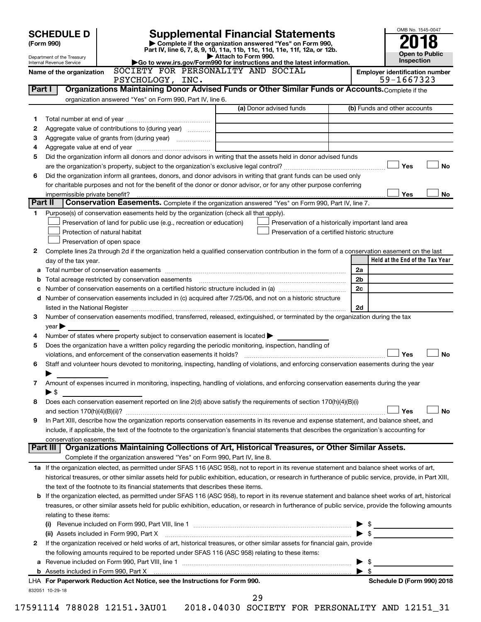|         | <b>SCHEDULE D</b>                                                                                                                                     |                                                                                                        | <b>Supplemental Financial Statements</b>                                                                                                                                                                                                                                                | OMB No. 1545-0047                     |  |  |
|---------|-------------------------------------------------------------------------------------------------------------------------------------------------------|--------------------------------------------------------------------------------------------------------|-----------------------------------------------------------------------------------------------------------------------------------------------------------------------------------------------------------------------------------------------------------------------------------------|---------------------------------------|--|--|
|         | (Form 990)                                                                                                                                            |                                                                                                        | Complete if the organization answered "Yes" on Form 990,                                                                                                                                                                                                                                |                                       |  |  |
|         | Department of the Treasury                                                                                                                            |                                                                                                        | Part IV, line 6, 7, 8, 9, 10, 11a, 11b, 11c, 11d, 11e, 11f, 12a, or 12b.<br>Attach to Form 990.                                                                                                                                                                                         | <b>Open to Public</b>                 |  |  |
|         | Internal Revenue Service                                                                                                                              |                                                                                                        | Go to www.irs.gov/Form990 for instructions and the latest information.                                                                                                                                                                                                                  | Inspection                            |  |  |
|         | Name of the organization                                                                                                                              | SOCIETY FOR PERSONALITY AND SOCIAL                                                                     |                                                                                                                                                                                                                                                                                         | <b>Employer identification number</b> |  |  |
| Part I  |                                                                                                                                                       | PSYCHOLOGY, INC.                                                                                       | Organizations Maintaining Donor Advised Funds or Other Similar Funds or Accounts. Complete if the                                                                                                                                                                                       | 59-1667323                            |  |  |
|         |                                                                                                                                                       | organization answered "Yes" on Form 990, Part IV, line 6.                                              |                                                                                                                                                                                                                                                                                         |                                       |  |  |
|         |                                                                                                                                                       |                                                                                                        | (a) Donor advised funds                                                                                                                                                                                                                                                                 | (b) Funds and other accounts          |  |  |
| 1       |                                                                                                                                                       |                                                                                                        |                                                                                                                                                                                                                                                                                         |                                       |  |  |
| 2       |                                                                                                                                                       | Aggregate value of contributions to (during year)                                                      |                                                                                                                                                                                                                                                                                         |                                       |  |  |
| З       |                                                                                                                                                       |                                                                                                        |                                                                                                                                                                                                                                                                                         |                                       |  |  |
| 4       |                                                                                                                                                       |                                                                                                        |                                                                                                                                                                                                                                                                                         |                                       |  |  |
| 5       |                                                                                                                                                       |                                                                                                        | Did the organization inform all donors and donor advisors in writing that the assets held in donor advised funds                                                                                                                                                                        |                                       |  |  |
|         |                                                                                                                                                       |                                                                                                        |                                                                                                                                                                                                                                                                                         | Yes<br><b>No</b>                      |  |  |
| 6       |                                                                                                                                                       |                                                                                                        | Did the organization inform all grantees, donors, and donor advisors in writing that grant funds can be used only                                                                                                                                                                       |                                       |  |  |
|         |                                                                                                                                                       |                                                                                                        | for charitable purposes and not for the benefit of the donor or donor advisor, or for any other purpose conferring                                                                                                                                                                      |                                       |  |  |
| Part II | impermissible private benefit?                                                                                                                        |                                                                                                        | Conservation Easements. Complete if the organization answered "Yes" on Form 990, Part IV, line 7.                                                                                                                                                                                       | Yes<br>No                             |  |  |
| 1       |                                                                                                                                                       | Purpose(s) of conservation easements held by the organization (check all that apply).                  |                                                                                                                                                                                                                                                                                         |                                       |  |  |
|         |                                                                                                                                                       | Preservation of land for public use (e.g., recreation or education)                                    | Preservation of a historically important land area                                                                                                                                                                                                                                      |                                       |  |  |
|         |                                                                                                                                                       | Protection of natural habitat                                                                          | Preservation of a certified historic structure                                                                                                                                                                                                                                          |                                       |  |  |
|         |                                                                                                                                                       | Preservation of open space                                                                             |                                                                                                                                                                                                                                                                                         |                                       |  |  |
| 2       |                                                                                                                                                       |                                                                                                        | Complete lines 2a through 2d if the organization held a qualified conservation contribution in the form of a conservation easement on the last                                                                                                                                          |                                       |  |  |
|         | day of the tax year.                                                                                                                                  |                                                                                                        |                                                                                                                                                                                                                                                                                         | Held at the End of the Tax Year       |  |  |
|         |                                                                                                                                                       |                                                                                                        |                                                                                                                                                                                                                                                                                         | 2a                                    |  |  |
| b       |                                                                                                                                                       |                                                                                                        |                                                                                                                                                                                                                                                                                         | 2b                                    |  |  |
| с       |                                                                                                                                                       |                                                                                                        |                                                                                                                                                                                                                                                                                         | 2c                                    |  |  |
| d       |                                                                                                                                                       |                                                                                                        | Number of conservation easements included in (c) acquired after 7/25/06, and not on a historic structure                                                                                                                                                                                |                                       |  |  |
|         | 2d                                                                                                                                                    |                                                                                                        |                                                                                                                                                                                                                                                                                         |                                       |  |  |
| 3       | $\vee$ ear $\blacktriangleright$                                                                                                                      |                                                                                                        | Number of conservation easements modified, transferred, released, extinguished, or terminated by the organization during the tax                                                                                                                                                        |                                       |  |  |
| 4       |                                                                                                                                                       | Number of states where property subject to conservation easement is located $\blacktriangleright$      |                                                                                                                                                                                                                                                                                         |                                       |  |  |
| 5       |                                                                                                                                                       | Does the organization have a written policy regarding the periodic monitoring, inspection, handling of |                                                                                                                                                                                                                                                                                         |                                       |  |  |
|         |                                                                                                                                                       |                                                                                                        |                                                                                                                                                                                                                                                                                         | Yes<br><b>No</b>                      |  |  |
| 6       |                                                                                                                                                       |                                                                                                        | Staff and volunteer hours devoted to monitoring, inspecting, handling of violations, and enforcing conservation easements during the year                                                                                                                                               |                                       |  |  |
|         | ▶                                                                                                                                                     |                                                                                                        |                                                                                                                                                                                                                                                                                         |                                       |  |  |
| 7       |                                                                                                                                                       |                                                                                                        | Amount of expenses incurred in monitoring, inspecting, handling of violations, and enforcing conservation easements during the year                                                                                                                                                     |                                       |  |  |
|         | $\blacktriangleright$ \$                                                                                                                              |                                                                                                        |                                                                                                                                                                                                                                                                                         |                                       |  |  |
| 8       |                                                                                                                                                       |                                                                                                        | Does each conservation easement reported on line 2(d) above satisfy the requirements of section 170(h)(4)(B)(i)                                                                                                                                                                         |                                       |  |  |
|         |                                                                                                                                                       |                                                                                                        |                                                                                                                                                                                                                                                                                         | No<br>Yes                             |  |  |
| 9       |                                                                                                                                                       |                                                                                                        | In Part XIII, describe how the organization reports conservation easements in its revenue and expense statement, and balance sheet, and<br>include, if applicable, the text of the footnote to the organization's financial statements that describes the organization's accounting for |                                       |  |  |
|         | conservation easements.                                                                                                                               |                                                                                                        |                                                                                                                                                                                                                                                                                         |                                       |  |  |
|         |                                                                                                                                                       |                                                                                                        | Part III   Organizations Maintaining Collections of Art, Historical Treasures, or Other Similar Assets.                                                                                                                                                                                 |                                       |  |  |
|         |                                                                                                                                                       | Complete if the organization answered "Yes" on Form 990, Part IV, line 8.                              |                                                                                                                                                                                                                                                                                         |                                       |  |  |
|         |                                                                                                                                                       |                                                                                                        | 1a If the organization elected, as permitted under SFAS 116 (ASC 958), not to report in its revenue statement and balance sheet works of art,                                                                                                                                           |                                       |  |  |
|         |                                                                                                                                                       |                                                                                                        | historical treasures, or other similar assets held for public exhibition, education, or research in furtherance of public service, provide, in Part XIII,                                                                                                                               |                                       |  |  |
|         |                                                                                                                                                       | the text of the footnote to its financial statements that describes these items.                       |                                                                                                                                                                                                                                                                                         |                                       |  |  |
|         |                                                                                                                                                       |                                                                                                        | <b>b</b> If the organization elected, as permitted under SFAS 116 (ASC 958), to report in its revenue statement and balance sheet works of art, historical                                                                                                                              |                                       |  |  |
|         | treasures, or other similar assets held for public exhibition, education, or research in furtherance of public service, provide the following amounts |                                                                                                        |                                                                                                                                                                                                                                                                                         |                                       |  |  |
|         | relating to these items:                                                                                                                              |                                                                                                        |                                                                                                                                                                                                                                                                                         |                                       |  |  |
|         |                                                                                                                                                       |                                                                                                        |                                                                                                                                                                                                                                                                                         |                                       |  |  |
| 2       |                                                                                                                                                       | (ii) Assets included in Form 990, Part X                                                               | If the organization received or held works of art, historical treasures, or other similar assets for financial gain, provide                                                                                                                                                            | \$                                    |  |  |
|         |                                                                                                                                                       | the following amounts required to be reported under SFAS 116 (ASC 958) relating to these items:        |                                                                                                                                                                                                                                                                                         |                                       |  |  |
|         |                                                                                                                                                       |                                                                                                        |                                                                                                                                                                                                                                                                                         | \$                                    |  |  |
|         |                                                                                                                                                       |                                                                                                        |                                                                                                                                                                                                                                                                                         | \$                                    |  |  |
|         |                                                                                                                                                       | LHA For Paperwork Reduction Act Notice, see the Instructions for Form 990.                             |                                                                                                                                                                                                                                                                                         | Schedule D (Form 990) 2018            |  |  |
|         | 832051 10-29-18                                                                                                                                       |                                                                                                        |                                                                                                                                                                                                                                                                                         |                                       |  |  |
|         |                                                                                                                                                       |                                                                                                        | 29                                                                                                                                                                                                                                                                                      |                                       |  |  |

|  | ×<br>I |
|--|--------|
|  |        |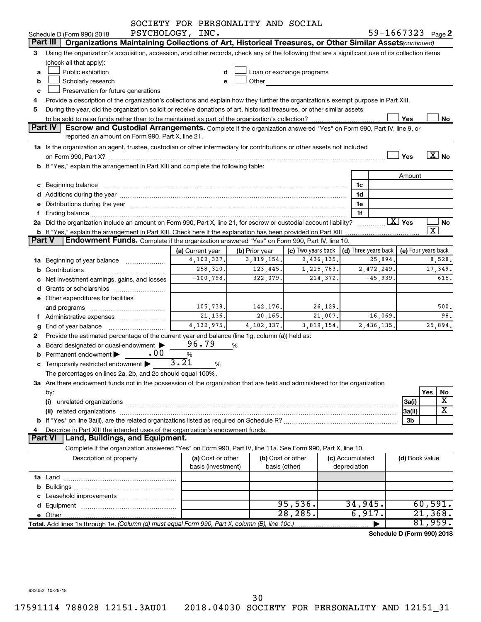|        |                                                                                                                                                                                                                                | SOCIETY FOR PERSONALITY AND SOCIAL                           |                |                                                                             |                 |                            |                        |                          |                              |
|--------|--------------------------------------------------------------------------------------------------------------------------------------------------------------------------------------------------------------------------------|--------------------------------------------------------------|----------------|-----------------------------------------------------------------------------|-----------------|----------------------------|------------------------|--------------------------|------------------------------|
|        | Schedule D (Form 990) 2018                                                                                                                                                                                                     | PSYCHOLOGY, INC.                                             |                |                                                                             |                 | 59-1667323 Page 2          |                        |                          |                              |
|        | Part III   Organizations Maintaining Collections of Art, Historical Treasures, or Other Similar Assets (continued)                                                                                                             |                                                              |                |                                                                             |                 |                            |                        |                          |                              |
| 3      | Using the organization's acquisition, accession, and other records, check any of the following that are a significant use of its collection items                                                                              |                                                              |                |                                                                             |                 |                            |                        |                          |                              |
|        | (check all that apply):                                                                                                                                                                                                        |                                                              |                |                                                                             |                 |                            |                        |                          |                              |
| a      | Public exhibition                                                                                                                                                                                                              |                                                              |                | Loan or exchange programs                                                   |                 |                            |                        |                          |                              |
| b      | Other<br>Scholarly research<br>e                                                                                                                                                                                               |                                                              |                |                                                                             |                 |                            |                        |                          |                              |
| c      | Preservation for future generations                                                                                                                                                                                            |                                                              |                |                                                                             |                 |                            |                        |                          |                              |
| 4      | Provide a description of the organization's collections and explain how they further the organization's exempt purpose in Part XIII.                                                                                           |                                                              |                |                                                                             |                 |                            |                        |                          |                              |
| 5      | During the year, did the organization solicit or receive donations of art, historical treasures, or other similar assets                                                                                                       |                                                              |                |                                                                             |                 |                            |                        |                          |                              |
|        |                                                                                                                                                                                                                                |                                                              |                |                                                                             |                 |                            | Yes                    |                          | No                           |
|        | <b>Part IV</b><br>Escrow and Custodial Arrangements. Complete if the organization answered "Yes" on Form 990, Part IV, line 9, or                                                                                              |                                                              |                |                                                                             |                 |                            |                        |                          |                              |
|        | reported an amount on Form 990, Part X, line 21.                                                                                                                                                                               |                                                              |                |                                                                             |                 |                            |                        |                          |                              |
|        | 1a Is the organization an agent, trustee, custodian or other intermediary for contributions or other assets not included                                                                                                       |                                                              |                |                                                                             |                 |                            |                        |                          |                              |
|        |                                                                                                                                                                                                                                |                                                              |                |                                                                             |                 |                            | Yes                    | $\overline{\text{X}}$ No |                              |
|        | b If "Yes," explain the arrangement in Part XIII and complete the following table:                                                                                                                                             |                                                              |                |                                                                             |                 |                            |                        |                          |                              |
|        |                                                                                                                                                                                                                                |                                                              |                |                                                                             |                 |                            | Amount                 |                          |                              |
|        |                                                                                                                                                                                                                                |                                                              |                |                                                                             | 1c              |                            |                        |                          |                              |
|        |                                                                                                                                                                                                                                |                                                              |                |                                                                             | 1d              |                            |                        |                          |                              |
|        | e Distributions during the year manufactured and continuum and contact the year manufactured and contact the year manufactured and contact the year manufactured and contact the year manufactured and contact the year manufa |                                                              |                |                                                                             | 1e              |                            |                        |                          |                              |
|        |                                                                                                                                                                                                                                |                                                              |                |                                                                             | 1f              |                            |                        |                          |                              |
|        | 2a Did the organization include an amount on Form 990, Part X, line 21, for escrow or custodial account liability?                                                                                                             |                                                              |                |                                                                             |                 |                            | $\boxed{\text{X}}$ Yes |                          | No                           |
|        | $\overline{\texttt{x}}$<br><b>b</b> If "Yes," explain the arrangement in Part XIII. Check here if the explanation has been provided on Part XIII                                                                               |                                                              |                |                                                                             |                 |                            |                        |                          |                              |
| Part V | Endowment Funds. Complete if the organization answered "Yes" on Form 990, Part IV, line 10.                                                                                                                                    |                                                              |                |                                                                             |                 |                            |                        |                          |                              |
|        |                                                                                                                                                                                                                                | (a) Current year                                             | (b) Prior year | (c) Two years back $\vert$ (d) Three years back $\vert$ (e) Four years back |                 |                            |                        |                          |                              |
|        | 4, 102, 337.<br>2,436,135.<br>3,819,154.<br>25,894.<br>8,528.<br>1a Beginning of year balance                                                                                                                                  |                                                              |                |                                                                             |                 |                            |                        |                          |                              |
|        |                                                                                                                                                                                                                                | 258,310.<br>123, 445.<br>1,215,783.<br>2,472,249.<br>17,349. |                |                                                                             |                 |                            |                        |                          |                              |
|        | c Net investment earnings, gains, and losses                                                                                                                                                                                   | $-100,798.$                                                  | 322,079.       | 214,372.                                                                    |                 | $-45,939.$                 |                        |                          | 615.                         |
|        |                                                                                                                                                                                                                                |                                                              |                |                                                                             |                 |                            |                        |                          |                              |
|        | e Other expenditures for facilities                                                                                                                                                                                            |                                                              |                |                                                                             |                 |                            |                        |                          |                              |
|        | and programs                                                                                                                                                                                                                   | 105,738.                                                     | 142,176.       | 26,129.                                                                     |                 |                            |                        |                          | 500.                         |
|        | f Administrative expenses                                                                                                                                                                                                      | 21,136.                                                      | 20, 165.       | 21,007.                                                                     |                 | 16,069.                    |                        |                          | 98.                          |
| g      | End of year balance                                                                                                                                                                                                            | 4, 132, 975.                                                 | 4,102,337.     | 3,819,154.                                                                  |                 | 2,436,135.                 |                        | 25,894.                  |                              |
|        | Provide the estimated percentage of the current year end balance (line 1g, column (a)) held as:                                                                                                                                |                                                              |                |                                                                             |                 |                            |                        |                          |                              |
|        | a Board designated or quasi-endowment                                                                                                                                                                                          | 96.79                                                        | %              |                                                                             |                 |                            |                        |                          |                              |
|        | . 00<br>Permanent endowment                                                                                                                                                                                                    | %                                                            |                |                                                                             |                 |                            |                        |                          |                              |
|        | c Temporarily restricted endowment                                                                                                                                                                                             | 3.21<br>%                                                    |                |                                                                             |                 |                            |                        |                          |                              |
|        | The percentages on lines 2a, 2b, and 2c should equal 100%.                                                                                                                                                                     |                                                              |                |                                                                             |                 |                            |                        |                          |                              |
|        | 3a Are there endowment funds not in the possession of the organization that are held and administered for the organization                                                                                                     |                                                              |                |                                                                             |                 |                            |                        |                          |                              |
|        | by:                                                                                                                                                                                                                            |                                                              |                |                                                                             |                 |                            |                        | Yes                      | No                           |
|        | (i)                                                                                                                                                                                                                            |                                                              |                |                                                                             |                 |                            | 3a(i)                  |                          | Х<br>$\overline{\textbf{x}}$ |
|        |                                                                                                                                                                                                                                |                                                              |                |                                                                             |                 |                            | 3a(ii)                 |                          |                              |
|        |                                                                                                                                                                                                                                |                                                              |                |                                                                             |                 |                            | 3b                     |                          |                              |
|        | Describe in Part XIII the intended uses of the organization's endowment funds.                                                                                                                                                 |                                                              |                |                                                                             |                 |                            |                        |                          |                              |
|        | Land, Buildings, and Equipment.<br><b>Part VI</b>                                                                                                                                                                              |                                                              |                |                                                                             |                 |                            |                        |                          |                              |
|        | Complete if the organization answered "Yes" on Form 990, Part IV, line 11a. See Form 990, Part X, line 10.                                                                                                                     |                                                              |                |                                                                             |                 |                            |                        |                          |                              |
|        | Description of property                                                                                                                                                                                                        | (a) Cost or other                                            |                | (b) Cost or other                                                           | (c) Accumulated |                            | (d) Book value         |                          |                              |
|        |                                                                                                                                                                                                                                | basis (investment)                                           |                | basis (other)                                                               | depreciation    |                            |                        |                          |                              |
|        |                                                                                                                                                                                                                                |                                                              |                |                                                                             |                 |                            |                        |                          |                              |
|        |                                                                                                                                                                                                                                |                                                              |                |                                                                             |                 |                            |                        |                          |                              |
|        |                                                                                                                                                                                                                                |                                                              |                |                                                                             | 34,945.         |                            |                        |                          |                              |
|        |                                                                                                                                                                                                                                |                                                              |                | 95,536.<br>28, 285.                                                         |                 | 6,917.                     |                        | 60,591.<br>$21,368$ .    |                              |
|        |                                                                                                                                                                                                                                |                                                              |                |                                                                             |                 |                            |                        | 81,959.                  |                              |
|        | Total. Add lines 1a through 1e. (Column (d) must equal Form 990, Part X, column (B), line 10c.)                                                                                                                                |                                                              |                |                                                                             |                 |                            |                        |                          |                              |
|        |                                                                                                                                                                                                                                |                                                              |                |                                                                             |                 | Schedule D (Form 990) 2018 |                        |                          |                              |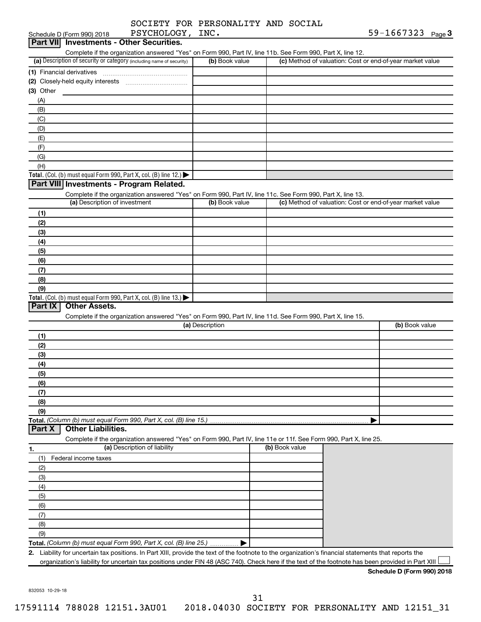|                                                                                                                   | SOCIETY FOR PERSONALITY AND SOCIAL |                |                                                           |
|-------------------------------------------------------------------------------------------------------------------|------------------------------------|----------------|-----------------------------------------------------------|
| PSYCHOLOGY, INC.<br>Schedule D (Form 990) 2018                                                                    |                                    |                | 59-1667323 Page 3                                         |
| <b>Part VIII</b><br><b>Investments - Other Securities.</b>                                                        |                                    |                |                                                           |
| Complete if the organization answered "Yes" on Form 990, Part IV, line 11b. See Form 990, Part X, line 12.        |                                    |                |                                                           |
| (a) Description of security or category (including name of security)                                              | (b) Book value                     |                | (c) Method of valuation: Cost or end-of-year market value |
| (1) Financial derivatives                                                                                         |                                    |                |                                                           |
| (2) Closely-held equity interests                                                                                 |                                    |                |                                                           |
| (3) Other                                                                                                         |                                    |                |                                                           |
| (A)                                                                                                               |                                    |                |                                                           |
| (B)                                                                                                               |                                    |                |                                                           |
| (C)                                                                                                               |                                    |                |                                                           |
| (D)                                                                                                               |                                    |                |                                                           |
| (E)                                                                                                               |                                    |                |                                                           |
| (F)                                                                                                               |                                    |                |                                                           |
| (G)                                                                                                               |                                    |                |                                                           |
| (H)                                                                                                               |                                    |                |                                                           |
| Total. (Col. (b) must equal Form 990, Part X, col. (B) line 12.) $\blacktriangleright$                            |                                    |                |                                                           |
| Part VIII Investments - Program Related.                                                                          |                                    |                |                                                           |
| Complete if the organization answered "Yes" on Form 990, Part IV, line 11c. See Form 990, Part X, line 13.        |                                    |                |                                                           |
| (a) Description of investment                                                                                     | (b) Book value                     |                | (c) Method of valuation: Cost or end-of-year market value |
| (1)                                                                                                               |                                    |                |                                                           |
| (2)                                                                                                               |                                    |                |                                                           |
| (3)                                                                                                               |                                    |                |                                                           |
| (4)                                                                                                               |                                    |                |                                                           |
| (5)                                                                                                               |                                    |                |                                                           |
| (6)                                                                                                               |                                    |                |                                                           |
| (7)                                                                                                               |                                    |                |                                                           |
| (8)<br>(9)                                                                                                        |                                    |                |                                                           |
| Total. (Col. (b) must equal Form 990, Part X, col. (B) line $13.$ )                                               |                                    |                |                                                           |
| Part $ \overline{X} $<br><b>Other Assets.</b>                                                                     |                                    |                |                                                           |
| Complete if the organization answered "Yes" on Form 990, Part IV, line 11d. See Form 990, Part X, line 15.        |                                    |                |                                                           |
|                                                                                                                   | (a) Description                    |                | (b) Book value                                            |
| (1)                                                                                                               |                                    |                |                                                           |
| (2)                                                                                                               |                                    |                |                                                           |
| (3)                                                                                                               |                                    |                |                                                           |
| (4)                                                                                                               |                                    |                |                                                           |
| (5)                                                                                                               |                                    |                |                                                           |
| (6)                                                                                                               |                                    |                |                                                           |
| (7)                                                                                                               |                                    |                |                                                           |
| (8)                                                                                                               |                                    |                |                                                           |
| (9)                                                                                                               |                                    |                |                                                           |
| Total. (Column (b) must equal Form 990, Part X, col. (B) line 15.)                                                |                                    |                |                                                           |
| <b>Other Liabilities.</b><br>Part X                                                                               |                                    |                |                                                           |
| Complete if the organization answered "Yes" on Form 990, Part IV, line 11e or 11f. See Form 990, Part X, line 25. |                                    |                |                                                           |
| (a) Description of liability<br>1.                                                                                |                                    | (b) Book value |                                                           |
| Federal income taxes<br>(1)                                                                                       |                                    |                |                                                           |
| (2)                                                                                                               |                                    |                |                                                           |
| (3)                                                                                                               |                                    |                |                                                           |
| (4)                                                                                                               |                                    |                |                                                           |
| (5)                                                                                                               |                                    |                |                                                           |
| (6)                                                                                                               |                                    |                |                                                           |
| (7)                                                                                                               |                                    |                |                                                           |
| (8)                                                                                                               |                                    |                |                                                           |

**Total.**  *(Column (b) must equal Form 990, Part X, col. (B) line 25.)*

**2.** Liability for uncertain tax positions. In Part XIII, provide the text of the footnote to the organization's financial statements that reports the organization's liability for uncertain tax positions under FIN 48 (ASC 740). Check here if the text of the footnote has been provided in Part XIII

 $\blacktriangleright$ 

832053 10-29-18

(9)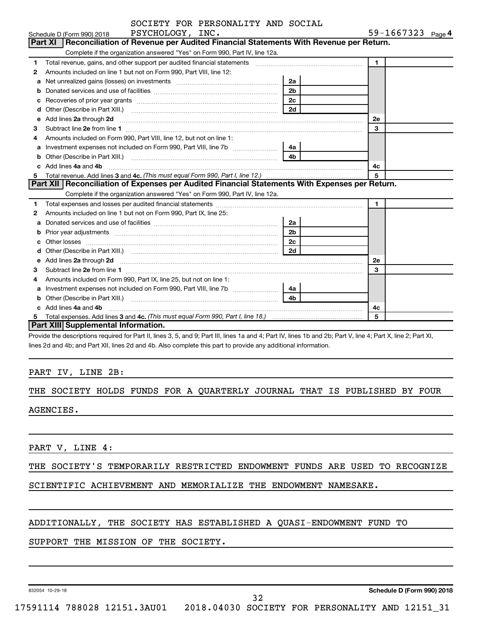|        | SUCILII FUR PERSUNALIII AND SUCIAL<br>PSYCHOLOGY, INC.                                                                                                       |                | 59-1667323 Page 4 |
|--------|--------------------------------------------------------------------------------------------------------------------------------------------------------------|----------------|-------------------|
|        | Schedule D (Form 990) 2018<br>Part XI   Reconciliation of Revenue per Audited Financial Statements With Revenue per Return.                                  |                |                   |
|        | Complete if the organization answered "Yes" on Form 990, Part IV, line 12a.                                                                                  |                |                   |
| 1      | Total revenue, gains, and other support per audited financial statements [111] [11] Total revenue, gains, and other support per audited financial statements |                | $\blacksquare$    |
|        | Amounts included on line 1 but not on Form 990, Part VIII, line 12:                                                                                          |                |                   |
| 2      |                                                                                                                                                              | 2a             |                   |
| a<br>b |                                                                                                                                                              | 2 <sub>b</sub> |                   |
|        |                                                                                                                                                              | 2 <sub>c</sub> |                   |
| с<br>d | Recoveries of prior year grants [11,111] Recoveries of prior year grants [11,111] Recoveries of prior year grants                                            | 2d             |                   |
|        |                                                                                                                                                              |                | <b>2e</b>         |
| 3      |                                                                                                                                                              |                | 3                 |
| 4      | Amounts included on Form 990, Part VIII, line 12, but not on line 1:                                                                                         |                |                   |
|        | Investment expenses not included on Form 990, Part VIII, line 7b [11, 111, 120]                                                                              | 4a l           |                   |
| b      |                                                                                                                                                              | 4b             |                   |
| C.     | Add lines 4a and 4b                                                                                                                                          |                | 4c                |
|        |                                                                                                                                                              |                | 5                 |
|        | Part XII   Reconciliation of Expenses per Audited Financial Statements With Expenses per Return.                                                             |                |                   |
|        | Complete if the organization answered "Yes" on Form 990, Part IV, line 12a.                                                                                  |                |                   |
| 1      |                                                                                                                                                              |                | 1                 |
| 2      | Amounts included on line 1 but not on Form 990, Part IX, line 25:                                                                                            |                |                   |
| a      |                                                                                                                                                              | 2a             |                   |
| b      |                                                                                                                                                              | 2 <sub>b</sub> |                   |
|        |                                                                                                                                                              | 2c             |                   |
|        |                                                                                                                                                              | 2d             |                   |
|        |                                                                                                                                                              |                | <b>2e</b>         |
| 3      | Subtract line 2e from line 1                                                                                                                                 |                | 3                 |
| 4      | Amounts included on Form 990, Part IX, line 25, but not on line 1:                                                                                           |                |                   |
| a      | Investment expenses not included on Form 990, Part VIII, line 7b [[[[[[[[[[[[[[[[[[[[[[[]]]]]]]]                                                             | 4a             |                   |
| b      |                                                                                                                                                              | 4h             |                   |
|        | Add lines 4a and 4b                                                                                                                                          |                | 4c                |
|        |                                                                                                                                                              |                | 5                 |
|        | Part XIII Supplemental Information.                                                                                                                          |                |                   |

Provide the descriptions required for Part II, lines 3, 5, and 9; Part III, lines 1a and 4; Part IV, lines 1b and 2b; Part V, line 4; Part X, line 2; Part XI, lines 2d and 4b; and Part XII, lines 2d and 4b. Also complete this part to provide any additional information.

### PART IV, LINE 2B:

# THE SOCIETY HOLDS FUNDS FOR A QUARTERLY JOURNAL THAT IS PUBLISHED BY FOUR

AGENCIES.

PART V, LINE 4:

### THE SOCIETY'S TEMPORARILY RESTRICTED ENDOWMENT FUNDS ARE USED TO RECOGNIZE

SCIENTIFIC ACHIEVEMENT AND MEMORIALIZE THE ENDOWMENT NAMESAKE.

### ADDITIONALLY, THE SOCIETY HAS ESTABLISHED A QUASI-ENDOWMENT FUND TO

### SUPPORT THE MISSION OF THE SOCIETY.

832054 10-29-18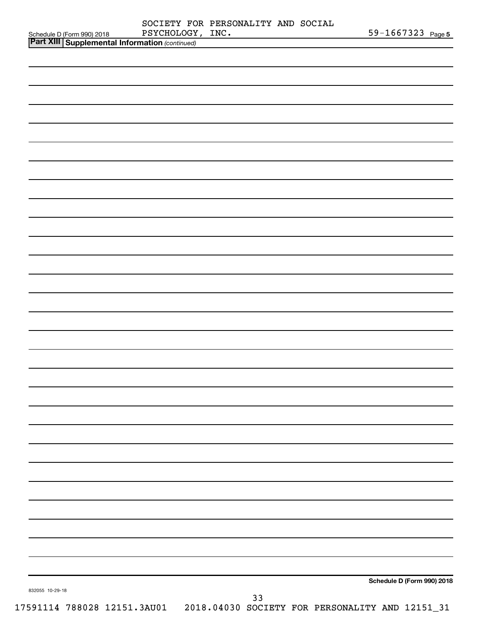|                                                                                         | PSYCHOLOGY, INC. | SOCIETY FOR PERSONALITY AND SOCIAL | <u> 1990 - Jan James Barnett, politik e</u> ta eta eskualdea | 59-1667323 Page 5          |
|-----------------------------------------------------------------------------------------|------------------|------------------------------------|--------------------------------------------------------------|----------------------------|
| Schedule D (Form 990) 2018 PSYCHOLOGY<br>Part XIII Supplemental Information (continued) |                  |                                    |                                                              |                            |
|                                                                                         |                  |                                    |                                                              |                            |
|                                                                                         |                  |                                    |                                                              |                            |
|                                                                                         |                  |                                    |                                                              |                            |
|                                                                                         |                  |                                    |                                                              |                            |
|                                                                                         |                  |                                    |                                                              |                            |
|                                                                                         |                  |                                    |                                                              |                            |
|                                                                                         |                  |                                    |                                                              |                            |
|                                                                                         |                  |                                    |                                                              |                            |
|                                                                                         |                  |                                    |                                                              |                            |
|                                                                                         |                  |                                    |                                                              |                            |
|                                                                                         |                  |                                    |                                                              |                            |
|                                                                                         |                  |                                    |                                                              |                            |
|                                                                                         |                  |                                    |                                                              |                            |
|                                                                                         |                  |                                    |                                                              |                            |
|                                                                                         |                  |                                    |                                                              |                            |
|                                                                                         |                  |                                    |                                                              |                            |
|                                                                                         |                  |                                    |                                                              |                            |
|                                                                                         |                  |                                    |                                                              |                            |
|                                                                                         |                  |                                    |                                                              |                            |
|                                                                                         |                  |                                    |                                                              |                            |
|                                                                                         |                  |                                    |                                                              |                            |
|                                                                                         |                  |                                    |                                                              |                            |
|                                                                                         |                  |                                    |                                                              |                            |
|                                                                                         |                  |                                    |                                                              |                            |
|                                                                                         |                  |                                    |                                                              |                            |
|                                                                                         |                  |                                    |                                                              |                            |
|                                                                                         |                  |                                    |                                                              |                            |
|                                                                                         |                  |                                    |                                                              |                            |
|                                                                                         |                  |                                    |                                                              |                            |
|                                                                                         |                  |                                    |                                                              |                            |
|                                                                                         |                  |                                    |                                                              |                            |
|                                                                                         |                  |                                    |                                                              |                            |
|                                                                                         |                  |                                    |                                                              |                            |
|                                                                                         |                  |                                    |                                                              |                            |
|                                                                                         |                  |                                    |                                                              |                            |
|                                                                                         |                  |                                    |                                                              |                            |
|                                                                                         |                  |                                    |                                                              |                            |
|                                                                                         |                  |                                    |                                                              |                            |
|                                                                                         |                  |                                    |                                                              |                            |
|                                                                                         |                  |                                    |                                                              |                            |
|                                                                                         |                  |                                    |                                                              |                            |
|                                                                                         |                  |                                    |                                                              |                            |
|                                                                                         |                  |                                    |                                                              | Schedule D (Form 990) 2018 |
| 832055 10-29-18                                                                         |                  | 33                                 |                                                              |                            |
| 17591114 788028 12151.3AU01 2018.04030 SOCIETY FOR PERSONALITY AND 12151_31             |                  |                                    |                                                              |                            |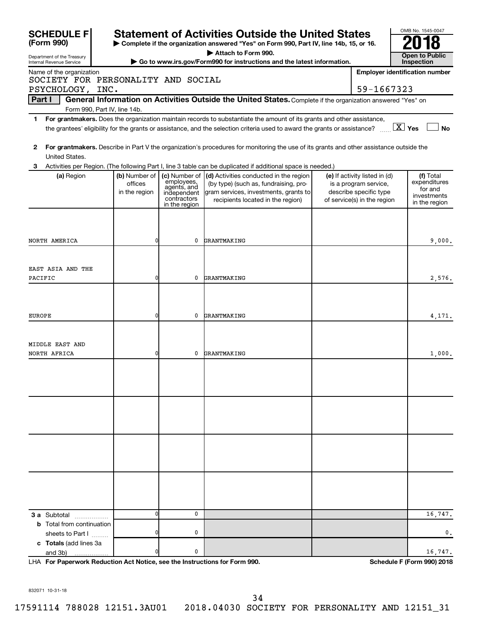| <b>SCHEDULE F</b><br>(Form 990)                                |                |                            | <b>Statement of Activities Outside the United States</b><br>Complete if the organization answered "Yes" on Form 990, Part IV, line 14b, 15, or 16. |                               | OMB No. 1545-0047                          |
|----------------------------------------------------------------|----------------|----------------------------|----------------------------------------------------------------------------------------------------------------------------------------------------|-------------------------------|--------------------------------------------|
|                                                                |                |                            | Attach to Form 990.                                                                                                                                |                               |                                            |
| Department of the Treasury<br>Internal Revenue Service         |                |                            | Go to www.irs.gov/Form990 for instructions and the latest information.                                                                             |                               | <b>Open to Public</b><br><b>Inspection</b> |
| Name of the organization<br>SOCIETY FOR PERSONALITY AND SOCIAL |                |                            |                                                                                                                                                    |                               | <b>Employer identification number</b>      |
| PSYCHOLOGY, INC.                                               |                |                            |                                                                                                                                                    | 59-1667323                    |                                            |
| Part I                                                         |                |                            | General Information on Activities Outside the United States. Complete if the organization answered "Yes" on                                        |                               |                                            |
| Form 990, Part IV, line 14b.<br>1.                             |                |                            | For grantmakers. Does the organization maintain records to substantiate the amount of its grants and other assistance,                             |                               |                                            |
|                                                                |                |                            | the grantees' eligibility for the grants or assistance, and the selection criteria used to award the grants or assistance?                         |                               | $\boxed{\text{X}}$ Yes<br><b>No</b>        |
| 2<br>United States.                                            |                |                            | For grantmakers. Describe in Part V the organization's procedures for monitoring the use of its grants and other assistance outside the            |                               |                                            |
| З.                                                             |                |                            | Activities per Region. (The following Part I, line 3 table can be duplicated if additional space is needed.)                                       |                               |                                            |
| (a) Region                                                     | (b) Number of  | (c) Number of              | (d) Activities conducted in the region                                                                                                             | (e) If activity listed in (d) | (f) Total                                  |
|                                                                | offices        | employees,<br>agents, and  | (by type) (such as, fundraising, pro-                                                                                                              | is a program service,         | expenditures<br>for and                    |
|                                                                | in the region  | independent<br>contractors | gram services, investments, grants to                                                                                                              | describe specific type        | investments                                |
|                                                                |                | in the region              | recipients located in the region)                                                                                                                  | of service(s) in the region   | in the region                              |
|                                                                |                |                            |                                                                                                                                                    |                               |                                            |
|                                                                |                |                            |                                                                                                                                                    |                               |                                            |
|                                                                |                |                            |                                                                                                                                                    |                               |                                            |
| NORTH AMERICA                                                  | $\overline{0}$ | 0                          | GRANTMAKING                                                                                                                                        |                               | 9,000.                                     |
|                                                                |                |                            |                                                                                                                                                    |                               |                                            |
|                                                                |                |                            |                                                                                                                                                    |                               |                                            |
| EAST ASIA AND THE                                              |                |                            |                                                                                                                                                    |                               |                                            |
| PACIFIC                                                        | $\overline{0}$ | 0                          | GRANTMAKING                                                                                                                                        |                               | 2,576.                                     |
|                                                                |                |                            |                                                                                                                                                    |                               |                                            |
|                                                                |                |                            |                                                                                                                                                    |                               |                                            |
|                                                                |                |                            |                                                                                                                                                    |                               |                                            |
| <b>EUROPE</b>                                                  | $\overline{0}$ | 0                          | GRANTMAKING                                                                                                                                        |                               | 4,171.                                     |
|                                                                |                |                            |                                                                                                                                                    |                               |                                            |
|                                                                |                |                            |                                                                                                                                                    |                               |                                            |
| MIDDLE EAST AND                                                |                |                            |                                                                                                                                                    |                               |                                            |
| NORTH AFRICA                                                   | $\overline{0}$ | 0                          | GRANTMAKING                                                                                                                                        |                               | 1,000.                                     |
|                                                                |                |                            |                                                                                                                                                    |                               |                                            |
|                                                                |                |                            |                                                                                                                                                    |                               |                                            |
|                                                                |                |                            |                                                                                                                                                    |                               |                                            |
|                                                                |                |                            |                                                                                                                                                    |                               |                                            |
|                                                                |                |                            |                                                                                                                                                    |                               |                                            |
|                                                                |                |                            |                                                                                                                                                    |                               |                                            |
|                                                                |                |                            |                                                                                                                                                    |                               |                                            |
|                                                                |                |                            |                                                                                                                                                    |                               |                                            |
|                                                                |                |                            |                                                                                                                                                    |                               |                                            |
|                                                                |                |                            |                                                                                                                                                    |                               |                                            |
|                                                                |                |                            |                                                                                                                                                    |                               |                                            |
|                                                                |                |                            |                                                                                                                                                    |                               |                                            |
|                                                                |                |                            |                                                                                                                                                    |                               |                                            |
|                                                                |                |                            |                                                                                                                                                    |                               |                                            |
|                                                                |                |                            |                                                                                                                                                    |                               |                                            |
|                                                                |                |                            |                                                                                                                                                    |                               |                                            |
| <b>3 a</b> Subtotal <b>1996</b>                                | $\Omega$       | 0                          |                                                                                                                                                    |                               | 16,747.                                    |
| <b>b</b> Total from continuation                               |                |                            |                                                                                                                                                    |                               |                                            |
| sheets to Part I                                               | O              | 0                          |                                                                                                                                                    |                               | 0.                                         |
| c Totals (add lines 3a                                         |                |                            |                                                                                                                                                    |                               |                                            |
| and 3b)                                                        |                | 0                          |                                                                                                                                                    |                               | 16,747.                                    |
|                                                                |                |                            |                                                                                                                                                    |                               |                                            |

**For Paperwork Reduction Act Notice, see the Instructions for Form 990. Schedule F (Form 990) 2018** LHA

832071 10-31-18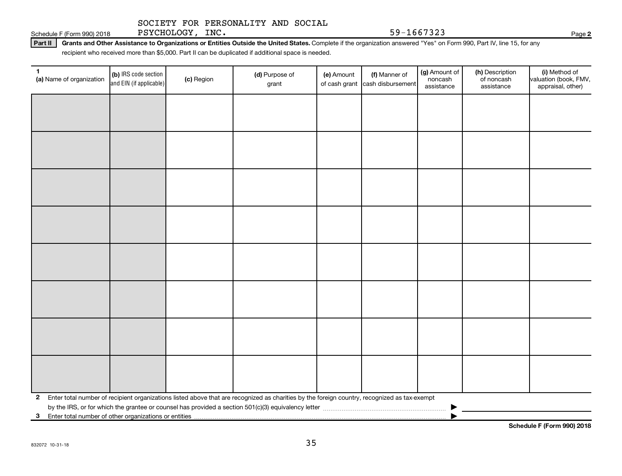Schedule F (Form 990) 2018 PSYCHOLOGY, INC. Page 31 April 2014 159-1667323

Part II | Grants and Other Assistance to Organizations or Entities Outside the United States. Complete if the organization answered "Yes" on Form 990, Part IV, line 15, for any recipient who received more than \$5,000. Part II can be duplicated if additional space is needed.

**(a)** Name of organization (b) IRS code section (c) Region (c) Region (d) Purpose of (e) Amount (f) Manner of (g) Amount of (h) Description (i) (a) Name of organization (f) IRS code section (c) Region (d) Purpose of (d) Am **2** Enter total number of recipient organizations listed above that are recognized as charities by the foreign country, recognized as tax-exempt (b) IRS code section and EIN (if applicable) (a) Name of organization  $\begin{bmatrix} \textbf{(b)} \text{ IRS code section} \\ \textbf{conf} \text{ In the image of } \textbf{Comp}(n) \end{bmatrix}$  (c) Region (d) Purpose of grant (e) Amount of cash grant (f) Manner of cash disbursement (g) Amount of noncash assistance (h) Description of noncash assistance (i) Method of valuation (book, FMV, appraisal, other) by the IRS, or for which the grantee or counsel has provided a section 501(c)(3) equivalency letter  $\ldots$   $\ldots$   $\ldots$   $\ldots$   $\ldots$   $\ldots$   $\ldots$   $\ldots$   $\ldots$   $\ldots$   $\ldots$   $\ldots$   $\ldots$   $\ldots$   $\ldots$   $\ldots$   $\ldots$   $\ldots$   $\ldots$   $\ldots$   $\$ 

**3** Enter total number of other organizations or entities |

**Schedule F (Form 990) 2018**

**2**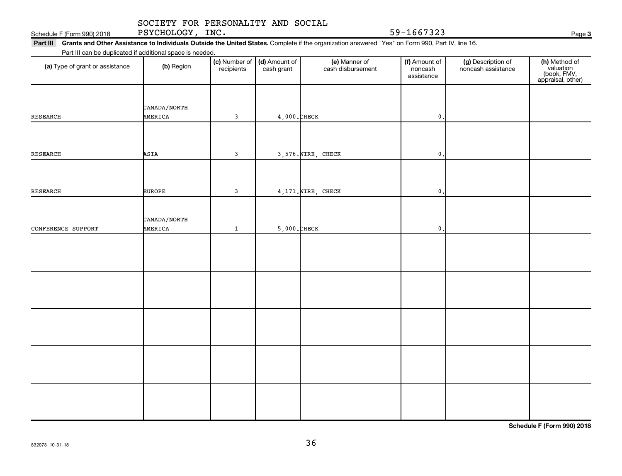832073 10-31-18

### SOCIETY FOR PERSONALITY AND SOCIAL

Schedule F (Form 990) 2018 PSYCHOLOGY, INC. Page 31 April 2014 159-1667323

Part III Grants and Other Assistance to Individuals Outside the United States. Complete if the organization answered "Yes" on Form 990, Part IV, line 16. Part III can be duplicated if additional space is needed.

| Part in carried diploduced in additional space is needed. |               |              |                                                   |                                    |                                        |                                          |                                                                |
|-----------------------------------------------------------|---------------|--------------|---------------------------------------------------|------------------------------------|----------------------------------------|------------------------------------------|----------------------------------------------------------------|
| (a) Type of grant or assistance                           | (b) Region    | recipients   | (c) Number of $\vert$ (d) Amount of<br>cash grant | (e) Manner of<br>cash disbursement | (f) Amount of<br>noncash<br>assistance | (g) Description of<br>noncash assistance | (h) Method of<br>valuation<br>(book, FMV,<br>appraisal, other) |
|                                                           |               |              |                                                   |                                    |                                        |                                          |                                                                |
|                                                           | CANADA/NORTH  |              |                                                   |                                    |                                        |                                          |                                                                |
| RESEARCH                                                  | AMERICA       | $\mathbf{3}$ | $4,000$ . CHECK                                   |                                    | $\mathfrak o$ .                        |                                          |                                                                |
|                                                           |               |              |                                                   |                                    |                                        |                                          |                                                                |
|                                                           |               |              |                                                   |                                    |                                        |                                          |                                                                |
| RESEARCH                                                  | ASIA          | $\mathbf{3}$ |                                                   | 3,576. WIRE, CHECK                 | $\mathfrak o$ .                        |                                          |                                                                |
|                                                           |               |              |                                                   |                                    |                                        |                                          |                                                                |
|                                                           |               |              |                                                   |                                    |                                        |                                          |                                                                |
| RESEARCH                                                  | <b>EUROPE</b> | $\mathbf{3}$ |                                                   | 4,171. WIRE, CHECK                 | $\mathbf{0}$                           |                                          |                                                                |
|                                                           |               |              |                                                   |                                    |                                        |                                          |                                                                |
|                                                           |               |              |                                                   |                                    |                                        |                                          |                                                                |
|                                                           | CANADA/NORTH  |              |                                                   |                                    |                                        |                                          |                                                                |
| CONFERENCE SUPPORT                                        | AMERICA       | $\mathbf{1}$ | $5,000.$ CHECK                                    |                                    | $\mathfrak o$ .                        |                                          |                                                                |
|                                                           |               |              |                                                   |                                    |                                        |                                          |                                                                |
|                                                           |               |              |                                                   |                                    |                                        |                                          |                                                                |
|                                                           |               |              |                                                   |                                    |                                        |                                          |                                                                |
|                                                           |               |              |                                                   |                                    |                                        |                                          |                                                                |
|                                                           |               |              |                                                   |                                    |                                        |                                          |                                                                |
|                                                           |               |              |                                                   |                                    |                                        |                                          |                                                                |
|                                                           |               |              |                                                   |                                    |                                        |                                          |                                                                |
|                                                           |               |              |                                                   |                                    |                                        |                                          |                                                                |
|                                                           |               |              |                                                   |                                    |                                        |                                          |                                                                |
|                                                           |               |              |                                                   |                                    |                                        |                                          |                                                                |
|                                                           |               |              |                                                   |                                    |                                        |                                          |                                                                |
|                                                           |               |              |                                                   |                                    |                                        |                                          |                                                                |
|                                                           |               |              |                                                   |                                    |                                        |                                          |                                                                |
|                                                           |               |              |                                                   |                                    |                                        |                                          |                                                                |
|                                                           |               |              |                                                   |                                    |                                        |                                          |                                                                |
|                                                           |               |              |                                                   |                                    |                                        |                                          |                                                                |

**Schedule F (Form 990) 2018**

Page 3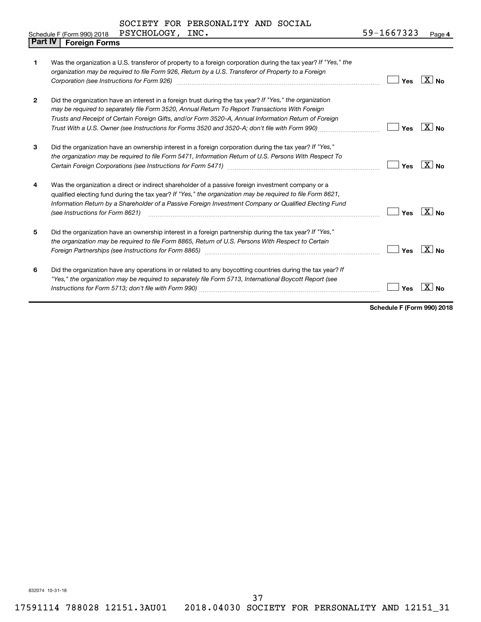| <b>Part IV</b> | <b>Foreign Forms</b>                                                                                                                                                                                                                                                                                                                                                                                                   |     |                   |
|----------------|------------------------------------------------------------------------------------------------------------------------------------------------------------------------------------------------------------------------------------------------------------------------------------------------------------------------------------------------------------------------------------------------------------------------|-----|-------------------|
| 1              | Was the organization a U.S. transferor of property to a foreign corporation during the tax year? If "Yes," the<br>organization may be required to file Form 926, Return by a U.S. Transferor of Property to a Foreign                                                                                                                                                                                                  | Yes | $X_{\text{No}}$   |
| $\mathbf{2}$   | Did the organization have an interest in a foreign trust during the tax year? If "Yes," the organization<br>may be required to separately file Form 3520, Annual Return To Report Transactions With Foreign<br>Trusts and Receipt of Certain Foreign Gifts, and/or Form 3520-A, Annual Information Return of Foreign<br>Trust With a U.S. Owner (see Instructions for Forms 3520 and 3520-A; don't file with Form 990) | Yes | $X _{N_{\Omega}}$ |
| 3              | Did the organization have an ownership interest in a foreign corporation during the tax year? If "Yes,"<br>the organization may be required to file Form 5471, Information Return of U.S. Persons With Respect To                                                                                                                                                                                                      | Yes | $\overline{X}$ No |
| 4              | Was the organization a direct or indirect shareholder of a passive foreign investment company or a<br>qualified electing fund during the tax year? If "Yes," the organization may be required to file Form 8621,<br>Information Return by a Shareholder of a Passive Foreign Investment Company or Qualified Electing Fund<br>(see Instructions for Form 8621)                                                         | Yes | $X_{0}$           |
| 5              | Did the organization have an ownership interest in a foreign partnership during the tax year? If "Yes,"<br>the organization may be required to file Form 8865, Return of U.S. Persons With Respect to Certain<br>Foreign Partnerships (see Instructions for Form 8865) manufactured controller controller controller controller                                                                                        | Yes | $X _{N_{\Omega}}$ |
| 6              | Did the organization have any operations in or related to any boycotting countries during the tax year? If<br>"Yes," the organization may be required to separately file Form 5713, International Boycott Report (see                                                                                                                                                                                                  | Yes | x.                |

**Schedule F (Form 990) 2018**

832074 10-31-18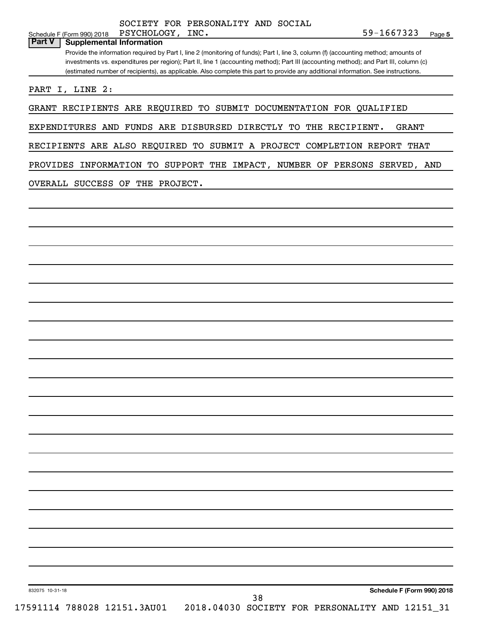|               |                          | Schedule F (Form 990) 2018 PSYCHOLOGY, | INC. | 59-1667323 |  |
|---------------|--------------------------|----------------------------------------|------|------------|--|
| <b>Part V</b> | Supplemental Information |                                        |      |            |  |

Provide the information required by Part I, line 2 (monitoring of funds); Part I, line 3, column (f) (accounting method; amounts of investments vs. expenditures per region); Part II, line 1 (accounting method); Part III (accounting method); and Part III, column (c) (estimated number of recipients), as applicable. Also complete this part to provide any additional information. See instructions.

PART I, LINE 2:

GRANT RECIPIENTS ARE REQUIRED TO SUBMIT DOCUMENTATION FOR QUALIFIED

EXPENDITURES AND FUNDS ARE DISBURSED DIRECTLY TO THE RECIPIENT. GRANT

RECIPIENTS ARE ALSO REQUIRED TO SUBMIT A PROJECT COMPLETION REPORT THAT

PROVIDES INFORMATION TO SUPPORT THE IMPACT, NUMBER OF PERSONS SERVED, AND

OVERALL SUCCESS OF THE PROJECT.

832075 10-31-18

17591114 788028 12151.3AU01 2018.04030 SOCIETY FOR PERSONALITY AND 12151\_31

38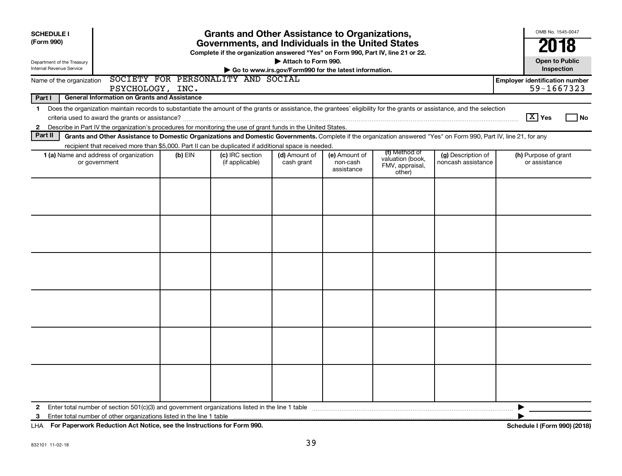| <b>SCHEDULE I</b>                                      |                                                                                                                                                                                                                                                                                           |           | <b>Grants and Other Assistance to Organizations,</b>                                                                                  |                             |                                                       |                                                                |                                          | OMB No. 1545-0047                                   |
|--------------------------------------------------------|-------------------------------------------------------------------------------------------------------------------------------------------------------------------------------------------------------------------------------------------------------------------------------------------|-----------|---------------------------------------------------------------------------------------------------------------------------------------|-----------------------------|-------------------------------------------------------|----------------------------------------------------------------|------------------------------------------|-----------------------------------------------------|
| (Form 990)                                             |                                                                                                                                                                                                                                                                                           |           | Governments, and Individuals in the United States<br>Complete if the organization answered "Yes" on Form 990, Part IV, line 21 or 22. |                             |                                                       |                                                                |                                          | 2018                                                |
| Department of the Treasury<br>Internal Revenue Service |                                                                                                                                                                                                                                                                                           |           |                                                                                                                                       | Attach to Form 990.         | Go to www.irs.gov/Form990 for the latest information. |                                                                |                                          | <b>Open to Public</b><br>Inspection                 |
| Name of the organization                               | PSYCHOLOGY, INC.                                                                                                                                                                                                                                                                          |           | SOCIETY FOR PERSONALITY AND SOCIAL                                                                                                    |                             |                                                       |                                                                |                                          | <b>Employer identification number</b><br>59-1667323 |
| Part I                                                 | <b>General Information on Grants and Assistance</b>                                                                                                                                                                                                                                       |           |                                                                                                                                       |                             |                                                       |                                                                |                                          |                                                     |
| 1                                                      | Does the organization maintain records to substantiate the amount of the grants or assistance, the grantees' eligibility for the grants or assistance, and the selection<br>Describe in Part IV the organization's procedures for monitoring the use of grant funds in the United States. |           |                                                                                                                                       |                             |                                                       |                                                                |                                          | $\boxed{\text{X}}$ Yes<br>l No                      |
| $\mathbf{2}$<br>Part II                                | Grants and Other Assistance to Domestic Organizations and Domestic Governments. Complete if the organization answered "Yes" on Form 990, Part IV, line 21, for any                                                                                                                        |           |                                                                                                                                       |                             |                                                       |                                                                |                                          |                                                     |
|                                                        | recipient that received more than \$5,000. Part II can be duplicated if additional space is needed.                                                                                                                                                                                       |           |                                                                                                                                       |                             |                                                       |                                                                |                                          |                                                     |
|                                                        | 1 (a) Name and address of organization<br>or government                                                                                                                                                                                                                                   | $(b)$ EIN | (c) IRC section<br>(if applicable)                                                                                                    | (d) Amount of<br>cash grant | (e) Amount of<br>non-cash<br>assistance               | (f) Method of<br>valuation (book,<br>FMV, appraisal,<br>other) | (g) Description of<br>noncash assistance | (h) Purpose of grant<br>or assistance               |
|                                                        |                                                                                                                                                                                                                                                                                           |           |                                                                                                                                       |                             |                                                       |                                                                |                                          |                                                     |
|                                                        |                                                                                                                                                                                                                                                                                           |           |                                                                                                                                       |                             |                                                       |                                                                |                                          |                                                     |
|                                                        |                                                                                                                                                                                                                                                                                           |           |                                                                                                                                       |                             |                                                       |                                                                |                                          |                                                     |
|                                                        |                                                                                                                                                                                                                                                                                           |           |                                                                                                                                       |                             |                                                       |                                                                |                                          |                                                     |
|                                                        |                                                                                                                                                                                                                                                                                           |           |                                                                                                                                       |                             |                                                       |                                                                |                                          |                                                     |
|                                                        |                                                                                                                                                                                                                                                                                           |           |                                                                                                                                       |                             |                                                       |                                                                |                                          |                                                     |
| 2                                                      |                                                                                                                                                                                                                                                                                           |           |                                                                                                                                       |                             |                                                       |                                                                |                                          | ▶                                                   |
| 3                                                      |                                                                                                                                                                                                                                                                                           |           |                                                                                                                                       |                             |                                                       |                                                                |                                          |                                                     |

**For Paperwork Reduction Act Notice, see the Instructions for Form 990. Schedule I (Form 990) (2018)** LHA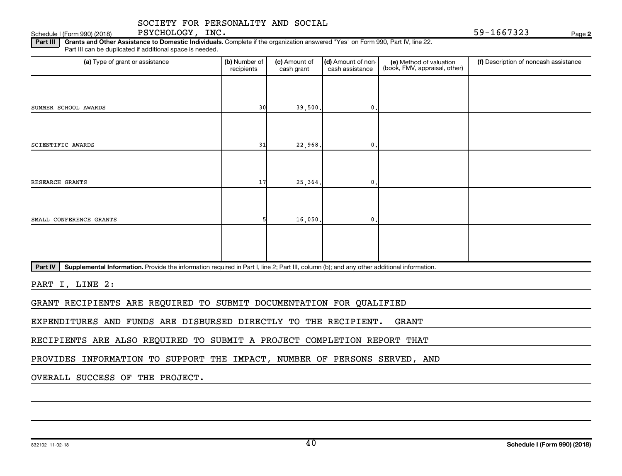Schedule I (Form 990) (2018) PSYCHOLOGY, INC.  $59-1667323$ PSYCHOLOGY, INC.

**2**

Part III | Grants and Other Assistance to Domestic Individuals. Complete if the organization answered "Yes" on Form 990, Part IV, line 22. Part III can be duplicated if additional space is needed.

| (a) Type of grant or assistance                                                                                                                      | (b) Number of<br>recipients | (c) Amount of<br>cash grant | (d) Amount of non-<br>cash assistance | (e) Method of valuation<br>(book, FMV, appraisal, other) | (f) Description of noncash assistance |
|------------------------------------------------------------------------------------------------------------------------------------------------------|-----------------------------|-----------------------------|---------------------------------------|----------------------------------------------------------|---------------------------------------|
|                                                                                                                                                      |                             |                             |                                       |                                                          |                                       |
| SUMMER SCHOOL AWARDS                                                                                                                                 | 30                          | 39,500.                     | 0.                                    |                                                          |                                       |
|                                                                                                                                                      |                             |                             |                                       |                                                          |                                       |
| SCIENTIFIC AWARDS                                                                                                                                    | 31                          | 22,968.                     | 0.                                    |                                                          |                                       |
|                                                                                                                                                      |                             |                             |                                       |                                                          |                                       |
| RESEARCH GRANTS                                                                                                                                      | 17                          | 25,364.                     | $\mathbf{0}$ .                        |                                                          |                                       |
|                                                                                                                                                      |                             |                             |                                       |                                                          |                                       |
| SMALL CONFERENCE GRANTS                                                                                                                              |                             | 16,050.                     | 0.                                    |                                                          |                                       |
|                                                                                                                                                      |                             |                             |                                       |                                                          |                                       |
|                                                                                                                                                      |                             |                             |                                       |                                                          |                                       |
| Part IV<br>Supplemental Information. Provide the information required in Part I, line 2; Part III, column (b); and any other additional information. |                             |                             |                                       |                                                          |                                       |

PART I, LINE 2:

GRANT RECIPIENTS ARE REQUIRED TO SUBMIT DOCUMENTATION FOR QUALIFIED

EXPENDITURES AND FUNDS ARE DISBURSED DIRECTLY TO THE RECIPIENT. GRANT

RECIPIENTS ARE ALSO REQUIRED TO SUBMIT A PROJECT COMPLETION REPORT THAT

PROVIDES INFORMATION TO SUPPORT THE IMPACT, NUMBER OF PERSONS SERVED, AND

OVERALL SUCCESS OF THE PROJECT.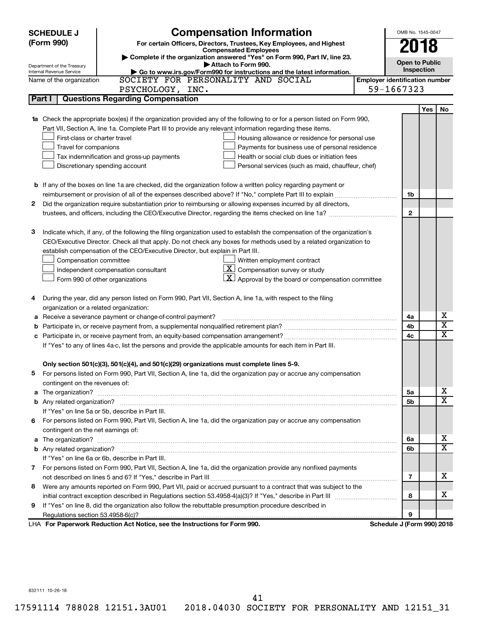| <b>SCHEDULE J</b>                       | <b>Compensation Information</b>                                                                                           |                                       | OMB No. 1545-0047     |     |                              |  |  |
|-----------------------------------------|---------------------------------------------------------------------------------------------------------------------------|---------------------------------------|-----------------------|-----|------------------------------|--|--|
| (Form 990)                              | For certain Officers, Directors, Trustees, Key Employees, and Highest                                                     |                                       | 2018                  |     |                              |  |  |
|                                         | <b>Compensated Employees</b>                                                                                              |                                       |                       |     |                              |  |  |
| Department of the Treasury              | Complete if the organization answered "Yes" on Form 990, Part IV, line 23.<br>Attach to Form 990.                         |                                       | <b>Open to Public</b> |     |                              |  |  |
| Internal Revenue Service                | Go to www.irs.gov/Form990 for instructions and the latest information.                                                    |                                       | Inspection            |     |                              |  |  |
| Name of the organization                | SOCIETY FOR PERSONALITY AND SOCIAL                                                                                        | <b>Employer identification number</b> |                       |     |                              |  |  |
|                                         | PSYCHOLOGY, INC.                                                                                                          | 59-1667323                            |                       |     |                              |  |  |
| Part I                                  | <b>Questions Regarding Compensation</b>                                                                                   |                                       |                       |     |                              |  |  |
|                                         |                                                                                                                           |                                       |                       | Yes | No                           |  |  |
|                                         | 1a Check the appropriate box(es) if the organization provided any of the following to or for a person listed on Form 990, |                                       |                       |     |                              |  |  |
|                                         | Part VII, Section A, line 1a. Complete Part III to provide any relevant information regarding these items.                |                                       |                       |     |                              |  |  |
| First-class or charter travel           | Housing allowance or residence for personal use                                                                           |                                       |                       |     |                              |  |  |
| Travel for companions                   | Payments for business use of personal residence                                                                           |                                       |                       |     |                              |  |  |
|                                         | Health or social club dues or initiation fees<br>Tax indemnification and gross-up payments                                |                                       |                       |     |                              |  |  |
|                                         | Discretionary spending account<br>Personal services (such as maid, chauffeur, chef)                                       |                                       |                       |     |                              |  |  |
|                                         |                                                                                                                           |                                       |                       |     |                              |  |  |
|                                         | <b>b</b> If any of the boxes on line 1a are checked, did the organization follow a written policy regarding payment or    |                                       |                       |     |                              |  |  |
|                                         | reimbursement or provision of all of the expenses described above? If "No," complete Part III to explain                  |                                       | 1b                    |     |                              |  |  |
| 2                                       | Did the organization require substantiation prior to reimbursing or allowing expenses incurred by all directors,          |                                       |                       |     |                              |  |  |
|                                         | trustees, and officers, including the CEO/Executive Director, regarding the items checked on line 1a?                     |                                       | $\mathbf{2}$          |     |                              |  |  |
|                                         |                                                                                                                           |                                       |                       |     |                              |  |  |
| з                                       | Indicate which, if any, of the following the filing organization used to establish the compensation of the organization's |                                       |                       |     |                              |  |  |
|                                         | CEO/Executive Director. Check all that apply. Do not check any boxes for methods used by a related organization to        |                                       |                       |     |                              |  |  |
|                                         | establish compensation of the CEO/Executive Director, but explain in Part III.                                            |                                       |                       |     |                              |  |  |
| Compensation committee                  | Written employment contract                                                                                               |                                       |                       |     |                              |  |  |
|                                         | $ \mathbf{X} $ Compensation survey or study<br>Independent compensation consultant                                        |                                       |                       |     |                              |  |  |
|                                         | $\mathbf{X}$ Approval by the board or compensation committee<br>Form 990 of other organizations                           |                                       |                       |     |                              |  |  |
|                                         |                                                                                                                           |                                       |                       |     |                              |  |  |
| 4                                       | During the year, did any person listed on Form 990, Part VII, Section A, line 1a, with respect to the filing              |                                       |                       |     |                              |  |  |
| organization or a related organization: |                                                                                                                           |                                       |                       |     |                              |  |  |
| а                                       | Receive a severance payment or change-of-control payment?                                                                 |                                       | 4a                    |     | х                            |  |  |
| b                                       |                                                                                                                           |                                       | 4b                    |     | $\overline{\text{x}}$        |  |  |
| c                                       |                                                                                                                           |                                       | 4c                    |     | $\overline{\text{x}}$        |  |  |
|                                         | If "Yes" to any of lines 4a-c, list the persons and provide the applicable amounts for each item in Part III.             |                                       |                       |     |                              |  |  |
|                                         |                                                                                                                           |                                       |                       |     |                              |  |  |
|                                         | Only section 501(c)(3), 501(c)(4), and 501(c)(29) organizations must complete lines 5-9.                                  |                                       |                       |     |                              |  |  |
|                                         | For persons listed on Form 990, Part VII, Section A, line 1a, did the organization pay or accrue any compensation         |                                       |                       |     |                              |  |  |
| contingent on the revenues of:          |                                                                                                                           |                                       |                       |     |                              |  |  |
|                                         |                                                                                                                           |                                       | 5a                    |     | x<br>$\overline{\mathtt{x}}$ |  |  |
|                                         |                                                                                                                           |                                       | 5b                    |     |                              |  |  |
|                                         | If "Yes" on line 5a or 5b, describe in Part III.                                                                          |                                       |                       |     |                              |  |  |
|                                         | 6 For persons listed on Form 990, Part VII, Section A, line 1a, did the organization pay or accrue any compensation       |                                       |                       |     |                              |  |  |
| contingent on the net earnings of:      |                                                                                                                           |                                       | 6a                    |     | x                            |  |  |
|                                         |                                                                                                                           |                                       |                       |     |                              |  |  |
|                                         |                                                                                                                           |                                       | 6b                    |     | $\overline{\mathtt{x}}$      |  |  |
|                                         | If "Yes" on line 6a or 6b, describe in Part III.                                                                          |                                       |                       |     |                              |  |  |
|                                         | 7 For persons listed on Form 990, Part VII, Section A, line 1a, did the organization provide any nonfixed payments        |                                       |                       |     |                              |  |  |
|                                         |                                                                                                                           |                                       | $\overline{7}$        |     | X                            |  |  |
| 8                                       | Were any amounts reported on Form 990, Part VII, paid or accrued pursuant to a contract that was subject to the           |                                       |                       |     |                              |  |  |
|                                         |                                                                                                                           |                                       | 8                     |     | x                            |  |  |
| 9                                       | If "Yes" on line 8, did the organization also follow the rebuttable presumption procedure described in                    |                                       |                       |     |                              |  |  |
|                                         |                                                                                                                           |                                       | 9                     |     |                              |  |  |
|                                         | LHA For Paperwork Reduction Act Notice, see the Instructions for Form 990.                                                | Schedule J (Form 990) 2018            |                       |     |                              |  |  |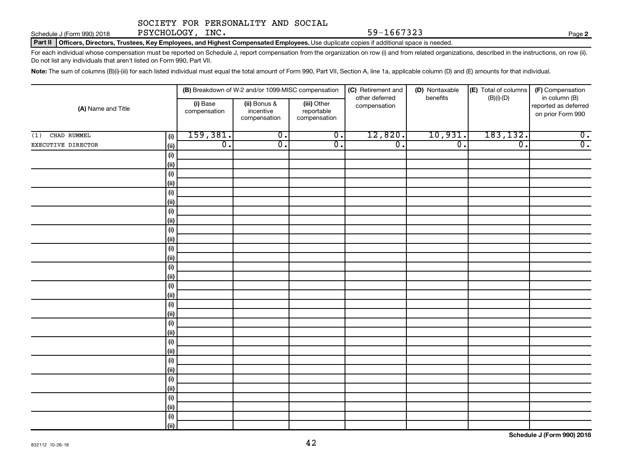Schedule J (Form 990) 2018 PSYCHOLOGY, INC. Schedule J (Form 990) 2018 Page

**2**

Part II | Officers, Directors, Trustees, Key Employees, and Highest Compensated Employees. Use duplicate copies if additional space is needed.

For each individual whose compensation must be reported on Schedule J, report compensation from the organization on row (i) and from related organizations, described in the instructions, on row (ii). Do not list any individuals that aren't listed on Form 990, Part VII.

Note: The sum of columns (B)(i)-(iii) for each listed individual must equal the total amount of Form 990, Part VII, Section A, line 1a, applicable column (D) and (E) amounts for that individual.

|                    |             |                          | (B) Breakdown of W-2 and/or 1099-MISC compensation |                                           | (C) Retirement and<br>other deferred | (D) Nontaxable<br>benefits | (E) Total of columns | (F) Compensation                                           |
|--------------------|-------------|--------------------------|----------------------------------------------------|-------------------------------------------|--------------------------------------|----------------------------|----------------------|------------------------------------------------------------|
| (A) Name and Title |             | (i) Base<br>compensation | (ii) Bonus &<br>incentive<br>compensation          | (iii) Other<br>reportable<br>compensation | compensation                         |                            | $(B)(i)-(D)$         | in column (B)<br>reported as deferred<br>on prior Form 990 |
| CHAD RUMMEL<br>(1) | (i)         | 159,381.                 | $\overline{0}$ .                                   | $\overline{0}$ .                          | 12,820.                              | 10,931.                    | 183,132.             | $\overline{0}$ .                                           |
| EXECUTIVE DIRECTOR | (ii)        | $\overline{0}$ .         | $\overline{0}$ .                                   | $\overline{0}$ .                          | $\overline{0}$ .                     | $\overline{0}$ .           | $\overline{0}$ .     | $\overline{0}$ .                                           |
|                    | (i)         |                          |                                                    |                                           |                                      |                            |                      |                                                            |
|                    | (ii)        |                          |                                                    |                                           |                                      |                            |                      |                                                            |
|                    | (i)         |                          |                                                    |                                           |                                      |                            |                      |                                                            |
|                    | (ii)        |                          |                                                    |                                           |                                      |                            |                      |                                                            |
|                    | (i)         |                          |                                                    |                                           |                                      |                            |                      |                                                            |
|                    | (ii)        |                          |                                                    |                                           |                                      |                            |                      |                                                            |
|                    | (i)         |                          |                                                    |                                           |                                      |                            |                      |                                                            |
|                    | (ii)        |                          |                                                    |                                           |                                      |                            |                      |                                                            |
|                    | (i)         |                          |                                                    |                                           |                                      |                            |                      |                                                            |
|                    | (ii)        |                          |                                                    |                                           |                                      |                            |                      |                                                            |
|                    | (i)         |                          |                                                    |                                           |                                      |                            |                      |                                                            |
|                    | (ii)<br>(i) |                          |                                                    |                                           |                                      |                            |                      |                                                            |
|                    | (ii)        |                          |                                                    |                                           |                                      |                            |                      |                                                            |
|                    | (i)         |                          |                                                    |                                           |                                      |                            |                      |                                                            |
|                    | (ii)        |                          |                                                    |                                           |                                      |                            |                      |                                                            |
|                    | (i)         |                          |                                                    |                                           |                                      |                            |                      |                                                            |
|                    | (ii)        |                          |                                                    |                                           |                                      |                            |                      |                                                            |
|                    | (i)         |                          |                                                    |                                           |                                      |                            |                      |                                                            |
|                    | (ii)        |                          |                                                    |                                           |                                      |                            |                      |                                                            |
|                    | (i)         |                          |                                                    |                                           |                                      |                            |                      |                                                            |
|                    | (ii)        |                          |                                                    |                                           |                                      |                            |                      |                                                            |
|                    | (i)         |                          |                                                    |                                           |                                      |                            |                      |                                                            |
|                    | (ii)        |                          |                                                    |                                           |                                      |                            |                      |                                                            |
|                    | (i)         |                          |                                                    |                                           |                                      |                            |                      |                                                            |
|                    | (ii)        |                          |                                                    |                                           |                                      |                            |                      |                                                            |
|                    | (i)         |                          |                                                    |                                           |                                      |                            |                      |                                                            |
|                    | (ii)        |                          |                                                    |                                           |                                      |                            |                      |                                                            |
|                    | (i)         |                          |                                                    |                                           |                                      |                            |                      |                                                            |
|                    | (iii)       |                          |                                                    |                                           |                                      |                            |                      |                                                            |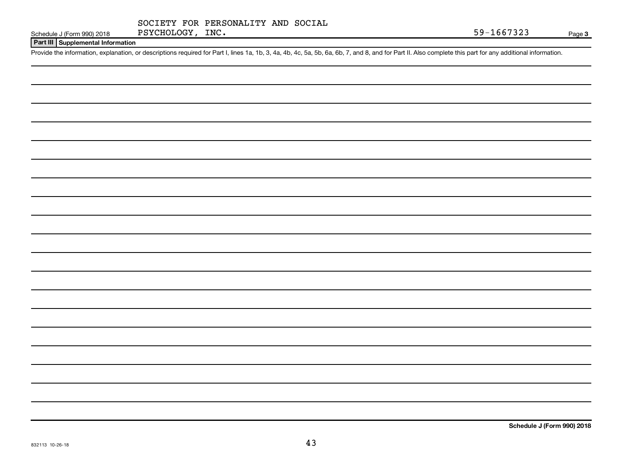|  | SOCIETY FOR PERSONALITY AND SOCIAL |  |
|--|------------------------------------|--|

### **Part III Supplemental Information**

Provide the information, explanation, or descriptions required for Part I, lines 1a, 1b, 3, 4a, 4b, 4c, 5a, 5b, 6a, 6b, 7, and 8, and for Part II. Also complete this part for any additional information.

**Schedule J (Form 990) 2018**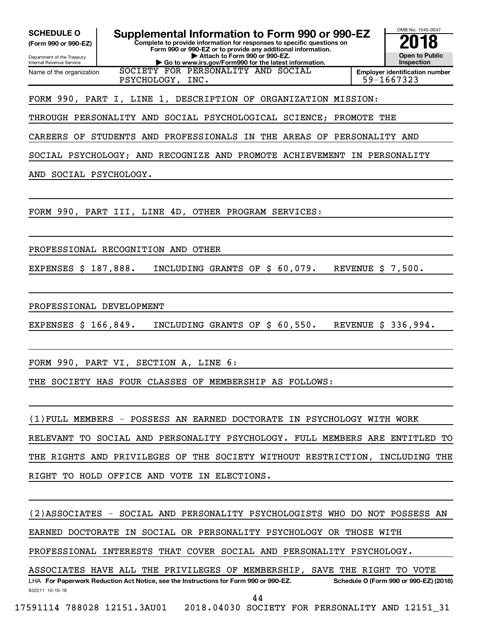**(Form 990 or 990-EZ)**

Department of the Treasury Internal Revenue Service Name of the organization

**Complete to provide information for responses to specific questions on Form 990 or 990-EZ or to provide any additional information. | Attach to Form 990 or 990-EZ. | Go to www.irs.gov/Form990 for the latest information.** SCHEDULE O **Supplemental Information to Form 990 or 990-EZ 2018**<br>(Form 990 or 990-EZ) Complete to provide information for responses to specific questions on



**Employer identification number** PSYCHOLOGY, INC.  $\vert$  59-1667323

### FORM 990, PART I, LINE 1, DESCRIPTION OF ORGANIZATION MISSION:

THROUGH PERSONALITY AND SOCIAL PSYCHOLOGICAL SCIENCE; PROMOTE THE

SOCIETY FOR PERSONALITY AND SOCIAL

CAREERS OF STUDENTS AND PROFESSIONALS IN THE AREAS OF PERSONALITY AND

SOCIAL PSYCHOLOGY; AND RECOGNIZE AND PROMOTE ACHIEVEMENT IN PERSONALITY

AND SOCIAL PSYCHOLOGY.

FORM 990, PART III, LINE 4D, OTHER PROGRAM SERVICES:

PROFESSIONAL RECOGNITION AND OTHER

EXPENSES \$ 187,888. INCLUDING GRANTS OF \$ 60,079. REVENUE \$ 7,500.

PROFESSIONAL DEVELOPMENT

EXPENSES \$ 166,849. INCLUDING GRANTS OF \$ 60,550. REVENUE \$ 336,994.

FORM 990, PART VI, SECTION A, LINE 6:

THE SOCIETY HAS FOUR CLASSES OF MEMBERSHIP AS FOLLOWS:

(1)FULL MEMBERS - POSSESS AN EARNED DOCTORATE IN PSYCHOLOGY WITH WORK RELEVANT TO SOCIAL AND PERSONALITY PSYCHOLOGY. FULL MEMBERS ARE ENTITLED TO THE RIGHTS AND PRIVILEGES OF THE SOCIETY WITHOUT RESTRICTION, INCLUDING THE RIGHT TO HOLD OFFICE AND VOTE IN ELECTIONS.

832211 10-10-18 LHA For Paperwork Reduction Act Notice, see the Instructions for Form 990 or 990-EZ. Schedule O (Form 990 or 990-EZ) (2018) (2)ASSOCIATES - SOCIAL AND PERSONALITY PSYCHOLOGISTS WHO DO NOT POSSESS AN EARNED DOCTORATE IN SOCIAL OR PERSONALITY PSYCHOLOGY OR THOSE WITH PROFESSIONAL INTERESTS THAT COVER SOCIAL AND PERSONALITY PSYCHOLOGY. ASSOCIATES HAVE ALL THE PRIVILEGES OF MEMBERSHIP, SAVE THE RIGHT TO VOTE 44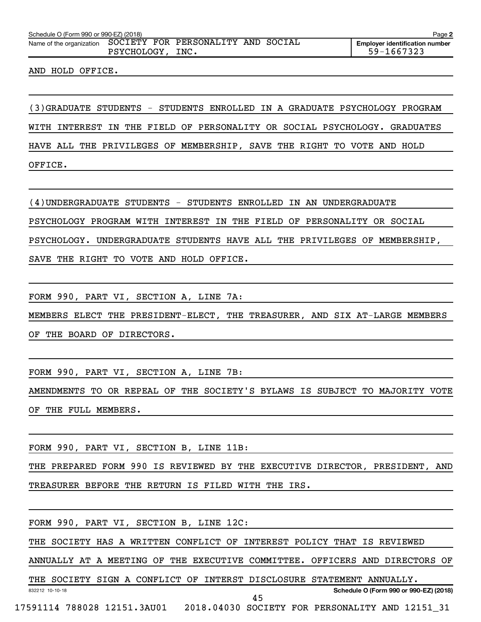| Schedule O (Form 990 or 990-EZ) (2018)                      |             |      |  | Page 2                                              |
|-------------------------------------------------------------|-------------|------|--|-----------------------------------------------------|
| Name of the organization SOCIETY FOR PERSONALITY AND SOCIAL | PSYCHOLOGY, | INC. |  | <b>Employer identification number</b><br>59-1667323 |

AND HOLD OFFICE.

(3)GRADUATE STUDENTS - STUDENTS ENROLLED IN A GRADUATE PSYCHOLOGY PROGRAM

WITH INTEREST IN THE FIELD OF PERSONALITY OR SOCIAL PSYCHOLOGY. GRADUATES

HAVE ALL THE PRIVILEGES OF MEMBERSHIP, SAVE THE RIGHT TO VOTE AND HOLD

OFFICE.

832212 10-10-18

(4)UNDERGRADUATE STUDENTS - STUDENTS ENROLLED IN AN UNDERGRADUATE

PSYCHOLOGY PROGRAM WITH INTEREST IN THE FIELD OF PERSONALITY OR SOCIAL

PSYCHOLOGY. UNDERGRADUATE STUDENTS HAVE ALL THE PRIVILEGES OF MEMBERSHIP,

SAVE THE RIGHT TO VOTE AND HOLD OFFICE.

FORM 990, PART VI, SECTION A, LINE 7A:

MEMBERS ELECT THE PRESIDENT-ELECT, THE TREASURER, AND SIX AT-LARGE MEMBERS

OF THE BOARD OF DIRECTORS.

FORM 990, PART VI, SECTION A, LINE 7B:

AMENDMENTS TO OR REPEAL OF THE SOCIETY'S BYLAWS IS SUBJECT TO MAJORITY VOTE OF THE FULL MEMBERS.

FORM 990, PART VI, SECTION B, LINE 11B:

THE PREPARED FORM 990 IS REVIEWED BY THE EXECUTIVE DIRECTOR, PRESIDENT, AND TREASURER BEFORE THE RETURN IS FILED WITH THE IRS.

FORM 990, PART VI, SECTION B, LINE 12C:

THE SOCIETY HAS A WRITTEN CONFLICT OF INTEREST POLICY THAT IS REVIEWED

ANNUALLY AT A MEETING OF THE EXECUTIVE COMMITTEE. OFFICERS AND DIRECTORS OF

45

THE SOCIETY SIGN A CONFLICT OF INTERST DISCLOSURE STATEMENT ANNUALLY.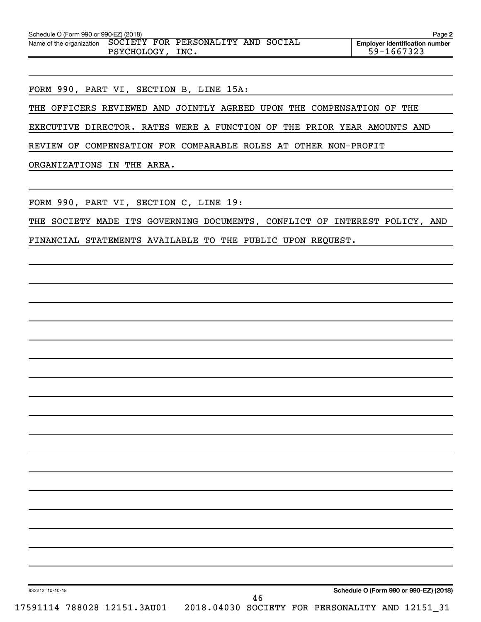| Schedule O (Form 990 or 990-EZ) (2018)<br>Page 2 |                  |  |                                    |  |  |                                                     |  |  |
|--------------------------------------------------|------------------|--|------------------------------------|--|--|-----------------------------------------------------|--|--|
| Name of the organization                         | PSYCHOLOGY, INC. |  | SOCIETY FOR PERSONALITY AND SOCIAL |  |  | <b>Emplover identification number</b><br>59-1667323 |  |  |

FORM 990, PART VI, SECTION B, LINE 15A:

THE OFFICERS REVIEWED AND JOINTLY AGREED UPON THE COMPENSATION OF THE

EXECUTIVE DIRECTOR. RATES WERE A FUNCTION OF THE PRIOR YEAR AMOUNTS AND

REVIEW OF COMPENSATION FOR COMPARABLE ROLES AT OTHER NON-PROFIT

ORGANIZATIONS IN THE AREA.

FORM 990, PART VI, SECTION C, LINE 19:

THE SOCIETY MADE ITS GOVERNING DOCUMENTS, CONFLICT OF INTEREST POLICY, AND FINANCIAL STATEMENTS AVAILABLE TO THE PUBLIC UPON REQUEST.

46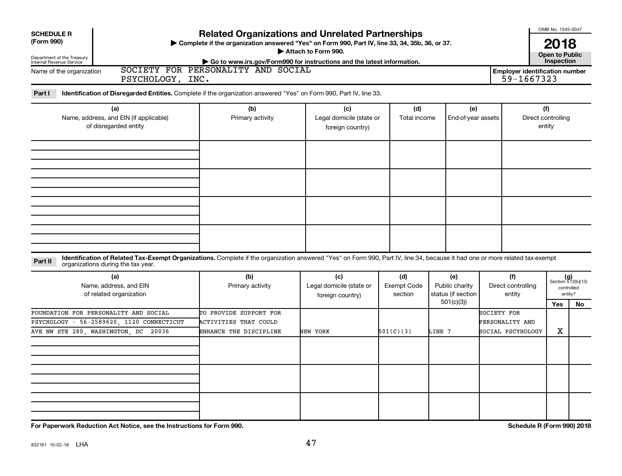| <b>SCHEDULE R</b><br>(Form 990)<br>Department of the Treasury<br>Internal Revenue Service<br>Name of the organization<br>PSYCHOLOGY, INC.                                                                                     | <b>Related Organizations and Unrelated Partnerships</b><br>> Complete if the organization answered "Yes" on Form 990, Part IV, line 33, 34, 35b, 36, or 37.<br>Go to www.irs.gov/Form990 for instructions and the latest information.<br>SOCIETY FOR PERSONALITY AND SOCIAL | Attach to Form 990.                                 |                               |                                                          |             | 59-1667323                           | OMB No. 1545-0047<br>2018<br><b>Open to Public</b><br>Inspection<br><b>Employer identification number</b> |                                                            |  |  |  |
|-------------------------------------------------------------------------------------------------------------------------------------------------------------------------------------------------------------------------------|-----------------------------------------------------------------------------------------------------------------------------------------------------------------------------------------------------------------------------------------------------------------------------|-----------------------------------------------------|-------------------------------|----------------------------------------------------------|-------------|--------------------------------------|-----------------------------------------------------------------------------------------------------------|------------------------------------------------------------|--|--|--|
| Identification of Disregarded Entities. Complete if the organization answered "Yes" on Form 990, Part IV, line 33.<br>Part I<br>(a)<br>Name, address, and EIN (if applicable)<br>of disregarded entity                        | (b)<br>Primary activity                                                                                                                                                                                                                                                     | (c)<br>Legal domicile (state or<br>foreign country) | (d)<br>Total income           | (e)<br>End-of-year assets                                |             |                                      | (f)<br>Direct controlling<br>entity                                                                       |                                                            |  |  |  |
|                                                                                                                                                                                                                               |                                                                                                                                                                                                                                                                             |                                                     |                               |                                                          |             |                                      |                                                                                                           |                                                            |  |  |  |
|                                                                                                                                                                                                                               |                                                                                                                                                                                                                                                                             |                                                     |                               |                                                          |             |                                      |                                                                                                           |                                                            |  |  |  |
| Identification of Related Tax-Exempt Organizations. Complete if the organization answered "Yes" on Form 990, Part IV, line 34, because it had one or more related tax-exempt<br>Part II<br>organizations during the tax year. |                                                                                                                                                                                                                                                                             |                                                     |                               |                                                          |             |                                      |                                                                                                           |                                                            |  |  |  |
| (a)<br>Name, address, and EIN<br>of related organization                                                                                                                                                                      | (b)<br>Primary activity                                                                                                                                                                                                                                                     | (c)<br>Legal domicile (state or<br>foreign country) | (d)<br>Exempt Code<br>section | (e)<br>Public charity<br>status (if section<br>501(c)(3) |             | (f)<br>Direct controlling<br>entity  | Yes                                                                                                       | $(g)$<br>Section 512(b)(13)<br>controlled<br>entity?<br>No |  |  |  |
| FOUNDATION FOR PERSONALITY AND SOCIAL<br>PSYCHOLOGY - 56-2589620, 1120 CONNECTICUT<br>AVE NW STE 280, WASHINGTON, DC 20036                                                                                                    | TO PROVIDE SUPPORT FOR<br><b>ACTIVITIES THAT COULD</b><br>ENHANCE THE DISCIPLINE                                                                                                                                                                                            | NEW YORK                                            | 501(C)(3)                     | LINE 7                                                   | SOCIETY FOR | PERSONALITY AND<br>SOCIAL PSCYHOLOGY | X                                                                                                         |                                                            |  |  |  |
|                                                                                                                                                                                                                               |                                                                                                                                                                                                                                                                             |                                                     |                               |                                                          |             |                                      |                                                                                                           |                                                            |  |  |  |
|                                                                                                                                                                                                                               |                                                                                                                                                                                                                                                                             |                                                     |                               |                                                          |             |                                      |                                                                                                           |                                                            |  |  |  |

**For Paperwork Reduction Act Notice, see the Instructions for Form 990. Schedule R (Form 990) 2018**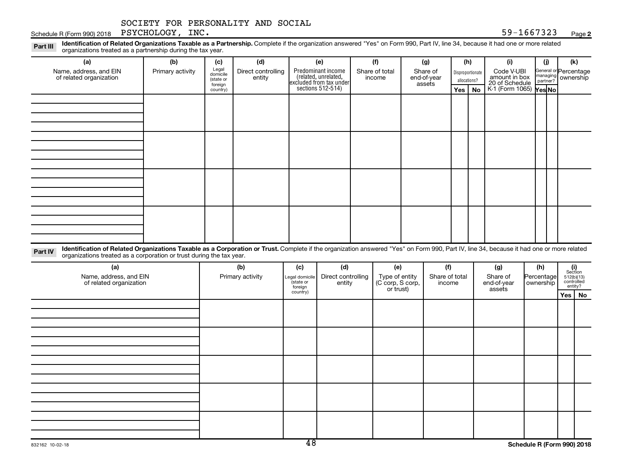Schedule R (Form 990) 2018  $P$  SYCHOLOGY,  $C$  INC.

### **2**

Disproportionate allocations? Legal domicile (state or foreign country) General or Percentage managing partner? Part III Identification of Related Organizations Taxable as a Partnership. Complete if the organization answered "Yes" on Form 990, Part IV, line 34, because it had one or more related<br>Read to the organizations tracted as **(a) (b) (c) (d) (e) (f) (g) (h) (i) (j) (k) Yes No Yes No** K-1 (Form 1065) Predominant income (related, unrelated, excluded from tax under sections 512-514) organizations treated as a partnership during the tax year. Name, address, and EIN of related organization Primary activity  $\left| \begin{array}{c} \text{Legal} \\ \text{demi} \end{array} \right|$  Direct controlling entity Share of total income Share of end-of-year assets Code V-UBI<br>amount in box 20 of Schedule ownership

Part IV Identification of Related Organizations Taxable as a Corporation or Trust. Complete if the organization answered "Yes" on Form 990, Part IV, line 34, because it had one or more related organizations treated as a corporation or trust during the tax year.

| (a)<br>Name, address, and EIN<br>of related organization | (b)<br>Primary activity | (c)<br>Legal domicile<br>state or<br>foreign | (d)<br>Direct controlling<br>entity | (e)<br>Type of entity<br>(C corp, S corp,<br>or trust) | (f)<br>Share of total<br>income | (g)<br>Share of<br>end-of-year<br>assets | (h)<br>Percentage<br>ownership | $\begin{array}{c} \textbf{(i)}\\ \text{Section}\\ 5\,12 \text{(b)} \text{(13)}\\ \text{controlled}\\ \text{entity?} \end{array}$ |
|----------------------------------------------------------|-------------------------|----------------------------------------------|-------------------------------------|--------------------------------------------------------|---------------------------------|------------------------------------------|--------------------------------|----------------------------------------------------------------------------------------------------------------------------------|
|                                                          |                         | country)                                     |                                     |                                                        |                                 |                                          |                                | Yes   No                                                                                                                         |
|                                                          |                         |                                              |                                     |                                                        |                                 |                                          |                                |                                                                                                                                  |
|                                                          |                         |                                              |                                     |                                                        |                                 |                                          |                                |                                                                                                                                  |
|                                                          |                         |                                              |                                     |                                                        |                                 |                                          |                                |                                                                                                                                  |
|                                                          |                         |                                              |                                     |                                                        |                                 |                                          |                                |                                                                                                                                  |
|                                                          |                         |                                              |                                     |                                                        |                                 |                                          |                                |                                                                                                                                  |
|                                                          |                         |                                              |                                     |                                                        |                                 |                                          |                                |                                                                                                                                  |
|                                                          |                         |                                              |                                     |                                                        |                                 |                                          |                                |                                                                                                                                  |
|                                                          |                         |                                              |                                     |                                                        |                                 |                                          |                                |                                                                                                                                  |
|                                                          |                         |                                              |                                     |                                                        |                                 |                                          |                                |                                                                                                                                  |
|                                                          |                         |                                              |                                     |                                                        |                                 |                                          |                                |                                                                                                                                  |
|                                                          |                         |                                              |                                     |                                                        |                                 |                                          |                                |                                                                                                                                  |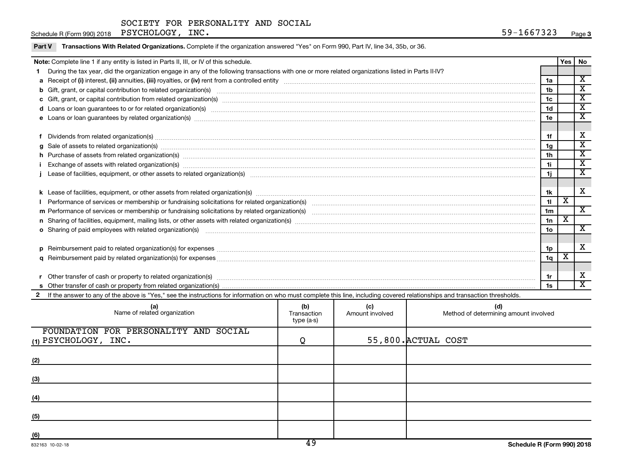Part V Transactions With Related Organizations. Complete if the organization answered "Yes" on Form 990, Part IV, line 34, 35b, or 36.

|          | Note: Complete line 1 if any entity is listed in Parts II, III, or IV of this schedule.                                                                                                                                        |                | Yes | No                          |
|----------|--------------------------------------------------------------------------------------------------------------------------------------------------------------------------------------------------------------------------------|----------------|-----|-----------------------------|
| 1.       | During the tax year, did the organization engage in any of the following transactions with one or more related organizations listed in Parts II-IV?                                                                            |                |     |                             |
|          |                                                                                                                                                                                                                                | 1a             |     | $\mathbf x$                 |
|          |                                                                                                                                                                                                                                | 1 <sub>b</sub> |     | $\overline{\mathbf{x}}$     |
|          |                                                                                                                                                                                                                                | 1c             |     | $\overline{\textbf{X}}$     |
|          | d Loans or loan guarantees to or for related organization(s) mature content to the content of the content of the content of the content of the content of the content of the content of the content of the content of the cont | 1 <sub>d</sub> |     | $\overline{\text{x}}$       |
|          | e Loans or loan guarantees by related organization(s) material content and content to content the content of the content of the content of the content of the content of the content of the content of the content of the cont | 1e             |     | $\overline{\textbf{X}}$     |
|          |                                                                                                                                                                                                                                |                |     |                             |
|          | Dividends from related organization(s) machinesis and contract and contract and contract and contract and contract and contract and contract and contract and contract and contract and contract and contract and contract and | 1f             |     | X                           |
| a        | Sale of assets to related organization(s) www.array.com/www.array.com/www.array.com/www.array.com/www.array.com/www.array.com/www.array.com/www.array.com/www.array.com/www.array.com/www.array.com/www.array.com/www.array.co | 1 <sub>g</sub> |     | $\overline{\textnormal{x}}$ |
|          | h Purchase of assets from related organization(s) manufactured manufactured manufactured manufactured manufactured manufactured manufactured manufactured manufactured manufactured manufactured manufactured manufactured man | 1 <sub>h</sub> |     | $\overline{\text{x}}$       |
|          | Exchange of assets with related organization(s) macrocommunically contained and an account of the set of an account of the set of an account of the set of an account of the set of an account of the set of an account of the | 1i.            |     | $\overline{\mathbf{x}}$     |
|          |                                                                                                                                                                                                                                | 1j             |     | $\overline{\textnormal{x}}$ |
|          |                                                                                                                                                                                                                                |                |     |                             |
|          |                                                                                                                                                                                                                                | 1k             |     | $\mathbf x$                 |
|          | Performance of services or membership or fundraising solicitations for related organization(s) manufaction.com manufactured content and the content of the content of the content of the content of the content of the content | 11             | х   |                             |
|          |                                                                                                                                                                                                                                | 1 <sub>m</sub> |     | X                           |
|          |                                                                                                                                                                                                                                | 1n             | x   |                             |
|          | o Sharing of paid employees with related organization(s) manufaction(s) and contain a substitution of the state or state or state or state or state or state or state or state or state or state or state or state or state or | 1 <sub>0</sub> |     | X                           |
|          |                                                                                                                                                                                                                                |                |     |                             |
| <b>p</b> |                                                                                                                                                                                                                                | 1p             |     | X                           |
|          |                                                                                                                                                                                                                                | 1q             | х   |                             |
|          |                                                                                                                                                                                                                                |                |     |                             |
|          |                                                                                                                                                                                                                                | 1r             |     | X                           |
|          |                                                                                                                                                                                                                                | 1s             |     | $\overline{\mathbf{x}}$     |
|          | 2 If the answer to any of the above is "Yes," see the instructions for information on who must complete this line, including covered relationships and transaction thresholds.                                                 |                |     |                             |

| (b)<br>Transaction<br>type (a-s) | (c)<br>Amount involved | (d)<br>Method of determining amount involved |
|----------------------------------|------------------------|----------------------------------------------|
|                                  |                        |                                              |
|                                  |                        |                                              |
|                                  |                        |                                              |
|                                  |                        |                                              |
|                                  |                        |                                              |
|                                  |                        |                                              |
|                                  |                        |                                              |
|                                  | Q<br>$\overline{10}$   | 55,800. ACTUAL COST                          |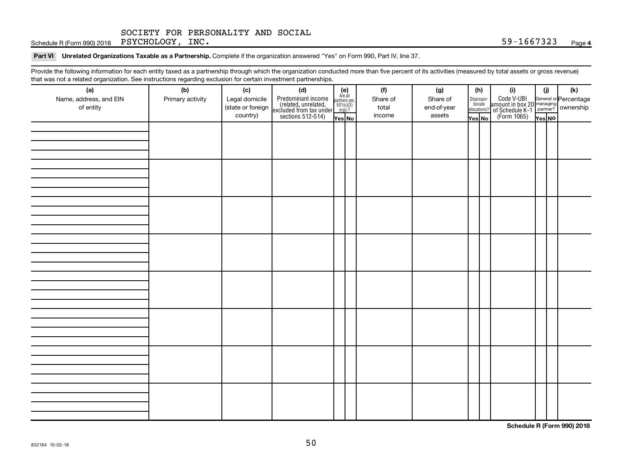Schedule R (Form 990) 2018  $P$  SYCHOLOGY,  $C$  INC.

Part VI Unrelated Organizations Taxable as a Partnership. Complete if the organization answered "Yes" on Form 990, Part IV, line 37.

Provide the following information for each entity taxed as a partnership through which the organization conducted more than five percent of its activities (measured by total assets or gross revenue) that was not a related organization. See instructions regarding exclusion for certain investment partnerships.

| mat mac not a rolated organization. Oce included by regarding exercision for contain invectment partneremper<br>(a)<br>Name, address, and EIN<br>of entity | (b)<br>Primary activity | (c)<br>Legal domicile<br>(state or foreign<br>country) | (d)<br>Predominant income<br>(related, unrelated,<br>excluded from tax under<br>sections 512-514) | (e)<br>Are all<br>partners sec.<br>$501(c)(3)$<br>orgs.? | (f)<br>Share of<br>total<br>income | (g)<br>Share of<br>end-of-year<br>assets | (h)<br>Disproportionate<br>allocations? | (i)<br>Code V-UBI<br>amount in box 20 managing<br>of Schedule K-1<br>(Form 1065)<br>$\overline{Y_{\text{res}}}\overline{N\text{o}}$ | (i)    | (k) |
|------------------------------------------------------------------------------------------------------------------------------------------------------------|-------------------------|--------------------------------------------------------|---------------------------------------------------------------------------------------------------|----------------------------------------------------------|------------------------------------|------------------------------------------|-----------------------------------------|-------------------------------------------------------------------------------------------------------------------------------------|--------|-----|
|                                                                                                                                                            |                         |                                                        |                                                                                                   | Yes No                                                   |                                    |                                          | Yes No                                  |                                                                                                                                     | Yes NO |     |
|                                                                                                                                                            |                         |                                                        |                                                                                                   |                                                          |                                    |                                          |                                         |                                                                                                                                     |        |     |
|                                                                                                                                                            |                         |                                                        |                                                                                                   |                                                          |                                    |                                          |                                         |                                                                                                                                     |        |     |
|                                                                                                                                                            |                         |                                                        |                                                                                                   |                                                          |                                    |                                          |                                         |                                                                                                                                     |        |     |
|                                                                                                                                                            |                         |                                                        |                                                                                                   |                                                          |                                    |                                          |                                         |                                                                                                                                     |        |     |
|                                                                                                                                                            |                         |                                                        |                                                                                                   |                                                          |                                    |                                          |                                         |                                                                                                                                     |        |     |
|                                                                                                                                                            |                         |                                                        |                                                                                                   |                                                          |                                    |                                          |                                         |                                                                                                                                     |        |     |
|                                                                                                                                                            |                         |                                                        |                                                                                                   |                                                          |                                    |                                          |                                         |                                                                                                                                     |        |     |

**Schedule R (Form 990) 2018**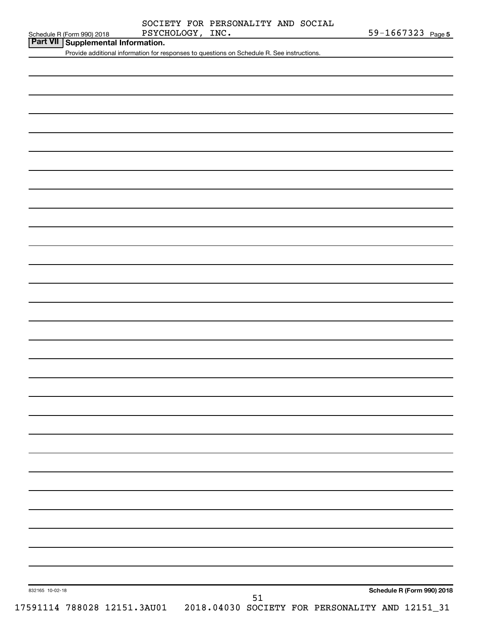|  | SOCIETY FOR PERSONALITY AND SOCIAL |  |
|--|------------------------------------|--|
|  |                                    |  |

| Schedule R (Form 990) 2018 |  |
|----------------------------|--|

# **Part VII Supplemental Information.**

Provide additional information for responses to questions on Schedule R. See instructions.

51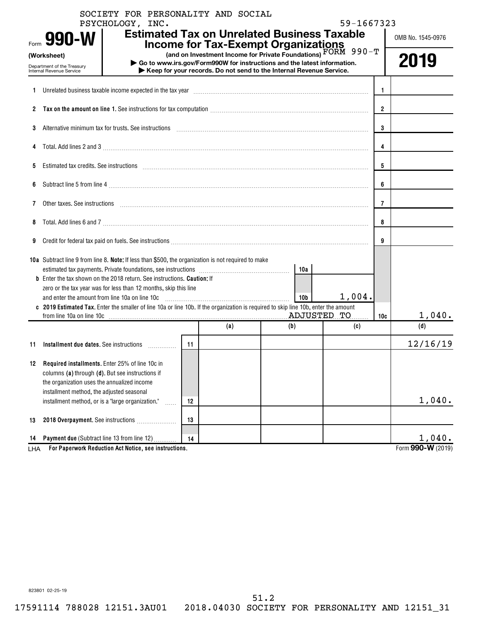|      | SOCIETY FOR PERSONALITY AND SOCIAL<br>PSYCHOLOGY, INC.                                                                                                                                                                         |    |     |                                                                                                                                                                                                                                                               | 59-1667323 |                |                   |
|------|--------------------------------------------------------------------------------------------------------------------------------------------------------------------------------------------------------------------------------|----|-----|---------------------------------------------------------------------------------------------------------------------------------------------------------------------------------------------------------------------------------------------------------------|------------|----------------|-------------------|
| Form | 990-W                                                                                                                                                                                                                          |    |     | <b>Estimated Tax on Unrelated Business Taxable</b>                                                                                                                                                                                                            |            |                | OMB No. 1545-0976 |
|      | (Worksheet)<br>Department of the Treasury<br>Internal Revenue Service                                                                                                                                                          |    |     | <b>Income for Tax-Exempt Organizations</b><br>(and on Investment Income for Private Foundations) FORM 990-T<br>Go to www.irs.gov/Form990W for instructions and the latest information.<br>Keep for your records. Do not send to the Internal Revenue Service. |            |                | 2019              |
|      | 1 Unrelated business taxable income expected in the tax year manufactured contains and contained business taxable income expected in the tax year manufactured contains and the United States and States and Directors and Sta |    |     |                                                                                                                                                                                                                                                               |            | 1.             |                   |
|      |                                                                                                                                                                                                                                |    |     |                                                                                                                                                                                                                                                               |            | $\overline{2}$ |                   |
| 3    | Alternative minimum tax for trusts. See instructions with an accommunication contract of the state of the state of the state of the state of the state of the state of the state of the state of the state of the state of the |    |     |                                                                                                                                                                                                                                                               |            | 3              |                   |
|      |                                                                                                                                                                                                                                |    |     |                                                                                                                                                                                                                                                               |            | 4              |                   |
| 5.   | Estimated tax credits. See instructions with an according contract to the set of the set of the set of the set of the set of the set of the set of the set of the set of the set of the set of the set of the set of the set o |    |     |                                                                                                                                                                                                                                                               |            | 5              |                   |
| 6    |                                                                                                                                                                                                                                |    |     |                                                                                                                                                                                                                                                               |            | 6              |                   |
| 7    | Other taxes. See instructions <i>machines and accordinational content and accordinational content and accordination</i>                                                                                                        |    |     |                                                                                                                                                                                                                                                               |            | 7              |                   |
| 8    | Total. Add lines 6 and 7 [11] matter contract the contract of the contract of the contract of the contract of the contract of the contract of the contract of the contract of the contract of the contract of the contract of  |    |     |                                                                                                                                                                                                                                                               |            | 8              |                   |
| 9    | Credit for federal tax paid on fuels. See instructions [11] and manufactured in the content of the set of the set of the set of the set of the set of the set of the set of the set of the set of the set of the set of the se |    |     |                                                                                                                                                                                                                                                               |            | 9              |                   |
|      | 10a Subtract line 9 from line 8. Note: If less than \$500, the organization is not required to make                                                                                                                            |    |     | 10a                                                                                                                                                                                                                                                           |            |                |                   |
|      | <b>b</b> Enter the tax shown on the 2018 return. See instructions. Caution: If<br>zero or the tax year was for less than 12 months, skip this line<br>and enter the amount from line 10a on line 10c                           |    |     | 10 <sub>b</sub>                                                                                                                                                                                                                                               | $1,004$ .  |                |                   |
|      | c 2019 Estimated Tax. Enter the smaller of line 10a or line 10b. If the organization is required to skip line 10b, enter the amount                                                                                            |    |     |                                                                                                                                                                                                                                                               |            |                |                   |
|      |                                                                                                                                                                                                                                |    | (a) | (b)                                                                                                                                                                                                                                                           | (c)        | 10c            | 1,040.<br>(d)     |
|      |                                                                                                                                                                                                                                |    |     |                                                                                                                                                                                                                                                               |            |                |                   |
| 11   | Installment due dates. See instructions                                                                                                                                                                                        | 11 |     |                                                                                                                                                                                                                                                               |            |                | 12/16/19          |
| 12   | Required installments. Enter 25% of line 10c in<br>columns (a) through (d). But see instructions if<br>the organization uses the annualized income                                                                             |    |     |                                                                                                                                                                                                                                                               |            |                |                   |
|      | installment method, the adjusted seasonal<br>installment method, or is a "large organization."<br>.                                                                                                                            | 12 |     |                                                                                                                                                                                                                                                               |            |                | 1,040.            |
| 13   | 2018 Overpayment. See instructions                                                                                                                                                                                             | 13 |     |                                                                                                                                                                                                                                                               |            |                |                   |
| 14   | Payment due (Subtract line 13 from line 12)                                                                                                                                                                                    | 14 |     |                                                                                                                                                                                                                                                               |            |                | 1,040.            |
| LHA  | For Paperwork Reduction Act Notice, see instructions.                                                                                                                                                                          |    |     |                                                                                                                                                                                                                                                               |            |                | Form 990-W (2019) |

51.2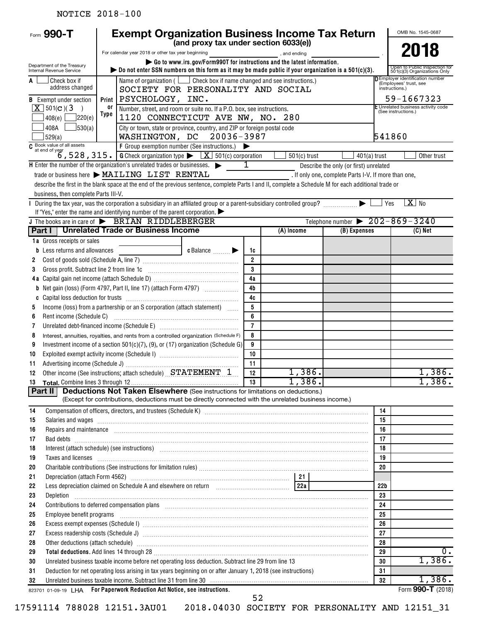## NOTICE 2018-100

| Form 990-T                                                                                                              |      | <b>Exempt Organization Business Income Tax Return</b>                                                                                                                                                                                |                                                                                                                      |                      |                |                                                      |                 | OMB No. 1545-0687                                                            |  |  |  |  |  |
|-------------------------------------------------------------------------------------------------------------------------|------|--------------------------------------------------------------------------------------------------------------------------------------------------------------------------------------------------------------------------------------|----------------------------------------------------------------------------------------------------------------------|----------------------|----------------|------------------------------------------------------|-----------------|------------------------------------------------------------------------------|--|--|--|--|--|
|                                                                                                                         |      |                                                                                                                                                                                                                                      | (and proxy tax under section 6033(e))                                                                                |                      |                |                                                      |                 |                                                                              |  |  |  |  |  |
|                                                                                                                         |      | For calendar year 2018 or other tax year beginning                                                                                                                                                                                   |                                                                                                                      |                      | , and ending   |                                                      |                 | 2018                                                                         |  |  |  |  |  |
| Department of the Treasury<br>Internal Revenue Service                                                                  |      | bo not enter SSN numbers on this form as it may be made public if your organization is a $501(c)(3)$ .                                                                                                                               | Go to www.irs.gov/Form990T for instructions and the latest information.                                              |                      |                |                                                      |                 | Open to Public Inspection for<br>501(c)(3) Organizations Only                |  |  |  |  |  |
| A<br>l Check box if<br>address changed                                                                                  |      |                                                                                                                                                                                                                                      | Name of organization ( $\Box$ Check box if name changed and see instructions.)<br>SOCIETY FOR PERSONALITY AND SOCIAL |                      |                |                                                      |                 | D Employer identification number<br>(Employees' trust, see<br>instructions.) |  |  |  |  |  |
| <b>B</b> Exempt under section                                                                                           |      | Print   PSYCHOLOGY, INC.                                                                                                                                                                                                             |                                                                                                                      |                      |                |                                                      |                 | 59-1667323                                                                   |  |  |  |  |  |
| $X$ 501(c)(3)<br>$\rightarrow$                                                                                          | 0ľ   |                                                                                                                                                                                                                                      | Number, street, and room or suite no. If a P.O. box, see instructions.                                               |                      |                |                                                      |                 | E Unrelated business activity code                                           |  |  |  |  |  |
| 220(e) <br>408(e)                                                                                                       | Type |                                                                                                                                                                                                                                      | (See instructions.)<br>1120 CONNECTICUT AVE NW, NO. 280                                                              |                      |                |                                                      |                 |                                                                              |  |  |  |  |  |
| 408A<br>530(a)                                                                                                          |      |                                                                                                                                                                                                                                      | City or town, state or province, country, and ZIP or foreign postal code                                             |                      |                |                                                      |                 |                                                                              |  |  |  |  |  |
| 529(a)                                                                                                                  |      | WASHINGTON, DC 20036-3987<br>541860                                                                                                                                                                                                  |                                                                                                                      |                      |                |                                                      |                 |                                                                              |  |  |  |  |  |
|                                                                                                                         |      |                                                                                                                                                                                                                                      |                                                                                                                      |                      |                |                                                      |                 |                                                                              |  |  |  |  |  |
|                                                                                                                         |      |                                                                                                                                                                                                                                      |                                                                                                                      |                      | $501(c)$ trust | $401(a)$ trust                                       |                 | Other trust                                                                  |  |  |  |  |  |
| $H$ Enter the number of the organization's unrelated trades or businesses. $\blacktriangleright$                        |      | trade or business here > MAILING LIST RENTAL                                                                                                                                                                                         |                                                                                                                      | 1                    |                | Describe the only (or first) unrelated               |                 |                                                                              |  |  |  |  |  |
|                                                                                                                         |      | describe the first in the blank space at the end of the previous sentence, complete Parts I and II, complete a Schedule M for each additional trade or                                                                               |                                                                                                                      |                      |                | . If only one, complete Parts I-V. If more than one, |                 |                                                                              |  |  |  |  |  |
| business, then complete Parts III-V.                                                                                    |      |                                                                                                                                                                                                                                      |                                                                                                                      |                      |                |                                                      |                 |                                                                              |  |  |  |  |  |
| I During the tax year, was the corporation a subsidiary in an affiliated group or a parent-subsidiary controlled group? |      |                                                                                                                                                                                                                                      |                                                                                                                      |                      |                |                                                      |                 | $X$ No<br>Yes                                                                |  |  |  |  |  |
|                                                                                                                         |      | If "Yes," enter the name and identifying number of the parent corporation. $\blacktriangleright$                                                                                                                                     |                                                                                                                      |                      |                |                                                      |                 |                                                                              |  |  |  |  |  |
| J The books are in care of > BRIAN RIDDLEBERGER                                                                         |      |                                                                                                                                                                                                                                      |                                                                                                                      |                      |                | Telephone number $\triangleright$ 202-869-3240       |                 |                                                                              |  |  |  |  |  |
|                                                                                                                         |      | Part I   Unrelated Trade or Business Income                                                                                                                                                                                          |                                                                                                                      |                      | (A) Income     | (B) Expenses                                         |                 | (C) Net                                                                      |  |  |  |  |  |
| 1a Gross receipts or sales                                                                                              |      |                                                                                                                                                                                                                                      |                                                                                                                      |                      |                |                                                      |                 |                                                                              |  |  |  |  |  |
| Less returns and allowances<br>b                                                                                        |      |                                                                                                                                                                                                                                      | c Balance <b>Department</b>                                                                                          | 1c<br>$\overline{2}$ |                |                                                      |                 |                                                                              |  |  |  |  |  |
| 2<br>Gross profit. Subtract line 2 from line 1c<br>3                                                                    |      |                                                                                                                                                                                                                                      |                                                                                                                      | $\overline{3}$       |                |                                                      |                 |                                                                              |  |  |  |  |  |
|                                                                                                                         |      |                                                                                                                                                                                                                                      |                                                                                                                      | 4a                   |                |                                                      |                 |                                                                              |  |  |  |  |  |
|                                                                                                                         |      |                                                                                                                                                                                                                                      |                                                                                                                      | 4 <sub>b</sub>       |                |                                                      |                 |                                                                              |  |  |  |  |  |
| C                                                                                                                       |      |                                                                                                                                                                                                                                      |                                                                                                                      | 4c                   |                |                                                      |                 |                                                                              |  |  |  |  |  |
| 5                                                                                                                       |      | Income (loss) from a partnership or an S corporation (attach statement)                                                                                                                                                              |                                                                                                                      | 5                    |                |                                                      |                 |                                                                              |  |  |  |  |  |
| Rent income (Schedule C)<br>6                                                                                           |      |                                                                                                                                                                                                                                      |                                                                                                                      | 6                    |                |                                                      |                 |                                                                              |  |  |  |  |  |
| 7                                                                                                                       |      |                                                                                                                                                                                                                                      |                                                                                                                      | $\overline{7}$       |                |                                                      |                 |                                                                              |  |  |  |  |  |
| 8                                                                                                                       |      | Interest, annuities, royalties, and rents from a controlled organization (Schedule F)                                                                                                                                                |                                                                                                                      | 8                    |                |                                                      |                 |                                                                              |  |  |  |  |  |
| 9                                                                                                                       |      | Investment income of a section $501(c)(7)$ , (9), or (17) organization (Schedule G)                                                                                                                                                  |                                                                                                                      | 9<br>10              |                |                                                      |                 |                                                                              |  |  |  |  |  |
| 10<br>11                                                                                                                |      |                                                                                                                                                                                                                                      |                                                                                                                      | 11                   |                |                                                      |                 |                                                                              |  |  |  |  |  |
| 12                                                                                                                      |      | Other income (See instructions; attach schedule) STATEMENT 1                                                                                                                                                                         |                                                                                                                      | 12                   | 1,386.         |                                                      |                 | 1,386.                                                                       |  |  |  |  |  |
| 13                                                                                                                      |      |                                                                                                                                                                                                                                      |                                                                                                                      | 13                   | 1,386.         |                                                      |                 | 1,386.                                                                       |  |  |  |  |  |
| Part II                                                                                                                 |      | <b>Deductions Not Taken Elsewhere</b> (See instructions for limitations on deductions.)                                                                                                                                              |                                                                                                                      |                      |                |                                                      |                 |                                                                              |  |  |  |  |  |
|                                                                                                                         |      | (Except for contributions, deductions must be directly connected with the unrelated business income.)                                                                                                                                |                                                                                                                      |                      |                |                                                      |                 |                                                                              |  |  |  |  |  |
| 14                                                                                                                      |      | Compensation of officers, directors, and trustees (Schedule K) [11] [2010] [2010] [2010] [2010] [3010] [3010] [3010] [3010] [3010] [3010] [3010] [3010] [3010] [3010] [3010] [3010] [3010] [3010] [3010] [3010] [3010] [3010]        |                                                                                                                      |                      |                |                                                      | 14              |                                                                              |  |  |  |  |  |
| 15                                                                                                                      |      | Salaries and wages <b>construents</b> and construction of the construction of the construction of the construction of the construction of the construction of the construction of the construction of the construction of the const  |                                                                                                                      |                      |                |                                                      | 15              |                                                                              |  |  |  |  |  |
| 16<br>17                                                                                                                |      | Repairs and maintenance recommendial contracts and maintenance results and maintenance recommendial contracts                                                                                                                        |                                                                                                                      |                      |                |                                                      | 16<br>17        |                                                                              |  |  |  |  |  |
| 18                                                                                                                      |      | Interest (attach schedule) (see instructions) manufactured and content and attach schedule) (see instructions)                                                                                                                       |                                                                                                                      |                      |                |                                                      | 18              |                                                                              |  |  |  |  |  |
| 19                                                                                                                      |      | Taxes and licenses <b>contract the contract of the contract of the contract of the contract of the contract of the contract of the contract of the contract of the contract of the contract of the contract of the contract of t</b> |                                                                                                                      |                      |                |                                                      | 19              |                                                                              |  |  |  |  |  |
| 20                                                                                                                      |      |                                                                                                                                                                                                                                      |                                                                                                                      |                      |                |                                                      | 20              |                                                                              |  |  |  |  |  |
| 21                                                                                                                      |      |                                                                                                                                                                                                                                      |                                                                                                                      |                      |                |                                                      |                 |                                                                              |  |  |  |  |  |
| 22                                                                                                                      |      | Less depreciation claimed on Schedule A and elsewhere on return [100] [122a]                                                                                                                                                         |                                                                                                                      |                      |                |                                                      | 22 <sub>b</sub> |                                                                              |  |  |  |  |  |
| 23<br>Depletion                                                                                                         |      |                                                                                                                                                                                                                                      |                                                                                                                      |                      |                |                                                      | 23              |                                                                              |  |  |  |  |  |
| 24                                                                                                                      |      | Contributions to deferred compensation plans [11] manufactured contributions to deferred compensation plans [11] manufactured compensation plans [11] manufactured compensation plans [11] manufactured contributions to defer       |                                                                                                                      |                      |                |                                                      | 24<br>25        |                                                                              |  |  |  |  |  |
| Employee benefit programs<br>25<br>26                                                                                   |      | Excess exempt expenses (Schedule I) www.array.com/www.array.com/www.array.com/www.array.com/www.array.com/www.                                                                                                                       |                                                                                                                      |                      |                |                                                      | 26              |                                                                              |  |  |  |  |  |
| 27                                                                                                                      |      |                                                                                                                                                                                                                                      |                                                                                                                      |                      |                |                                                      | 27              |                                                                              |  |  |  |  |  |
| 28                                                                                                                      |      | Other deductions (attach schedule) manufactured and content and content and content and content and content and content and content and content and content and content and content and content and content and content and co       |                                                                                                                      |                      |                |                                                      | 28              |                                                                              |  |  |  |  |  |
| 29                                                                                                                      |      | Total deductions. Add lines 14 through 28 [11] manufactures in the contract of the contract of the contract of the contract of the contract of the contract of the contract of the contract of the contract of the contract of       |                                                                                                                      |                      |                |                                                      | 29              | $\overline{0}$ .                                                             |  |  |  |  |  |
| 30                                                                                                                      |      | Unrelated business taxable income before net operating loss deduction. Subtract line 29 from line 13                                                                                                                                 |                                                                                                                      |                      |                |                                                      | 30              | 1,386.                                                                       |  |  |  |  |  |
| 31                                                                                                                      |      | Deduction for net operating loss arising in tax years beginning on or after January 1, 2018 (see instructions)                                                                                                                       |                                                                                                                      |                      |                |                                                      | 31              |                                                                              |  |  |  |  |  |
| 32                                                                                                                      |      | Unrelated business taxable income. Subtract line 31 from line 30 manufactured contains and contained business taxable income. Subtract line 31 from line 30 manufactured contains and the United States of the United States a       |                                                                                                                      |                      |                |                                                      | 32              | 1,386.                                                                       |  |  |  |  |  |
| 823701 01-09-19 LHA For Paperwork Reduction Act Notice, see instructions.                                               |      |                                                                                                                                                                                                                                      |                                                                                                                      | 52                   |                |                                                      |                 | Form 990-T (2018)                                                            |  |  |  |  |  |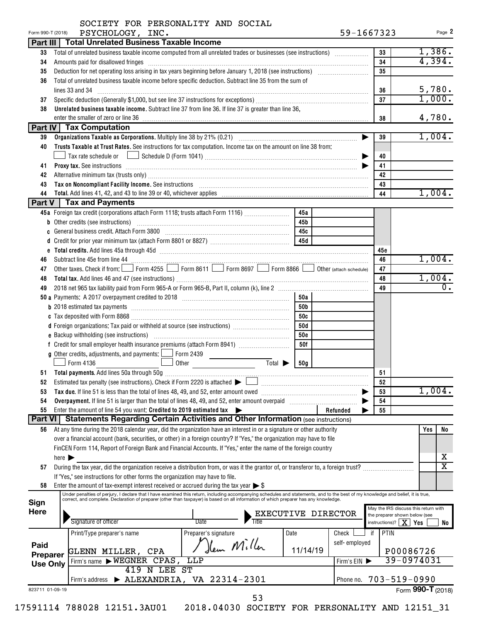| Form 990-T (2018)<br>PSYCHOLOGY, INC.                                                                                                                                                                                                      |            |                    | 59-1667323                           | Page 2            |
|--------------------------------------------------------------------------------------------------------------------------------------------------------------------------------------------------------------------------------------------|------------|--------------------|--------------------------------------|-------------------|
| Part III   Total Unrelated Business Taxable Income                                                                                                                                                                                         |            |                    |                                      |                   |
| Total of unrelated business taxable income computed from all unrelated trades or businesses (see instructions)<br>33                                                                                                                       |            |                    | 33                                   | 1,386.            |
| Amounts paid for disallowed fringes<br>34                                                                                                                                                                                                  |            |                    | 34                                   | 4,394.            |
| 35                                                                                                                                                                                                                                         |            |                    | 35                                   |                   |
| Total of unrelated business taxable income before specific deduction. Subtract line 35 from the sum of<br>36                                                                                                                               |            |                    |                                      |                   |
|                                                                                                                                                                                                                                            |            |                    | 36                                   | 5,780.            |
| 37                                                                                                                                                                                                                                         |            |                    | 37                                   | 1,000.            |
| Unrelated business taxable income. Subtract line 37 from line 36. If line 37 is greater than line 36,<br>38                                                                                                                                |            |                    |                                      |                   |
| enter the smaller of zero or line 36                                                                                                                                                                                                       |            |                    | 38                                   | 4,780.            |
| Part IV   Tax Computation                                                                                                                                                                                                                  |            |                    |                                      |                   |
| 39                                                                                                                                                                                                                                         |            |                    | 39                                   | 1,004.            |
| Trusts Taxable at Trust Rates. See instructions for tax computation. Income tax on the amount on line 38 from:<br>40                                                                                                                       |            |                    |                                      |                   |
|                                                                                                                                                                                                                                            |            |                    | 40                                   |                   |
| <b>Proxy tax.</b> See instructions <b>constructions Proxy tax.</b> See instructions <b>Proxy tax.</b> See instructions <b>Proxy tax.</b><br>41                                                                                             |            |                    | 41                                   |                   |
| 42                                                                                                                                                                                                                                         |            |                    | 42                                   |                   |
| Tax on Noncompliant Facility Income. See instructions [11] [12] Martin Martin Martin Martin Martin Martin Martin Martin Martin Martin Martin Martin Martin Martin Martin Martin Martin Martin Martin Martin Martin Martin Mart<br>43       |            |                    | 43                                   |                   |
| 44                                                                                                                                                                                                                                         |            |                    | 44                                   | 1,004.            |
| Part V   Tax and Payments                                                                                                                                                                                                                  |            |                    |                                      |                   |
| 45a Foreign tax credit (corporations attach Form 1118; trusts attach Form 1116)                                                                                                                                                            | 45a        |                    |                                      |                   |
|                                                                                                                                                                                                                                            |            |                    |                                      |                   |
| <b>b</b> Other credits (see instructions)                                                                                                                                                                                                  | 45b        |                    |                                      |                   |
|                                                                                                                                                                                                                                            |            |                    |                                      |                   |
|                                                                                                                                                                                                                                            |            |                    |                                      |                   |
|                                                                                                                                                                                                                                            |            |                    | 45c                                  |                   |
| Subtract line 45e from line 44<br>46                                                                                                                                                                                                       |            |                    | 46                                   | 1,004.            |
| Other taxes. Check if from: Form 4255 Form 8611 Form 8697 Form 8866 Obther (attach schedule)<br>47                                                                                                                                         |            |                    | 47                                   |                   |
| 48                                                                                                                                                                                                                                         |            |                    | 48                                   | 1,004.            |
| 49                                                                                                                                                                                                                                         |            |                    | 49                                   |                   |
|                                                                                                                                                                                                                                            | 50a        |                    |                                      |                   |
|                                                                                                                                                                                                                                            | 50b        |                    |                                      |                   |
|                                                                                                                                                                                                                                            | 50c        |                    |                                      |                   |
|                                                                                                                                                                                                                                            | 50d        |                    |                                      |                   |
|                                                                                                                                                                                                                                            | <b>50e</b> |                    |                                      |                   |
|                                                                                                                                                                                                                                            | 50f        |                    |                                      |                   |
| <b>g</b> Other credits, adjustments, and payments: $\Box$ Form 2439                                                                                                                                                                        |            |                    |                                      |                   |
| Total $\blacktriangleright$<br>Form 4136<br>Other                                                                                                                                                                                          | 50g        |                    |                                      |                   |
|                                                                                                                                                                                                                                            |            |                    | 51                                   |                   |
| Estimated tax penalty (see instructions). Check if Form 2220 is attached $\blacktriangleright$                                                                                                                                             |            |                    | 52                                   |                   |
| 53<br>Tax due. If line 51 is less than the total of lines 48, 49, and 52, enter amount owed                                                                                                                                                |            |                    | 53                                   | 1,004.            |
| Overpayment. If line 51 is larger than the total of lines 48, 49, and 52, enter amount overpaid<br>54                                                                                                                                      |            |                    | 54                                   |                   |
| Enter the amount of line 54 you want: Credited to 2019 estimated tax<br>55                                                                                                                                                                 |            | Refunded           | 55                                   |                   |
| Part VI   Statements Regarding Certain Activities and Other Information (see instructions)                                                                                                                                                 |            |                    |                                      |                   |
| 56                                                                                                                                                                                                                                         |            |                    |                                      | Yes               |
| At any time during the 2018 calendar year, did the organization have an interest in or a signature or other authority                                                                                                                      |            |                    |                                      |                   |
| over a financial account (bank, securities, or other) in a foreign country? If "Yes," the organization may have to file<br>FinCEN Form 114, Report of Foreign Bank and Financial Accounts. If "Yes," enter the name of the foreign country |            |                    |                                      |                   |
|                                                                                                                                                                                                                                            |            |                    |                                      |                   |
| here $\blacktriangleright$                                                                                                                                                                                                                 |            |                    |                                      |                   |
| During the tax year, did the organization receive a distribution from, or was it the grantor of, or transferor to, a foreign trust?<br>57                                                                                                  |            |                    |                                      |                   |
| If "Yes," see instructions for other forms the organization may have to file.                                                                                                                                                              |            |                    |                                      |                   |
| Enter the amount of tax-exempt interest received or accrued during the tax year $\triangleright$ \$<br>58                                                                                                                                  |            |                    |                                      |                   |
|                                                                                                                                                                                                                                            |            |                    |                                      |                   |
| Under penalties of perjury, I declare that I have examined this return, including accompanying schedules and statements, and to the best of my knowledge and belief, it is true, correct, and complete. Declaration of prepare             |            |                    | May the IRS discuss this return with |                   |
|                                                                                                                                                                                                                                            |            |                    |                                      |                   |
|                                                                                                                                                                                                                                            |            | EXECUTIVE DIRECTOR | the preparer shown below (see        |                   |
| Signature of officer<br>Date<br>Title                                                                                                                                                                                                      |            |                    | instructions)?   $\mathbf{X}$        | Yes               |
| Preparer's signature<br>Date<br>Print/Type preparer's name                                                                                                                                                                                 |            | Check              | PTIN<br>if                           |                   |
|                                                                                                                                                                                                                                            |            | self-employed      |                                      |                   |
| Hem Miller<br>GLENN MILLER, CPA                                                                                                                                                                                                            | 11/14/19   |                    |                                      | P00086726         |
| Sign<br><b>Here</b><br>Paid<br>Preparer<br>Firm's name WEGNER CPAS,<br>LLP                                                                                                                                                                 |            | Firm's EIN         |                                      |                   |
| <b>Use Only</b><br>419 N LEE ST                                                                                                                                                                                                            |            |                    |                                      |                   |
| $\blacktriangleright$ ALEXANDRIA, VA 22314-2301<br>Firm's address                                                                                                                                                                          |            | Phone no.          | $703 - 519 - 0990$                   | 39-0974031        |
| 823711 01-09-19                                                                                                                                                                                                                            |            |                    |                                      | Form 990-T (2018) |
| 53                                                                                                                                                                                                                                         |            |                    |                                      |                   |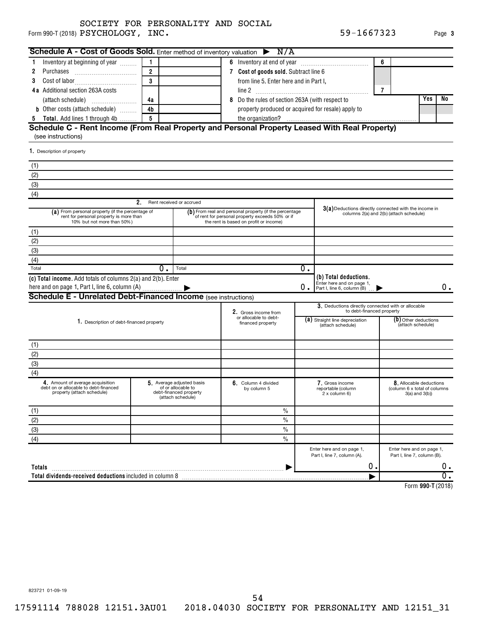Form 990-T (2018)  $\rm PSYCHOLOGY$  ,  $\rm INC$  . The set of the set of the set of the set of the set of the set of the set of the set of the set of the set of the set of the set of the set of the set of the set of the set of the se SOCIETY FOR PERSONALITY AND SOCIAL

| Form 990-T (2018) PSYCHOLOGY, INC.                                                                                                                                                                        |                         |                                    |                                                                                                                                                                                                                                                         |                                                         | 59-1667323                                              |                                                                                |                                           | Page 3           |
|-----------------------------------------------------------------------------------------------------------------------------------------------------------------------------------------------------------|-------------------------|------------------------------------|---------------------------------------------------------------------------------------------------------------------------------------------------------------------------------------------------------------------------------------------------------|---------------------------------------------------------|---------------------------------------------------------|--------------------------------------------------------------------------------|-------------------------------------------|------------------|
| Schedule A - Cost of Goods Sold. Enter method of inventory valuation $\triangleright$ N/A                                                                                                                 |                         |                                    |                                                                                                                                                                                                                                                         |                                                         |                                                         |                                                                                |                                           |                  |
| Inventory at beginning of year<br>1.                                                                                                                                                                      | 1                       |                                    |                                                                                                                                                                                                                                                         |                                                         |                                                         | 6                                                                              |                                           |                  |
| 2                                                                                                                                                                                                         | $\overline{2}$          |                                    | 7 Cost of goods sold. Subtract line 6                                                                                                                                                                                                                   |                                                         |                                                         |                                                                                |                                           |                  |
| 3                                                                                                                                                                                                         | $\overline{\mathbf{3}}$ |                                    | from line 5. Enter here and in Part I.                                                                                                                                                                                                                  |                                                         |                                                         |                                                                                |                                           |                  |
| <b>4a</b> Additional section 263A costs                                                                                                                                                                   |                         |                                    |                                                                                                                                                                                                                                                         |                                                         |                                                         | $\overline{7}$                                                                 |                                           |                  |
| (attach schedule)                                                                                                                                                                                         | 4a                      |                                    | Do the rules of section 263A (with respect to<br>8                                                                                                                                                                                                      |                                                         |                                                         |                                                                                | Yes                                       | No               |
| <b>b</b> Other costs (attach schedule)                                                                                                                                                                    | 4b                      |                                    | property produced or acquired for resale) apply to                                                                                                                                                                                                      |                                                         |                                                         |                                                                                |                                           |                  |
| <b>Total.</b> Add lines 1 through 4b<br>5                                                                                                                                                                 | 5                       |                                    |                                                                                                                                                                                                                                                         |                                                         |                                                         |                                                                                |                                           |                  |
| Schedule C - Rent Income (From Real Property and Personal Property Leased With Real Property)<br>(see instructions)                                                                                       |                         |                                    |                                                                                                                                                                                                                                                         |                                                         |                                                         |                                                                                |                                           |                  |
| 1. Description of property                                                                                                                                                                                |                         |                                    |                                                                                                                                                                                                                                                         |                                                         |                                                         |                                                                                |                                           |                  |
| (1)                                                                                                                                                                                                       |                         |                                    |                                                                                                                                                                                                                                                         |                                                         |                                                         |                                                                                |                                           |                  |
| (2)                                                                                                                                                                                                       |                         |                                    |                                                                                                                                                                                                                                                         |                                                         |                                                         |                                                                                |                                           |                  |
| (3)                                                                                                                                                                                                       |                         |                                    |                                                                                                                                                                                                                                                         |                                                         |                                                         |                                                                                |                                           |                  |
| (4)                                                                                                                                                                                                       |                         |                                    |                                                                                                                                                                                                                                                         |                                                         |                                                         |                                                                                |                                           |                  |
|                                                                                                                                                                                                           | 2.                      | Rent received or accrued           |                                                                                                                                                                                                                                                         |                                                         |                                                         |                                                                                |                                           |                  |
| (a) From personal property (if the percentage of<br>rent for personal property is more than<br>10% but not more than 50%)                                                                                 |                         |                                    | 3(a) Deductions directly connected with the income in<br>(b) From real and personal property (if the percentage<br>columns 2(a) and 2(b) (attach schedule)<br>of rent for personal property exceeds 50% or if<br>the rent is based on profit or income) |                                                         |                                                         |                                                                                |                                           |                  |
| (1)                                                                                                                                                                                                       |                         |                                    |                                                                                                                                                                                                                                                         |                                                         |                                                         |                                                                                |                                           |                  |
| (2)                                                                                                                                                                                                       |                         |                                    |                                                                                                                                                                                                                                                         |                                                         |                                                         |                                                                                |                                           |                  |
| (3)                                                                                                                                                                                                       |                         |                                    |                                                                                                                                                                                                                                                         |                                                         |                                                         |                                                                                |                                           |                  |
| (4)                                                                                                                                                                                                       |                         |                                    |                                                                                                                                                                                                                                                         |                                                         |                                                         |                                                                                |                                           |                  |
| Total                                                                                                                                                                                                     | $0$ .                   | Total                              |                                                                                                                                                                                                                                                         | 0.                                                      |                                                         |                                                                                |                                           |                  |
| (c) Total income. Add totals of columns 2(a) and 2(b). Enter                                                                                                                                              |                         |                                    |                                                                                                                                                                                                                                                         |                                                         | (b) Total deductions.                                   |                                                                                |                                           |                  |
| here and on page 1, Part I, line 6, column (A)                                                                                                                                                            |                         |                                    |                                                                                                                                                                                                                                                         | 0.                                                      | Enter here and on page 1,<br>Part I, line 6, column (B) |                                                                                |                                           | 0.               |
| <b>Schedule E - Unrelated Debt-Financed Income (see instructions)</b>                                                                                                                                     |                         |                                    |                                                                                                                                                                                                                                                         |                                                         |                                                         |                                                                                |                                           |                  |
|                                                                                                                                                                                                           |                         |                                    |                                                                                                                                                                                                                                                         |                                                         | 3. Deductions directly connected with or allocable      |                                                                                |                                           |                  |
|                                                                                                                                                                                                           |                         |                                    | 2. Gross income from<br>or allocable to debt-                                                                                                                                                                                                           |                                                         | to debt-financed property                               |                                                                                |                                           |                  |
| 1. Description of debt-financed property                                                                                                                                                                  |                         |                                    | financed property                                                                                                                                                                                                                                       |                                                         | (a) Straight line depreciation<br>(attach schedule)     |                                                                                | (b) Other deductions<br>(attach schedule) |                  |
| (1)                                                                                                                                                                                                       |                         |                                    |                                                                                                                                                                                                                                                         |                                                         |                                                         |                                                                                |                                           |                  |
| (2)                                                                                                                                                                                                       |                         |                                    |                                                                                                                                                                                                                                                         |                                                         |                                                         |                                                                                |                                           |                  |
| (3)                                                                                                                                                                                                       |                         |                                    |                                                                                                                                                                                                                                                         |                                                         |                                                         |                                                                                |                                           |                  |
| (4)                                                                                                                                                                                                       |                         |                                    |                                                                                                                                                                                                                                                         |                                                         |                                                         |                                                                                |                                           |                  |
| 4. Amount of average acquisition<br>5. Average adjusted basis<br>debt on or allocable to debt-financed<br>of or allocable to<br>property (attach schedule)<br>debt-financed property<br>(attach schedule) |                         | 6. Column 4 divided<br>by column 5 |                                                                                                                                                                                                                                                         | 7. Gross income<br>reportable (column<br>$2x$ column 6) |                                                         | 8. Allocable deductions<br>(column 6 x total of columns<br>$3(a)$ and $3(b)$ ) |                                           |                  |
| (1)                                                                                                                                                                                                       |                         |                                    | $\frac{0}{0}$                                                                                                                                                                                                                                           |                                                         |                                                         |                                                                                |                                           |                  |
| (2)                                                                                                                                                                                                       |                         |                                    | $\frac{0}{0}$                                                                                                                                                                                                                                           |                                                         |                                                         |                                                                                |                                           |                  |
| (3)                                                                                                                                                                                                       |                         |                                    | $\frac{0}{0}$                                                                                                                                                                                                                                           |                                                         |                                                         |                                                                                |                                           |                  |
| (4)                                                                                                                                                                                                       |                         |                                    | $\frac{0}{0}$                                                                                                                                                                                                                                           |                                                         |                                                         |                                                                                |                                           |                  |
|                                                                                                                                                                                                           |                         |                                    |                                                                                                                                                                                                                                                         |                                                         | Enter here and on page 1,                               |                                                                                | Enter here and on page 1,                 |                  |
|                                                                                                                                                                                                           |                         |                                    |                                                                                                                                                                                                                                                         |                                                         | Part I, line 7, column (A).                             |                                                                                | Part I, line 7, column (B).               |                  |
| Totals                                                                                                                                                                                                    |                         |                                    |                                                                                                                                                                                                                                                         |                                                         | 0.                                                      |                                                                                |                                           | υ.               |
|                                                                                                                                                                                                           |                         |                                    |                                                                                                                                                                                                                                                         |                                                         |                                                         |                                                                                |                                           | $\overline{0}$ . |

**990-T**  Form (2018)

823721 01-09-19

54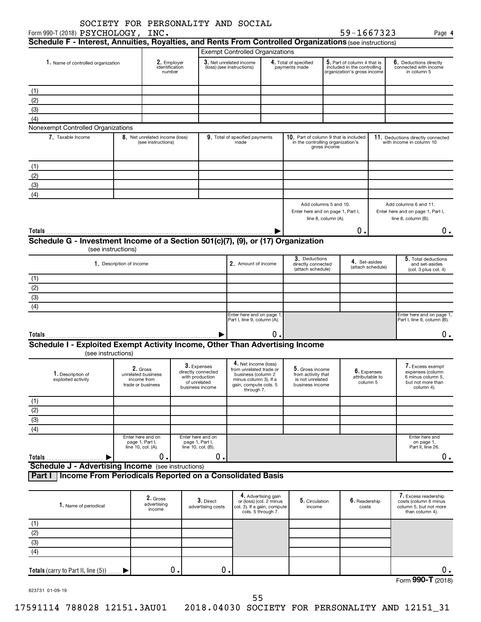| Schedule F - Interest, Annuities, Royalties, and Rents From Controlled Organizations (see instructions)<br>1. Name of controlled organization<br>(1)<br>(2) | identification                                                     | 2. Employer                                                                             |  |                                                                                                                                       |    |                                                                              |                                                                                           |                                            |  |                                                                                              |
|-------------------------------------------------------------------------------------------------------------------------------------------------------------|--------------------------------------------------------------------|-----------------------------------------------------------------------------------------|--|---------------------------------------------------------------------------------------------------------------------------------------|----|------------------------------------------------------------------------------|-------------------------------------------------------------------------------------------|--------------------------------------------|--|----------------------------------------------------------------------------------------------|
|                                                                                                                                                             |                                                                    |                                                                                         |  |                                                                                                                                       |    |                                                                              |                                                                                           |                                            |  |                                                                                              |
|                                                                                                                                                             |                                                                    |                                                                                         |  | <b>Exempt Controlled Organizations</b>                                                                                                |    |                                                                              |                                                                                           |                                            |  |                                                                                              |
|                                                                                                                                                             |                                                                    | number                                                                                  |  | 3. Net unrelated income<br>(loss) (see instructions)                                                                                  |    | 4. Total of specified<br>payments made                                       | 5. Part of column 4 that is<br>included in the controlling<br>organization's gross income |                                            |  | 6. Deductions directly<br>connected with income<br>in column 5                               |
|                                                                                                                                                             |                                                                    |                                                                                         |  |                                                                                                                                       |    |                                                                              |                                                                                           |                                            |  |                                                                                              |
|                                                                                                                                                             |                                                                    |                                                                                         |  |                                                                                                                                       |    |                                                                              |                                                                                           |                                            |  |                                                                                              |
| (3)                                                                                                                                                         |                                                                    |                                                                                         |  |                                                                                                                                       |    |                                                                              |                                                                                           |                                            |  |                                                                                              |
| (4)                                                                                                                                                         |                                                                    |                                                                                         |  |                                                                                                                                       |    |                                                                              |                                                                                           |                                            |  |                                                                                              |
| Nonexempt Controlled Organizations                                                                                                                          |                                                                    |                                                                                         |  |                                                                                                                                       |    |                                                                              |                                                                                           |                                            |  |                                                                                              |
| 7. Taxable Income                                                                                                                                           | 8. Net unrelated income (loss)<br>(see instructions)               |                                                                                         |  | 9. Total of specified payments<br>made                                                                                                |    | 10. Part of column 9 that is included<br>in the controlling organization's   | gross income                                                                              |                                            |  | 11. Deductions directly connected<br>with income in column 10                                |
| (1)                                                                                                                                                         |                                                                    |                                                                                         |  |                                                                                                                                       |    |                                                                              |                                                                                           |                                            |  |                                                                                              |
| (2)                                                                                                                                                         |                                                                    |                                                                                         |  |                                                                                                                                       |    |                                                                              |                                                                                           |                                            |  |                                                                                              |
| (3)                                                                                                                                                         |                                                                    |                                                                                         |  |                                                                                                                                       |    |                                                                              |                                                                                           |                                            |  |                                                                                              |
| (4)                                                                                                                                                         |                                                                    |                                                                                         |  |                                                                                                                                       |    |                                                                              |                                                                                           |                                            |  |                                                                                              |
|                                                                                                                                                             |                                                                    |                                                                                         |  |                                                                                                                                       |    | Enter here and on page 1, Part I,                                            | line 8, column (A).                                                                       | 0.                                         |  | Enter here and on page 1, Part I,<br>line 8, column (B).<br>0.                               |
| Schedule G - Investment Income of a Section 501(c)(7), (9), or (17) Organization                                                                            |                                                                    |                                                                                         |  |                                                                                                                                       |    |                                                                              |                                                                                           |                                            |  |                                                                                              |
|                                                                                                                                                             | (see instructions)                                                 |                                                                                         |  |                                                                                                                                       |    | 3. Deductions                                                                |                                                                                           |                                            |  | 5. Total deductions                                                                          |
|                                                                                                                                                             | 1. Description of income                                           |                                                                                         |  | 2. Amount of income                                                                                                                   |    | directly connected<br>(attach schedule)                                      |                                                                                           | 4. Set-asides<br>(attach schedule)         |  | and set-asides<br>(col. 3 plus col. 4)                                                       |
| (1)                                                                                                                                                         |                                                                    |                                                                                         |  |                                                                                                                                       |    |                                                                              |                                                                                           |                                            |  |                                                                                              |
| (2)                                                                                                                                                         |                                                                    |                                                                                         |  |                                                                                                                                       |    |                                                                              |                                                                                           |                                            |  |                                                                                              |
| (3)                                                                                                                                                         |                                                                    |                                                                                         |  |                                                                                                                                       |    |                                                                              |                                                                                           |                                            |  |                                                                                              |
| (4)                                                                                                                                                         |                                                                    |                                                                                         |  |                                                                                                                                       |    |                                                                              |                                                                                           |                                            |  |                                                                                              |
|                                                                                                                                                             |                                                                    |                                                                                         |  | Enter here and on page 1,<br>Part I, line 9, column (A).                                                                              |    |                                                                              |                                                                                           |                                            |  | Enter here and on page 1,<br>Part I, line 9, column (B).                                     |
|                                                                                                                                                             |                                                                    |                                                                                         |  |                                                                                                                                       | Ο. |                                                                              |                                                                                           |                                            |  | υ.                                                                                           |
| Schedule I - Exploited Exempt Activity Income, Other Than Advertising Income<br>(see instructions)                                                          |                                                                    |                                                                                         |  |                                                                                                                                       |    |                                                                              |                                                                                           |                                            |  |                                                                                              |
| 1. Description of<br>exploited activity                                                                                                                     | 2. Gross<br>unrelated business<br>income from<br>trade or business | 3. Expenses<br>directly connected<br>with production<br>of unrelated<br>business income |  | 4. Net income (loss)<br>from unrelated trade or<br>business (column 2<br>minus column 3). If a<br>gain, compute cols. 5<br>through 7. |    | 5. Gross income<br>from activity that<br>is not unrelated<br>business income |                                                                                           | 6. Expenses<br>attributable to<br>column 5 |  | 7. Excess exempt<br>expenses (column<br>6 minus column 5.<br>but not more than<br>column 4). |

| 1. Name of periodical               | 2. Gross<br>advertising<br>income | $3.$ Direct<br>advertising costs | 4. Advertising gain<br>or (loss) (col. 2 minus<br>col. 3). If a gain, compute<br>cols. 5 through 7. | 5. Circulation<br>income | $6.$ Readership<br>costs | 7. Excess readership<br>costs (column 6 minus<br>column 5, but not more<br>than column 4). |
|-------------------------------------|-----------------------------------|----------------------------------|-----------------------------------------------------------------------------------------------------|--------------------------|--------------------------|--------------------------------------------------------------------------------------------|
| (1)                                 |                                   |                                  |                                                                                                     |                          |                          |                                                                                            |
| (2)                                 |                                   |                                  |                                                                                                     |                          |                          |                                                                                            |
| (3)                                 |                                   |                                  |                                                                                                     |                          |                          |                                                                                            |
| (4)                                 |                                   |                                  |                                                                                                     |                          |                          |                                                                                            |
| Totals (carry to Part II, line (5)) | О.                                | 0.                               |                                                                                                     |                          |                          | 0.                                                                                         |
|                                     |                                   |                                  |                                                                                                     |                          |                          | Form 990-T (2018)                                                                          |

Enter here and on page 1, Part I, line 10, col. (A).

**Part I Income From Periodicals Reported on a Consolidated Basis**

**Schedule J - Advertising Income** (see instructions)

 $\blacktriangleright$ 

Enter here and on page 1, Part I, line 10, col. (B).

823731 01-09-19

**Totals**

 $\overline{2)}$ (3) (4)

 $\begin{array}{ccccccc} 0. & \hspace{1.5cm} & 0. & \hspace{1.5cm} & \hspace{1.5cm} & \hspace{1.5cm} & \hspace{1.5cm} & \hspace{1.5cm} & \hspace{1.5cm} & \hspace{1.5cm} & \hspace{1.5cm} & \hspace{1.5cm} & \hspace{1.5cm} & \hspace{1.5cm} \end{array}$ 

Enter here and on page 1, Part II, line 26.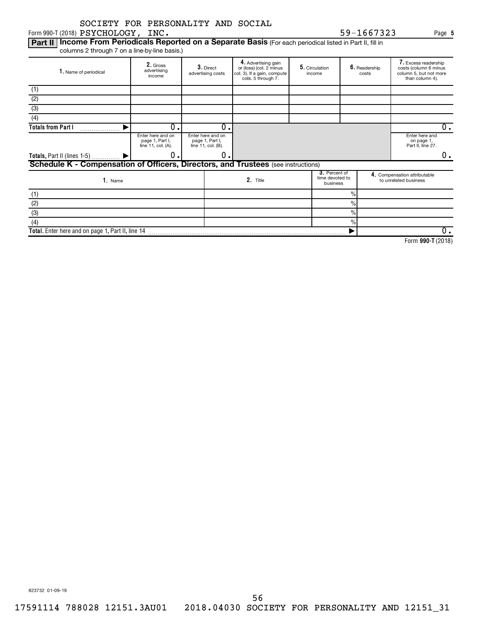Form 990-T (2018)  $\rm PSYCHOLOGY$  ,  $\rm INC$  . The set of the set of the set of the set of the set of the set of the set of the set of the set of the set of the set of the set of the set of the set of the set of the set of the se

Part II | Income From Periodicals Reported on a Separate Basis (For each periodical listed in Part II, fill in columns 2 through 7 on a line-by-line basis.)

| 2. Gross<br>advertising<br>1. Name of periodical<br>income                               |                                                            | 3. Direct<br>advertising costs                             |   | 4. Advertising gain<br>or (loss) (col. 2 minus<br>col. 3). If a gain, compute<br>cols. 5 through 7. |  | 5. Circulation<br>income |                                                       | 6. Readership<br>costs | 7. Excess readership<br>costs (column 6 minus<br>column 5, but not more<br>than column 4). |    |
|------------------------------------------------------------------------------------------|------------------------------------------------------------|------------------------------------------------------------|---|-----------------------------------------------------------------------------------------------------|--|--------------------------|-------------------------------------------------------|------------------------|--------------------------------------------------------------------------------------------|----|
| (1)                                                                                      |                                                            |                                                            |   |                                                                                                     |  |                          |                                                       |                        |                                                                                            |    |
| (2)                                                                                      |                                                            |                                                            |   |                                                                                                     |  |                          |                                                       |                        |                                                                                            |    |
| $\overline{3}$                                                                           |                                                            |                                                            |   |                                                                                                     |  |                          |                                                       |                        |                                                                                            |    |
| (4)                                                                                      |                                                            |                                                            |   |                                                                                                     |  |                          |                                                       |                        |                                                                                            |    |
| <b>Totals from Part I</b>                                                                | 0                                                          |                                                            | 0 |                                                                                                     |  |                          |                                                       |                        |                                                                                            | 0. |
|                                                                                          | Enter here and on<br>page 1, Part I,<br>line 11, col. (A). | Enter here and on<br>page 1, Part I,<br>line 11, col. (B). |   |                                                                                                     |  |                          |                                                       |                        | Enter here and<br>on page 1,<br>Part II, line 27.                                          |    |
| Totals, Part II (lines 1-5)  ▶                                                           | 0                                                          |                                                            | 0 |                                                                                                     |  |                          |                                                       |                        |                                                                                            | 0. |
| <b>Schedule K - Compensation of Officers, Directors, and Trustees</b> (see instructions) |                                                            |                                                            |   |                                                                                                     |  |                          |                                                       |                        |                                                                                            |    |
| 3. Percent of<br>time devoted to<br>2. Title<br>1. Name<br>business                      |                                                            |                                                            |   |                                                                                                     |  |                          | 4. Compensation attributable<br>to unrelated business |                        |                                                                                            |    |
| (1)                                                                                      |                                                            |                                                            |   |                                                                                                     |  |                          | $\frac{9}{6}$                                         |                        |                                                                                            |    |
| (2)                                                                                      |                                                            |                                                            |   |                                                                                                     |  |                          | $\%$                                                  |                        |                                                                                            |    |
| (3)                                                                                      |                                                            |                                                            |   |                                                                                                     |  |                          | $\frac{0}{0}$                                         |                        |                                                                                            |    |
| (4)                                                                                      |                                                            |                                                            |   |                                                                                                     |  |                          | $\frac{0}{0}$                                         |                        |                                                                                            |    |
| Total. Enter here and on page 1, Part II, line 14                                        |                                                            |                                                            |   |                                                                                                     |  |                          |                                                       |                        |                                                                                            | 0. |

**990-T**  Form (2018)

823732 01-09-19

**5**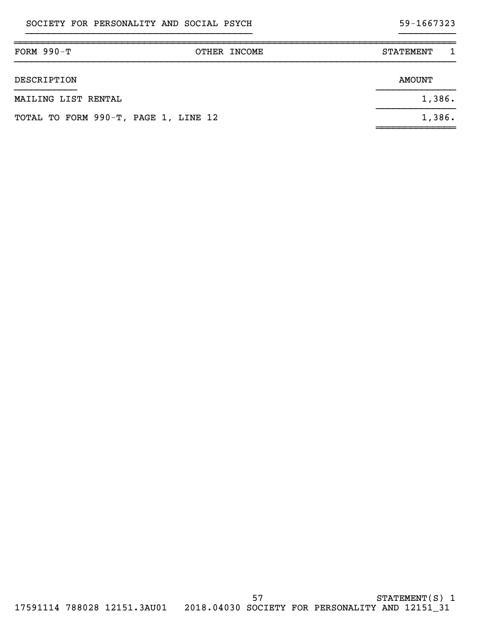# }}}}}}}}}}}}}}}}}}}}}}}}}}}}}}}}}}}}}}}} }}}}}}}}}}

| FORM $990-T$                         | OTHER INCOME | <b>STATEMENT</b> |
|--------------------------------------|--------------|------------------|
| DESCRIPTION                          |              | <b>AMOUNT</b>    |
| MAILING LIST RENTAL                  |              | 1,386.           |
| TOTAL TO FORM 990-T, PAGE 1, LINE 12 |              | 1,386.           |